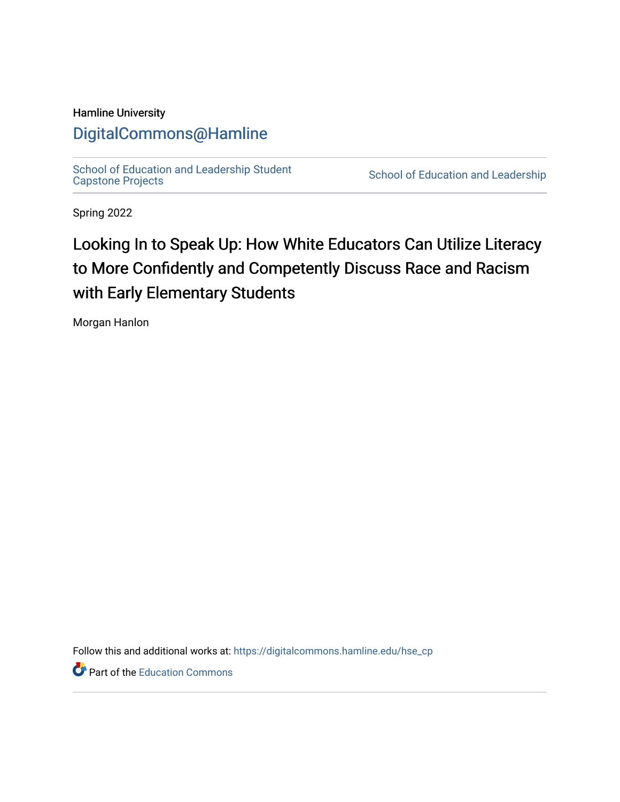#### Hamline University

## [DigitalCommons@Hamline](https://digitalcommons.hamline.edu/)

[School of Education and Leadership Student](https://digitalcommons.hamline.edu/hse_cp)<br>Capstone Projects

School of Education and Leadership

Spring 2022

# Looking In to Speak Up: How White Educators Can Utilize Literacy to More Confidently and Competently Discuss Race and Racism with Early Elementary Students

Morgan Hanlon

Follow this and additional works at: [https://digitalcommons.hamline.edu/hse\\_cp](https://digitalcommons.hamline.edu/hse_cp?utm_source=digitalcommons.hamline.edu%2Fhse_cp%2F795&utm_medium=PDF&utm_campaign=PDFCoverPages) 

**P** Part of the [Education Commons](https://network.bepress.com/hgg/discipline/784?utm_source=digitalcommons.hamline.edu%2Fhse_cp%2F795&utm_medium=PDF&utm_campaign=PDFCoverPages)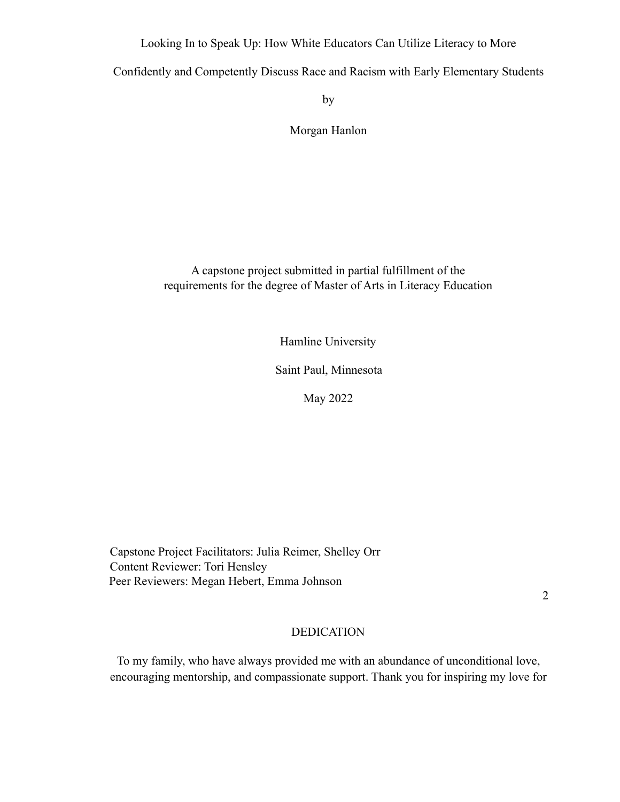Looking In to Speak Up: How White Educators Can Utilize Literacy to More

Confidently and Competently Discuss Race and Racism with Early Elementary Students

by

Morgan Hanlon

A capstone project submitted in partial fulfillment of the requirements for the degree of Master of Arts in Literacy Education

Hamline University

Saint Paul, Minnesota

May 2022

Capstone Project Facilitators: Julia Reimer, Shelley Orr Content Reviewer: Tori Hensley Peer Reviewers: Megan Hebert, Emma Johnson

2

#### DEDICATION

To my family, who have always provided me with an abundance of unconditional love, encouraging mentorship, and compassionate support. Thank you for inspiring my love for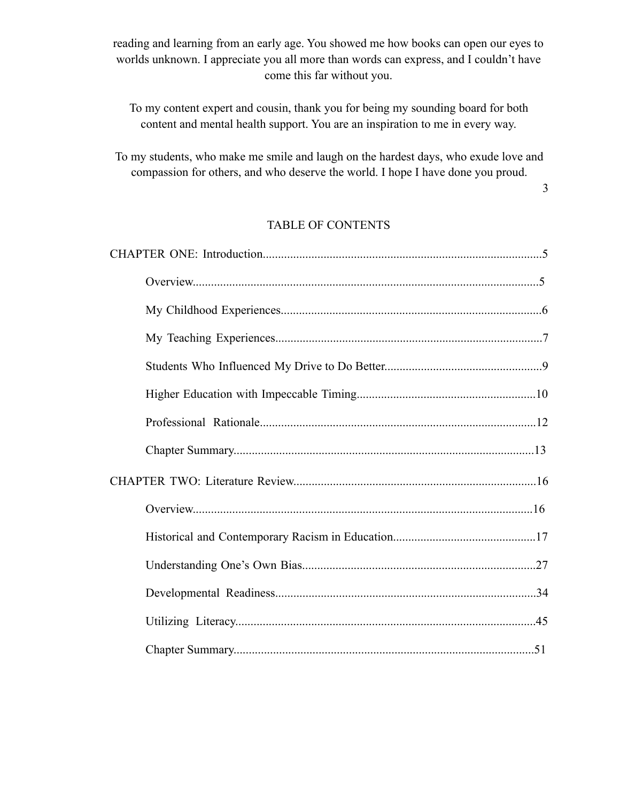reading and learning from an early age. You showed me how books can open our eyes to worlds unknown. I appreciate you all more than words can express, and I couldn't have come this far without you.

To my content expert and cousin, thank you for being my sounding board for both content and mental health support. You are an inspiration to me in every way.

To my students, who make me smile and laugh on the hardest days, who exude love and compassion for others, and who deserve the world. I hope I have done you proud.

3

### TABLE OF CONTENTS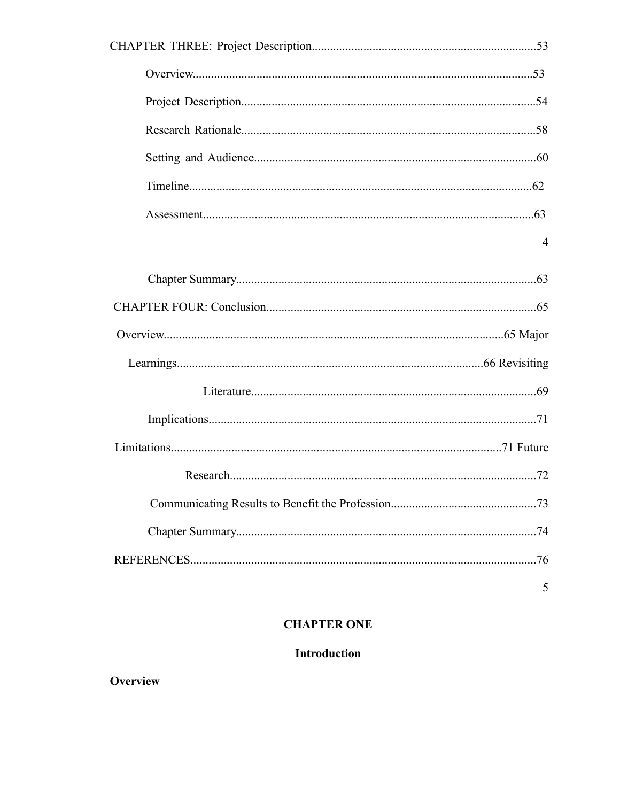| 4 |
|---|
|   |
|   |
|   |
|   |
|   |
|   |
|   |
|   |
|   |
|   |
|   |
| 5 |

## **CHAPTER ONE**

## Introduction

## Overview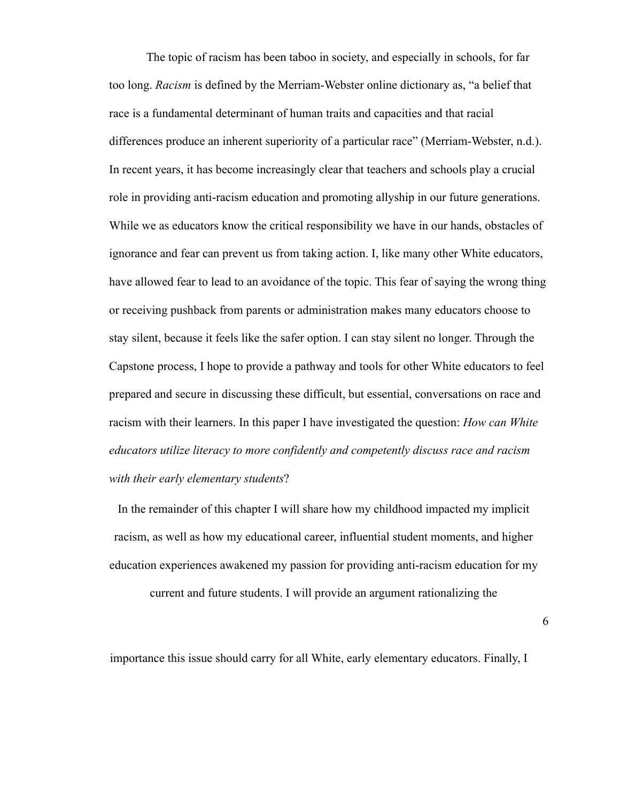The topic of racism has been taboo in society, and especially in schools, for far too long. *Racism* is defined by the Merriam-Webster online dictionary as, "a belief that race is a fundamental determinant of human traits and capacities and that racial differences produce an inherent superiority of a particular race" (Merriam-Webster, n.d.). In recent years, it has become increasingly clear that teachers and schools play a crucial role in providing anti-racism education and promoting allyship in our future generations. While we as educators know the critical responsibility we have in our hands, obstacles of ignorance and fear can prevent us from taking action. I, like many other White educators, have allowed fear to lead to an avoidance of the topic. This fear of saying the wrong thing or receiving pushback from parents or administration makes many educators choose to stay silent, because it feels like the safer option. I can stay silent no longer. Through the Capstone process, I hope to provide a pathway and tools for other White educators to feel prepared and secure in discussing these difficult, but essential, conversations on race and racism with their learners. In this paper I have investigated the question: *How can White educators utilize literacy to more confidently and competently discuss race and racism with their early elementary students*?

In the remainder of this chapter I will share how my childhood impacted my implicit racism, as well as how my educational career, influential student moments, and higher education experiences awakened my passion for providing anti-racism education for my

current and future students. I will provide an argument rationalizing the

6

importance this issue should carry for all White, early elementary educators. Finally, I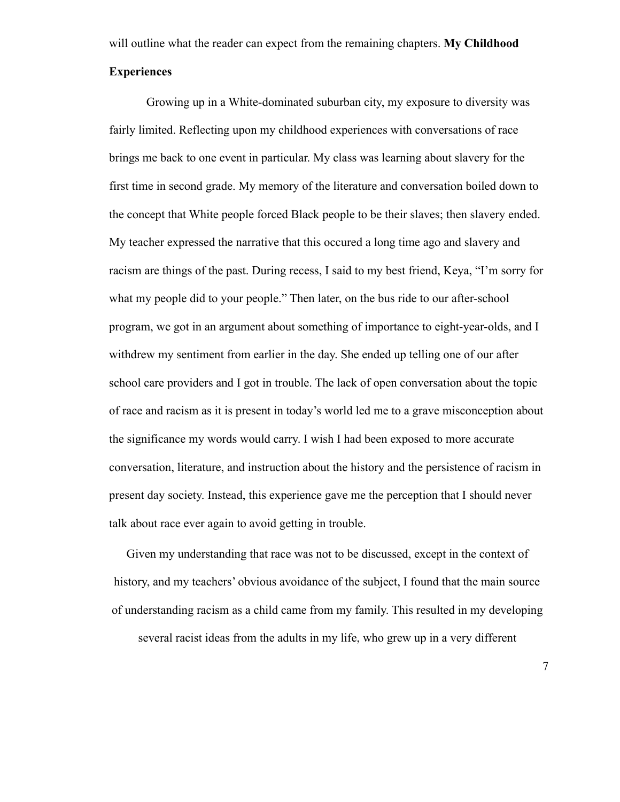will outline what the reader can expect from the remaining chapters. **My Childhood**

#### **Experiences**

Growing up in a White-dominated suburban city, my exposure to diversity was fairly limited. Reflecting upon my childhood experiences with conversations of race brings me back to one event in particular. My class was learning about slavery for the first time in second grade. My memory of the literature and conversation boiled down to the concept that White people forced Black people to be their slaves; then slavery ended. My teacher expressed the narrative that this occured a long time ago and slavery and racism are things of the past. During recess, I said to my best friend, Keya, "I'm sorry for what my people did to your people." Then later, on the bus ride to our after-school program, we got in an argument about something of importance to eight-year-olds, and I withdrew my sentiment from earlier in the day. She ended up telling one of our after school care providers and I got in trouble. The lack of open conversation about the topic of race and racism as it is present in today's world led me to a grave misconception about the significance my words would carry. I wish I had been exposed to more accurate conversation, literature, and instruction about the history and the persistence of racism in present day society. Instead, this experience gave me the perception that I should never talk about race ever again to avoid getting in trouble.

Given my understanding that race was not to be discussed, except in the context of history, and my teachers' obvious avoidance of the subject. I found that the main source of understanding racism as a child came from my family. This resulted in my developing several racist ideas from the adults in my life, who grew up in a very different

7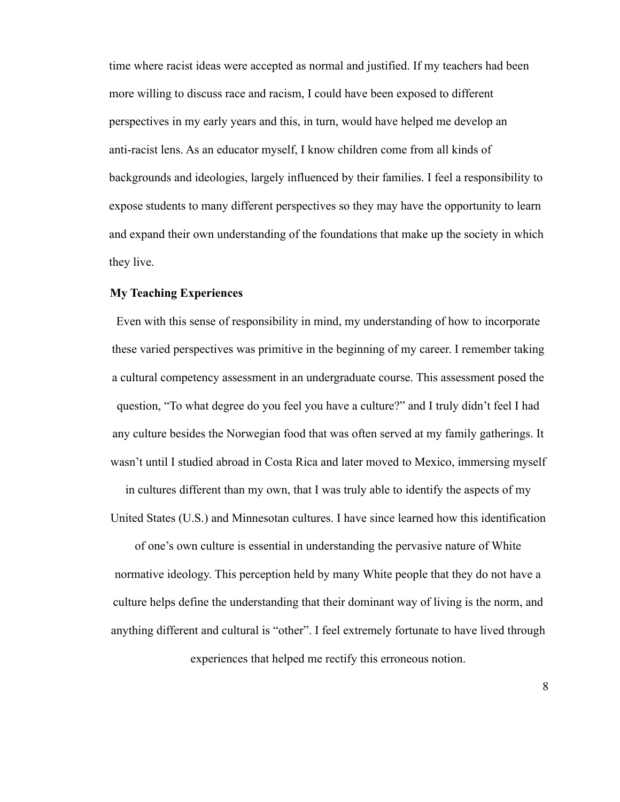time where racist ideas were accepted as normal and justified. If my teachers had been more willing to discuss race and racism, I could have been exposed to different perspectives in my early years and this, in turn, would have helped me develop an anti-racist lens. As an educator myself, I know children come from all kinds of backgrounds and ideologies, largely influenced by their families. I feel a responsibility to expose students to many different perspectives so they may have the opportunity to learn and expand their own understanding of the foundations that make up the society in which they live.

#### **My Teaching Experiences**

Even with this sense of responsibility in mind, my understanding of how to incorporate these varied perspectives was primitive in the beginning of my career. I remember taking a cultural competency assessment in an undergraduate course. This assessment posed the question, "To what degree do you feel you have a culture?" and I truly didn't feel I had any culture besides the Norwegian food that was often served at my family gatherings. It wasn't until I studied abroad in Costa Rica and later moved to Mexico, immersing myself

in cultures different than my own, that I was truly able to identify the aspects of my United States (U.S.) and Minnesotan cultures. I have since learned how this identification

of one's own culture is essential in understanding the pervasive nature of White normative ideology. This perception held by many White people that they do not have a culture helps define the understanding that their dominant way of living is the norm, and anything different and cultural is "other". I feel extremely fortunate to have lived through experiences that helped me rectify this erroneous notion.

8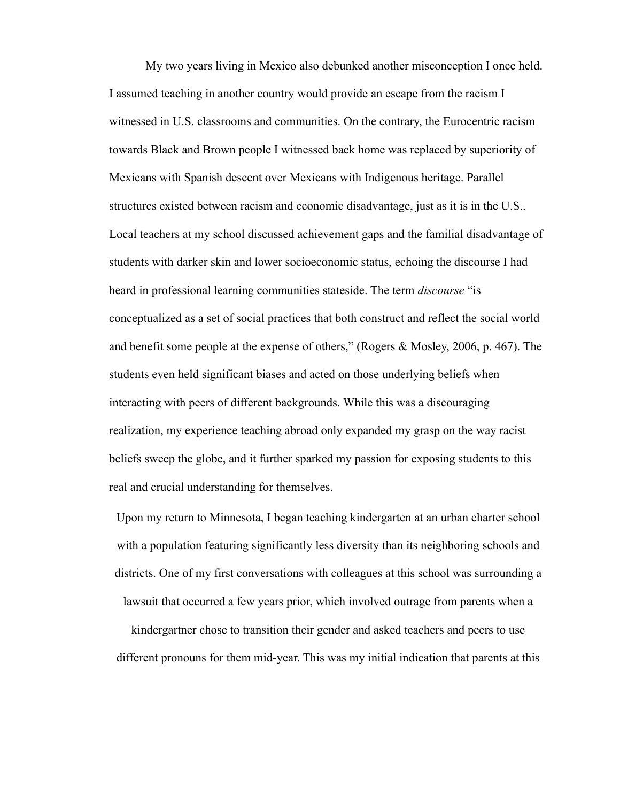My two years living in Mexico also debunked another misconception I once held. I assumed teaching in another country would provide an escape from the racism I witnessed in U.S. classrooms and communities. On the contrary, the Eurocentric racism towards Black and Brown people I witnessed back home was replaced by superiority of Mexicans with Spanish descent over Mexicans with Indigenous heritage. Parallel structures existed between racism and economic disadvantage, just as it is in the U.S.. Local teachers at my school discussed achievement gaps and the familial disadvantage of students with darker skin and lower socioeconomic status, echoing the discourse I had heard in professional learning communities stateside. The term *discourse* "is conceptualized as a set of social practices that both construct and reflect the social world and benefit some people at the expense of others," (Rogers & Mosley, 2006, p. 467). The students even held significant biases and acted on those underlying beliefs when interacting with peers of different backgrounds. While this was a discouraging realization, my experience teaching abroad only expanded my grasp on the way racist beliefs sweep the globe, and it further sparked my passion for exposing students to this real and crucial understanding for themselves.

Upon my return to Minnesota, I began teaching kindergarten at an urban charter school with a population featuring significantly less diversity than its neighboring schools and districts. One of my first conversations with colleagues at this school was surrounding a lawsuit that occurred a few years prior, which involved outrage from parents when a

kindergartner chose to transition their gender and asked teachers and peers to use different pronouns for them mid-year. This was my initial indication that parents at this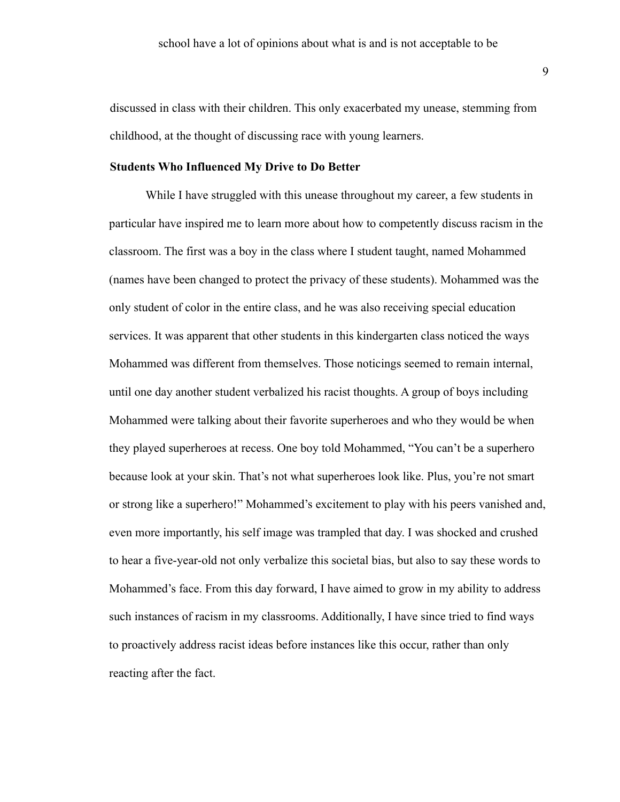discussed in class with their children. This only exacerbated my unease, stemming from childhood, at the thought of discussing race with young learners.

#### **Students Who Influenced My Drive to Do Better**

While I have struggled with this unease throughout my career, a few students in particular have inspired me to learn more about how to competently discuss racism in the classroom. The first was a boy in the class where I student taught, named Mohammed (names have been changed to protect the privacy of these students). Mohammed was the only student of color in the entire class, and he was also receiving special education services. It was apparent that other students in this kindergarten class noticed the ways Mohammed was different from themselves. Those noticings seemed to remain internal, until one day another student verbalized his racist thoughts. A group of boys including Mohammed were talking about their favorite superheroes and who they would be when they played superheroes at recess. One boy told Mohammed, "You can't be a superhero because look at your skin. That's not what superheroes look like. Plus, you're not smart or strong like a superhero!" Mohammed's excitement to play with his peers vanished and, even more importantly, his self image was trampled that day. I was shocked and crushed to hear a five-year-old not only verbalize this societal bias, but also to say these words to Mohammed's face. From this day forward, I have aimed to grow in my ability to address such instances of racism in my classrooms. Additionally, I have since tried to find ways to proactively address racist ideas before instances like this occur, rather than only reacting after the fact.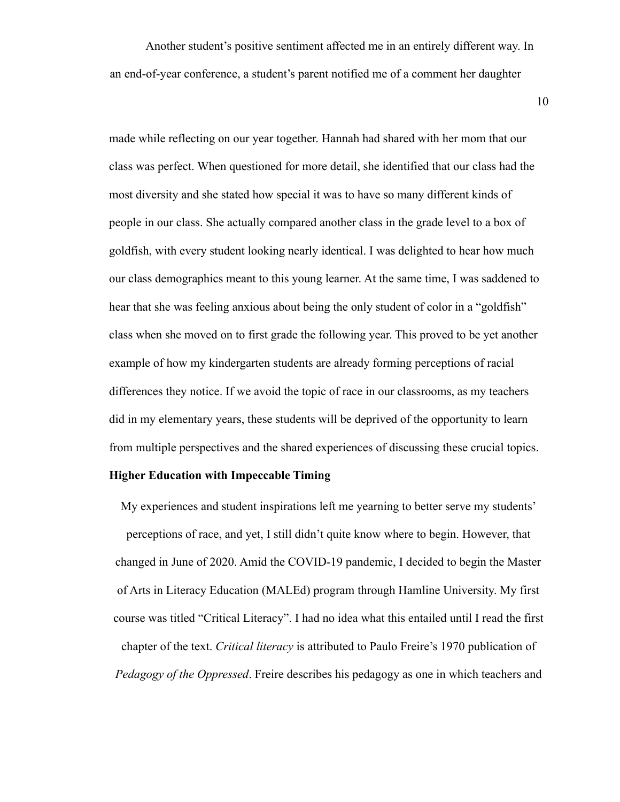Another student's positive sentiment affected me in an entirely different way. In an end-of-year conference, a student's parent notified me of a comment her daughter

10

made while reflecting on our year together. Hannah had shared with her mom that our class was perfect. When questioned for more detail, she identified that our class had the most diversity and she stated how special it was to have so many different kinds of people in our class. She actually compared another class in the grade level to a box of goldfish, with every student looking nearly identical. I was delighted to hear how much our class demographics meant to this young learner. At the same time, I was saddened to hear that she was feeling anxious about being the only student of color in a "goldfish" class when she moved on to first grade the following year. This proved to be yet another example of how my kindergarten students are already forming perceptions of racial differences they notice. If we avoid the topic of race in our classrooms, as my teachers did in my elementary years, these students will be deprived of the opportunity to learn from multiple perspectives and the shared experiences of discussing these crucial topics.

#### **Higher Education with Impeccable Timing**

My experiences and student inspirations left me yearning to better serve my students' perceptions of race, and yet, I still didn't quite know where to begin. However, that changed in June of 2020. Amid the COVID-19 pandemic, I decided to begin the Master of Arts in Literacy Education (MALEd) program through Hamline University. My first course was titled "Critical Literacy". I had no idea what this entailed until I read the first chapter of the text. *Critical literacy* is attributed to Paulo Freire's 1970 publication of *Pedagogy of the Oppressed*. Freire describes his pedagogy as one in which teachers and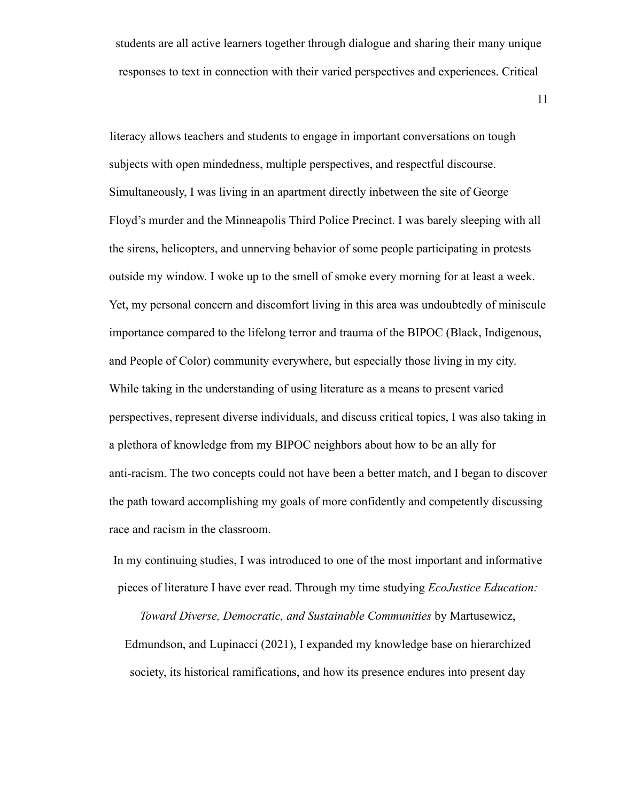students are all active learners together through dialogue and sharing their many unique responses to text in connection with their varied perspectives and experiences. Critical

11

literacy allows teachers and students to engage in important conversations on tough subjects with open mindedness, multiple perspectives, and respectful discourse. Simultaneously, I was living in an apartment directly inbetween the site of George Floyd's murder and the Minneapolis Third Police Precinct. I was barely sleeping with all the sirens, helicopters, and unnerving behavior of some people participating in protests outside my window. I woke up to the smell of smoke every morning for at least a week. Yet, my personal concern and discomfort living in this area was undoubtedly of miniscule importance compared to the lifelong terror and trauma of the BIPOC (Black, Indigenous, and People of Color) community everywhere, but especially those living in my city. While taking in the understanding of using literature as a means to present varied perspectives, represent diverse individuals, and discuss critical topics, I was also taking in a plethora of knowledge from my BIPOC neighbors about how to be an ally for anti-racism. The two concepts could not have been a better match, and I began to discover the path toward accomplishing my goals of more confidently and competently discussing race and racism in the classroom.

In my continuing studies, I was introduced to one of the most important and informative pieces of literature I have ever read. Through my time studying *EcoJustice Education:*

*Toward Diverse, Democratic, and Sustainable Communities* by Martusewicz, Edmundson, and Lupinacci (2021), I expanded my knowledge base on hierarchized society, its historical ramifications, and how its presence endures into present day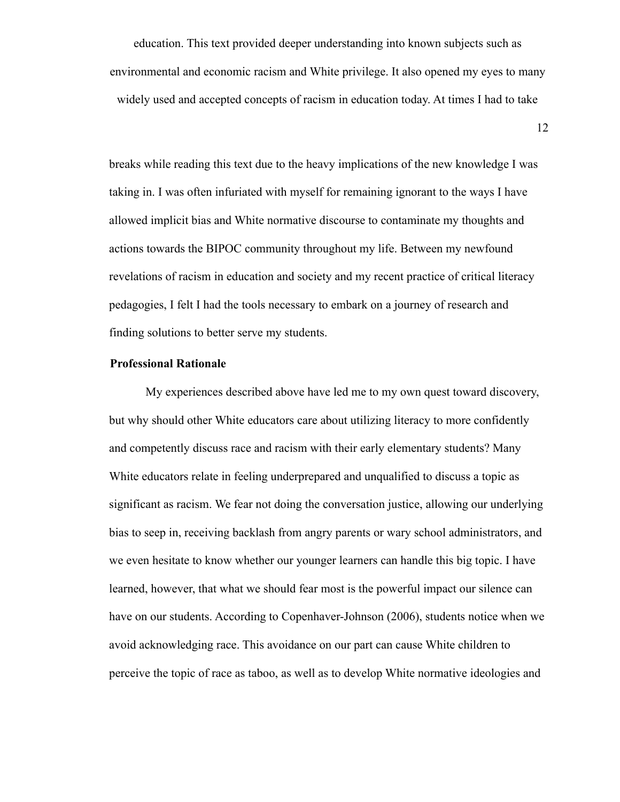education. This text provided deeper understanding into known subjects such as environmental and economic racism and White privilege. It also opened my eyes to many widely used and accepted concepts of racism in education today. At times I had to take

12

breaks while reading this text due to the heavy implications of the new knowledge I was taking in. I was often infuriated with myself for remaining ignorant to the ways I have allowed implicit bias and White normative discourse to contaminate my thoughts and actions towards the BIPOC community throughout my life. Between my newfound revelations of racism in education and society and my recent practice of critical literacy pedagogies, I felt I had the tools necessary to embark on a journey of research and finding solutions to better serve my students.

#### **Professional Rationale**

My experiences described above have led me to my own quest toward discovery, but why should other White educators care about utilizing literacy to more confidently and competently discuss race and racism with their early elementary students? Many White educators relate in feeling underprepared and unqualified to discuss a topic as significant as racism. We fear not doing the conversation justice, allowing our underlying bias to seep in, receiving backlash from angry parents or wary school administrators, and we even hesitate to know whether our younger learners can handle this big topic. I have learned, however, that what we should fear most is the powerful impact our silence can have on our students. According to Copenhaver-Johnson (2006), students notice when we avoid acknowledging race. This avoidance on our part can cause White children to perceive the topic of race as taboo, as well as to develop White normative ideologies and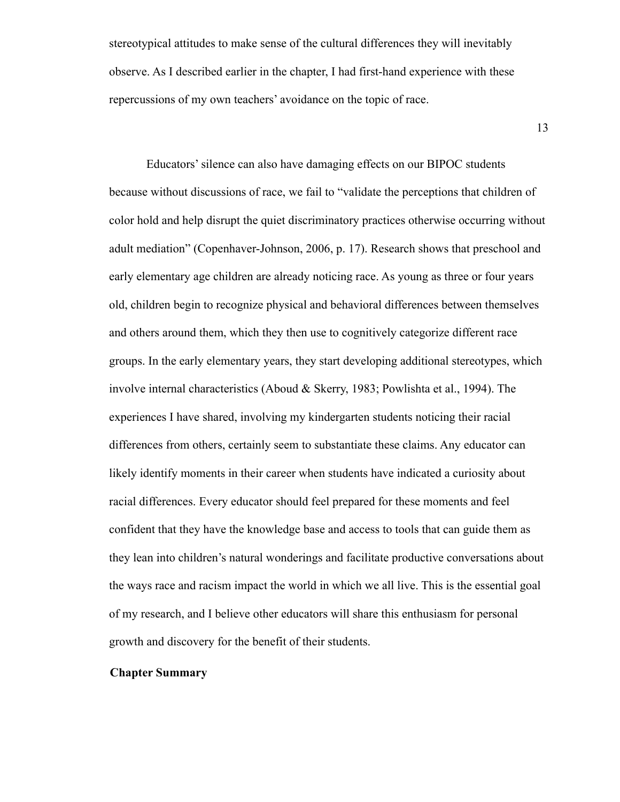stereotypical attitudes to make sense of the cultural differences they will inevitably observe. As I described earlier in the chapter, I had first-hand experience with these repercussions of my own teachers' avoidance on the topic of race.

13

Educators' silence can also have damaging effects on our BIPOC students because without discussions of race, we fail to "validate the perceptions that children of color hold and help disrupt the quiet discriminatory practices otherwise occurring without adult mediation" (Copenhaver-Johnson, 2006, p. 17). Research shows that preschool and early elementary age children are already noticing race. As young as three or four years old, children begin to recognize physical and behavioral differences between themselves and others around them, which they then use to cognitively categorize different race groups. In the early elementary years, they start developing additional stereotypes, which involve internal characteristics (Aboud & Skerry, 1983; Powlishta et al., 1994). The experiences I have shared, involving my kindergarten students noticing their racial differences from others, certainly seem to substantiate these claims. Any educator can likely identify moments in their career when students have indicated a curiosity about racial differences. Every educator should feel prepared for these moments and feel confident that they have the knowledge base and access to tools that can guide them as they lean into children's natural wonderings and facilitate productive conversations about the ways race and racism impact the world in which we all live. This is the essential goal of my research, and I believe other educators will share this enthusiasm for personal growth and discovery for the benefit of their students.

#### **Chapter Summary**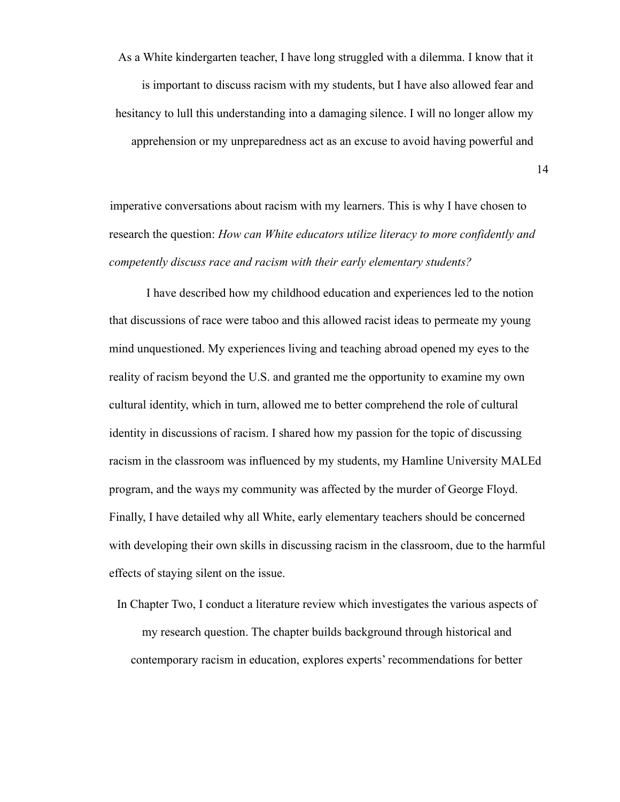As a White kindergarten teacher, I have long struggled with a dilemma. I know that it is important to discuss racism with my students, but I have also allowed fear and hesitancy to lull this understanding into a damaging silence. I will no longer allow my apprehension or my unpreparedness act as an excuse to avoid having powerful and

imperative conversations about racism with my learners. This is why I have chosen to research the question: *How can White educators utilize literacy to more confidently and competently discuss race and racism with their early elementary students?*

I have described how my childhood education and experiences led to the notion that discussions of race were taboo and this allowed racist ideas to permeate my young mind unquestioned. My experiences living and teaching abroad opened my eyes to the reality of racism beyond the U.S. and granted me the opportunity to examine my own cultural identity, which in turn, allowed me to better comprehend the role of cultural identity in discussions of racism. I shared how my passion for the topic of discussing racism in the classroom was influenced by my students, my Hamline University MALEd program, and the ways my community was affected by the murder of George Floyd. Finally, I have detailed why all White, early elementary teachers should be concerned with developing their own skills in discussing racism in the classroom, due to the harmful effects of staying silent on the issue.

In Chapter Two, I conduct a literature review which investigates the various aspects of my research question. The chapter builds background through historical and contemporary racism in education, explores experts' recommendations for better

14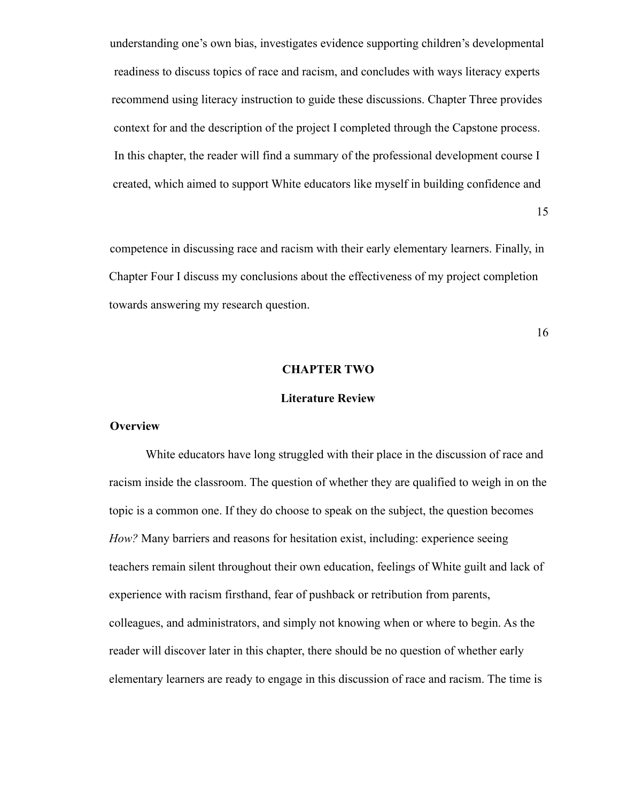understanding one's own bias, investigates evidence supporting children's developmental readiness to discuss topics of race and racism, and concludes with ways literacy experts recommend using literacy instruction to guide these discussions. Chapter Three provides context for and the description of the project I completed through the Capstone process. In this chapter, the reader will find a summary of the professional development course I created, which aimed to support White educators like myself in building confidence and

15

competence in discussing race and racism with their early elementary learners. Finally, in Chapter Four I discuss my conclusions about the effectiveness of my project completion towards answering my research question.

16

#### **CHAPTER TWO**

#### **Literature Review**

#### **Overview**

White educators have long struggled with their place in the discussion of race and racism inside the classroom. The question of whether they are qualified to weigh in on the topic is a common one. If they do choose to speak on the subject, the question becomes *How?* Many barriers and reasons for hesitation exist, including: experience seeing teachers remain silent throughout their own education, feelings of White guilt and lack of experience with racism firsthand, fear of pushback or retribution from parents, colleagues, and administrators, and simply not knowing when or where to begin. As the reader will discover later in this chapter, there should be no question of whether early elementary learners are ready to engage in this discussion of race and racism. The time is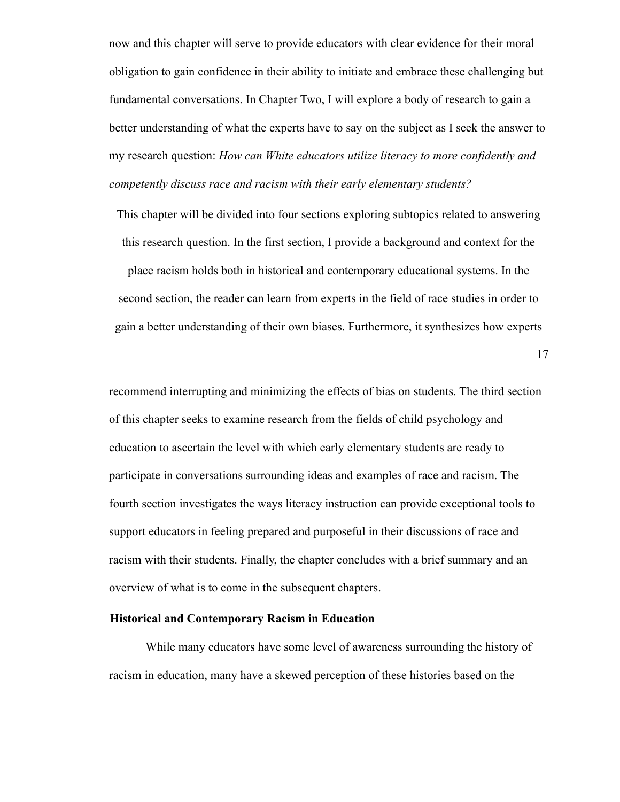now and this chapter will serve to provide educators with clear evidence for their moral obligation to gain confidence in their ability to initiate and embrace these challenging but fundamental conversations. In Chapter Two, I will explore a body of research to gain a better understanding of what the experts have to say on the subject as I seek the answer to my research question: *How can White educators utilize literacy to more confidently and competently discuss race and racism with their early elementary students?*

This chapter will be divided into four sections exploring subtopics related to answering this research question. In the first section, I provide a background and context for the

place racism holds both in historical and contemporary educational systems. In the second section, the reader can learn from experts in the field of race studies in order to gain a better understanding of their own biases. Furthermore, it synthesizes how experts

17

recommend interrupting and minimizing the effects of bias on students. The third section of this chapter seeks to examine research from the fields of child psychology and education to ascertain the level with which early elementary students are ready to participate in conversations surrounding ideas and examples of race and racism. The fourth section investigates the ways literacy instruction can provide exceptional tools to support educators in feeling prepared and purposeful in their discussions of race and racism with their students. Finally, the chapter concludes with a brief summary and an overview of what is to come in the subsequent chapters.

#### **Historical and Contemporary Racism in Education**

While many educators have some level of awareness surrounding the history of racism in education, many have a skewed perception of these histories based on the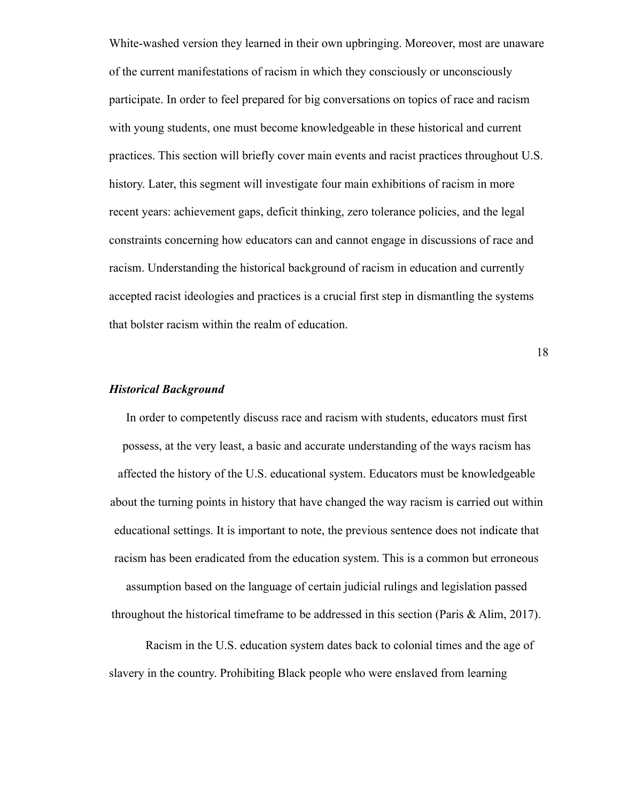White-washed version they learned in their own upbringing. Moreover, most are unaware of the current manifestations of racism in which they consciously or unconsciously participate. In order to feel prepared for big conversations on topics of race and racism with young students, one must become knowledgeable in these historical and current practices. This section will briefly cover main events and racist practices throughout U.S. history. Later, this segment will investigate four main exhibitions of racism in more recent years: achievement gaps, deficit thinking, zero tolerance policies, and the legal constraints concerning how educators can and cannot engage in discussions of race and racism. Understanding the historical background of racism in education and currently accepted racist ideologies and practices is a crucial first step in dismantling the systems that bolster racism within the realm of education.

18

#### *Historical Background*

In order to competently discuss race and racism with students, educators must first possess, at the very least, a basic and accurate understanding of the ways racism has affected the history of the U.S. educational system. Educators must be knowledgeable about the turning points in history that have changed the way racism is carried out within educational settings. It is important to note, the previous sentence does not indicate that racism has been eradicated from the education system. This is a common but erroneous assumption based on the language of certain judicial rulings and legislation passed throughout the historical timeframe to be addressed in this section (Paris & Alim, 2017).

Racism in the U.S. education system dates back to colonial times and the age of slavery in the country. Prohibiting Black people who were enslaved from learning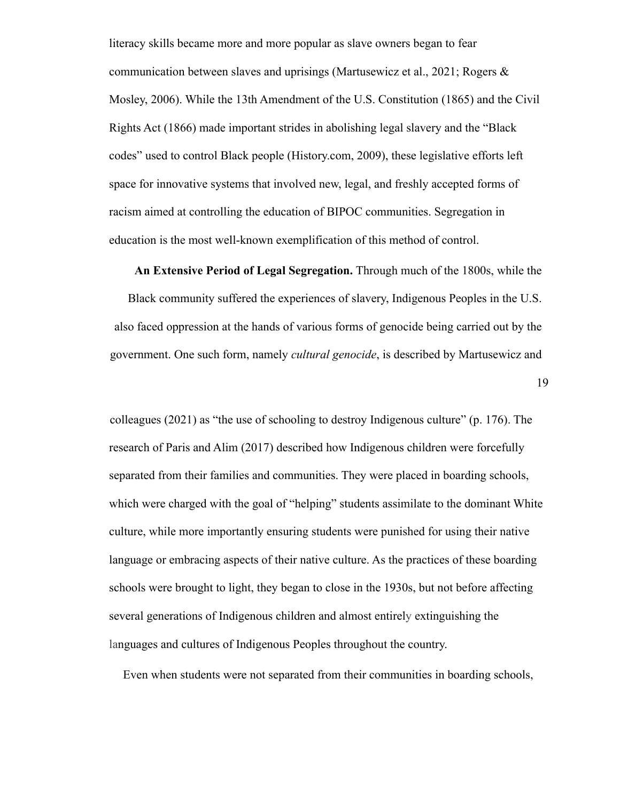literacy skills became more and more popular as slave owners began to fear communication between slaves and uprisings (Martusewicz et al., 2021; Rogers  $\&$ Mosley, 2006). While the 13th Amendment of the U.S. Constitution (1865) and the Civil Rights Act (1866) made important strides in abolishing legal slavery and the "Black codes" used to control Black people (History.com, 2009), these legislative efforts left space for innovative systems that involved new, legal, and freshly accepted forms of racism aimed at controlling the education of BIPOC communities. Segregation in education is the most well-known exemplification of this method of control.

**An Extensive Period of Legal Segregation.** Through much of the 1800s, while the

Black community suffered the experiences of slavery, Indigenous Peoples in the U.S. also faced oppression at the hands of various forms of genocide being carried out by the government. One such form, namely *cultural genocide*, is described by Martusewicz and

19

colleagues (2021) as "the use of schooling to destroy Indigenous culture" (p. 176). The research of Paris and Alim (2017) described how Indigenous children were forcefully separated from their families and communities. They were placed in boarding schools, which were charged with the goal of "helping" students assimilate to the dominant White culture, while more importantly ensuring students were punished for using their native language or embracing aspects of their native culture. As the practices of these boarding schools were brought to light, they began to close in the 1930s, but not before affecting several generations of Indigenous children and almost entirely extinguishing the languages and cultures of Indigenous Peoples throughout the country.

Even when students were not separated from their communities in boarding schools,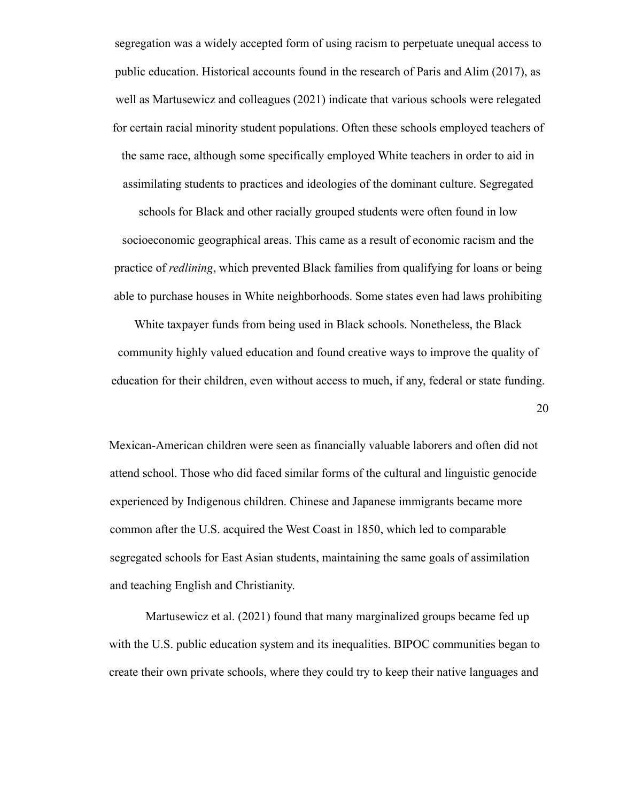segregation was a widely accepted form of using racism to perpetuate unequal access to public education. Historical accounts found in the research of Paris and Alim (2017), as well as Martusewicz and colleagues (2021) indicate that various schools were relegated for certain racial minority student populations. Often these schools employed teachers of the same race, although some specifically employed White teachers in order to aid in assimilating students to practices and ideologies of the dominant culture. Segregated

schools for Black and other racially grouped students were often found in low socioeconomic geographical areas. This came as a result of economic racism and the practice of *redlining*, which prevented Black families from qualifying for loans or being able to purchase houses in White neighborhoods. Some states even had laws prohibiting

White taxpayer funds from being used in Black schools. Nonetheless, the Black community highly valued education and found creative ways to improve the quality of education for their children, even without access to much, if any, federal or state funding.

20

Mexican-American children were seen as financially valuable laborers and often did not attend school. Those who did faced similar forms of the cultural and linguistic genocide experienced by Indigenous children. Chinese and Japanese immigrants became more common after the U.S. acquired the West Coast in 1850, which led to comparable segregated schools for East Asian students, maintaining the same goals of assimilation and teaching English and Christianity.

Martusewicz et al. (2021) found that many marginalized groups became fed up with the U.S. public education system and its inequalities. BIPOC communities began to create their own private schools, where they could try to keep their native languages and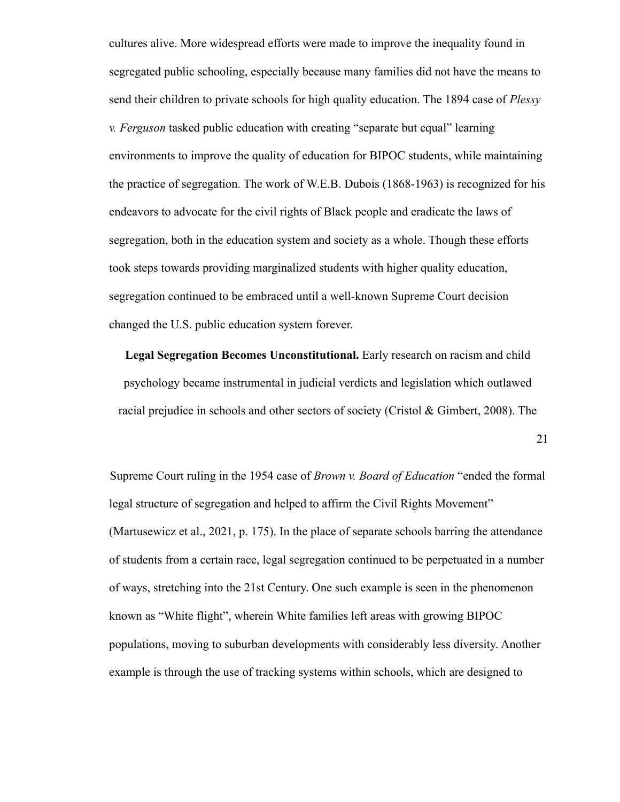cultures alive. More widespread efforts were made to improve the inequality found in segregated public schooling, especially because many families did not have the means to send their children to private schools for high quality education. The 1894 case of *Plessy v. Ferguson* tasked public education with creating "separate but equal" learning environments to improve the quality of education for BIPOC students, while maintaining the practice of segregation. The work of W.E.B. Dubois (1868-1963) is recognized for his endeavors to advocate for the civil rights of Black people and eradicate the laws of segregation, both in the education system and society as a whole. Though these efforts took steps towards providing marginalized students with higher quality education, segregation continued to be embraced until a well-known Supreme Court decision changed the U.S. public education system forever.

**Legal Segregation Becomes Unconstitutional.** Early research on racism and child psychology became instrumental in judicial verdicts and legislation which outlawed racial prejudice in schools and other sectors of society (Cristol & Gimbert, 2008). The

21

Supreme Court ruling in the 1954 case of *Brown v. Board of Education* "ended the formal legal structure of segregation and helped to affirm the Civil Rights Movement" (Martusewicz et al., 2021, p. 175). In the place of separate schools barring the attendance of students from a certain race, legal segregation continued to be perpetuated in a number of ways, stretching into the 21st Century. One such example is seen in the phenomenon known as "White flight", wherein White families left areas with growing BIPOC populations, moving to suburban developments with considerably less diversity. Another example is through the use of tracking systems within schools, which are designed to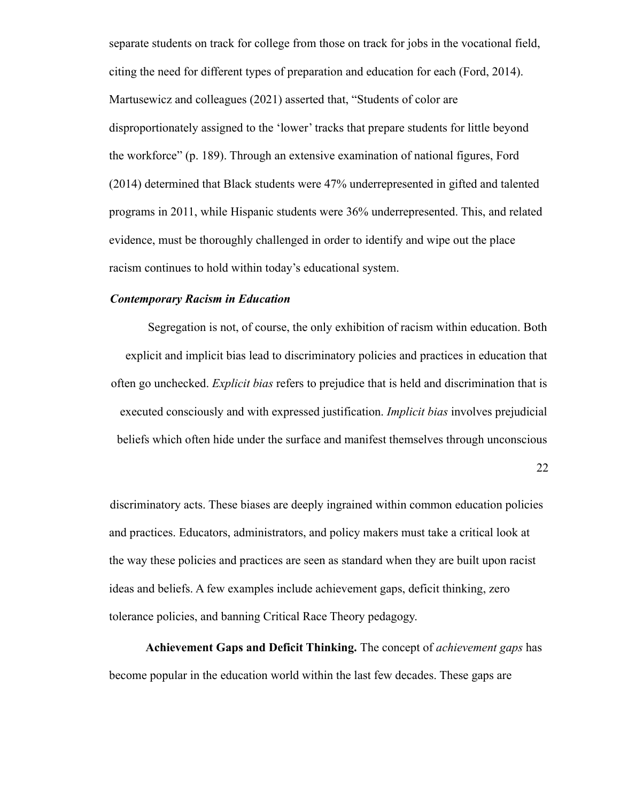separate students on track for college from those on track for jobs in the vocational field, citing the need for different types of preparation and education for each (Ford, 2014). Martusewicz and colleagues (2021) asserted that, "Students of color are disproportionately assigned to the 'lower' tracks that prepare students for little beyond the workforce" (p. 189). Through an extensive examination of national figures, Ford (2014) determined that Black students were 47% underrepresented in gifted and talented programs in 2011, while Hispanic students were 36% underrepresented. This, and related evidence, must be thoroughly challenged in order to identify and wipe out the place racism continues to hold within today's educational system.

#### *Contemporary Racism in Education*

Segregation is not, of course, the only exhibition of racism within education. Both explicit and implicit bias lead to discriminatory policies and practices in education that often go unchecked. *Explicit bias* refers to prejudice that is held and discrimination that is executed consciously and with expressed justification. *Implicit bias* involves prejudicial beliefs which often hide under the surface and manifest themselves through unconscious

22

discriminatory acts. These biases are deeply ingrained within common education policies and practices. Educators, administrators, and policy makers must take a critical look at the way these policies and practices are seen as standard when they are built upon racist ideas and beliefs. A few examples include achievement gaps, deficit thinking, zero tolerance policies, and banning Critical Race Theory pedagogy.

**Achievement Gaps and Deficit Thinking.** The concept of *achievement gaps* has become popular in the education world within the last few decades. These gaps are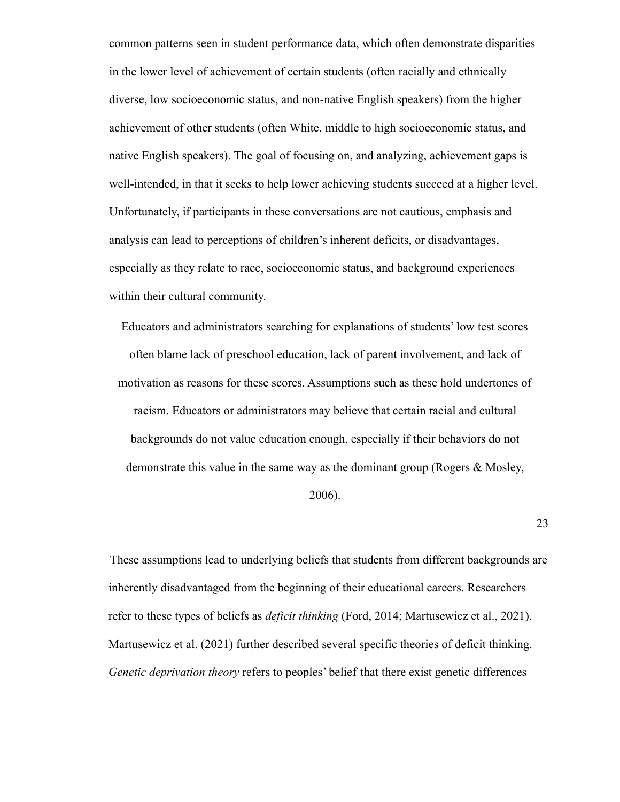common patterns seen in student performance data, which often demonstrate disparities in the lower level of achievement of certain students (often racially and ethnically diverse, low socioeconomic status, and non-native English speakers) from the higher achievement of other students (often White, middle to high socioeconomic status, and native English speakers). The goal of focusing on, and analyzing, achievement gaps is well-intended, in that it seeks to help lower achieving students succeed at a higher level. Unfortunately, if participants in these conversations are not cautious, emphasis and analysis can lead to perceptions of children's inherent deficits, or disadvantages, especially as they relate to race, socioeconomic status, and background experiences within their cultural community.

Educators and administrators searching for explanations of students' low test scores often blame lack of preschool education, lack of parent involvement, and lack of motivation as reasons for these scores. Assumptions such as these hold undertones of racism. Educators or administrators may believe that certain racial and cultural backgrounds do not value education enough, especially if their behaviors do not demonstrate this value in the same way as the dominant group (Rogers & Mosley,

2006).

23

These assumptions lead to underlying beliefs that students from different backgrounds are inherently disadvantaged from the beginning of their educational careers. Researchers refer to these types of beliefs as *deficit thinking* (Ford, 2014; Martusewicz et al., 2021). Martusewicz et al. (2021) further described several specific theories of deficit thinking. *Genetic deprivation theory* refers to peoples' belief that there exist genetic differences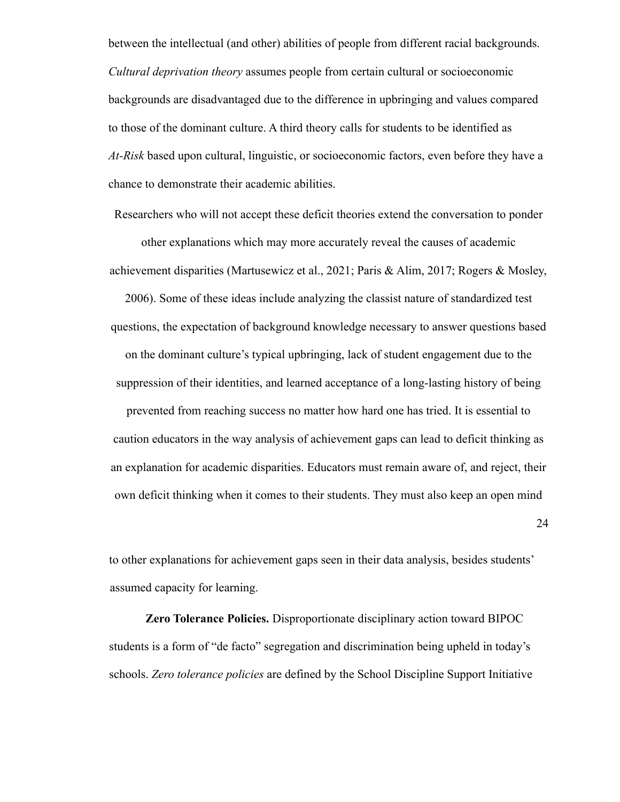between the intellectual (and other) abilities of people from different racial backgrounds. *Cultural deprivation theory* assumes people from certain cultural or socioeconomic backgrounds are disadvantaged due to the difference in upbringing and values compared to those of the dominant culture. A third theory calls for students to be identified as *At-Risk* based upon cultural, linguistic, or socioeconomic factors, even before they have a chance to demonstrate their academic abilities.

Researchers who will not accept these deficit theories extend the conversation to ponder other explanations which may more accurately reveal the causes of academic achievement disparities (Martusewicz et al., 2021; Paris & Alim, 2017; Rogers & Mosley,

2006). Some of these ideas include analyzing the classist nature of standardized test questions, the expectation of background knowledge necessary to answer questions based on the dominant culture's typical upbringing, lack of student engagement due to the suppression of their identities, and learned acceptance of a long-lasting history of being

prevented from reaching success no matter how hard one has tried. It is essential to caution educators in the way analysis of achievement gaps can lead to deficit thinking as an explanation for academic disparities. Educators must remain aware of, and reject, their own deficit thinking when it comes to their students. They must also keep an open mind

24

to other explanations for achievement gaps seen in their data analysis, besides students' assumed capacity for learning.

**Zero Tolerance Policies.** Disproportionate disciplinary action toward BIPOC students is a form of "de facto" segregation and discrimination being upheld in today's schools. *Zero tolerance policies* are defined by the School Discipline Support Initiative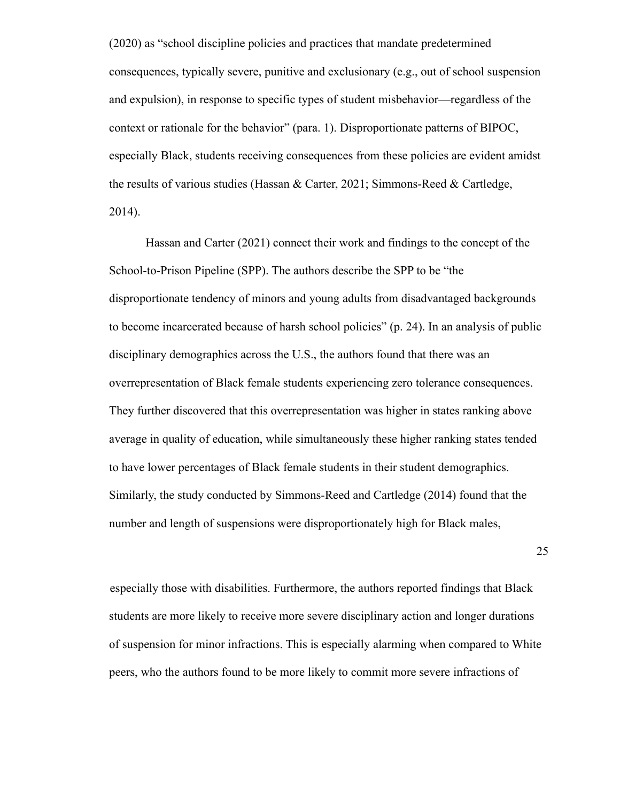(2020) as "school discipline policies and practices that mandate predetermined consequences, typically severe, punitive and exclusionary (e.g., out of school suspension and expulsion), in response to specific types of student misbehavior—regardless of the context or rationale for the behavior" (para. 1). Disproportionate patterns of BIPOC, especially Black, students receiving consequences from these policies are evident amidst the results of various studies (Hassan & Carter, 2021; Simmons-Reed & Cartledge, 2014).

Hassan and Carter (2021) connect their work and findings to the concept of the School-to-Prison Pipeline (SPP). The authors describe the SPP to be "the disproportionate tendency of minors and young adults from disadvantaged backgrounds to become incarcerated because of harsh school policies" (p. 24). In an analysis of public disciplinary demographics across the U.S., the authors found that there was an overrepresentation of Black female students experiencing zero tolerance consequences. They further discovered that this overrepresentation was higher in states ranking above average in quality of education, while simultaneously these higher ranking states tended to have lower percentages of Black female students in their student demographics. Similarly, the study conducted by Simmons-Reed and Cartledge (2014) found that the number and length of suspensions were disproportionately high for Black males,

25

especially those with disabilities. Furthermore, the authors reported findings that Black students are more likely to receive more severe disciplinary action and longer durations of suspension for minor infractions. This is especially alarming when compared to White peers, who the authors found to be more likely to commit more severe infractions of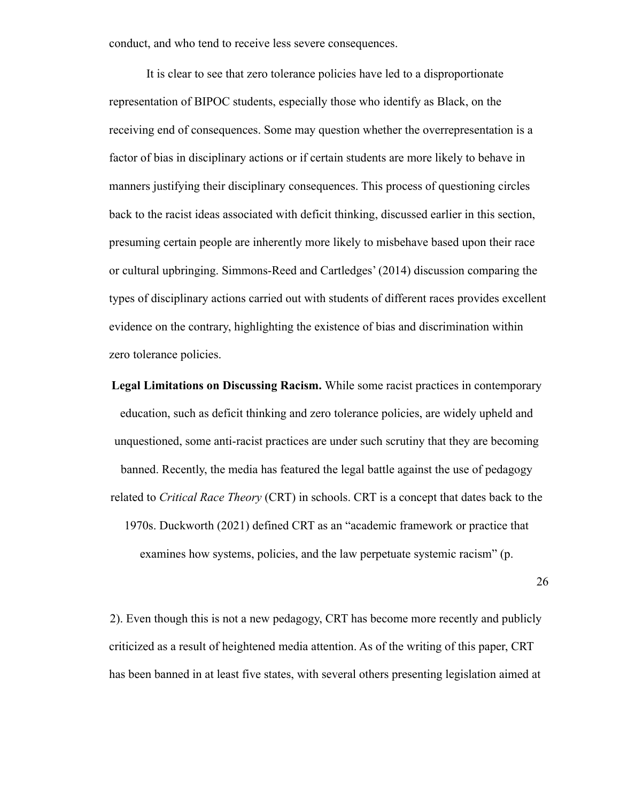conduct, and who tend to receive less severe consequences.

It is clear to see that zero tolerance policies have led to a disproportionate representation of BIPOC students, especially those who identify as Black, on the receiving end of consequences. Some may question whether the overrepresentation is a factor of bias in disciplinary actions or if certain students are more likely to behave in manners justifying their disciplinary consequences. This process of questioning circles back to the racist ideas associated with deficit thinking, discussed earlier in this section, presuming certain people are inherently more likely to misbehave based upon their race or cultural upbringing. Simmons-Reed and Cartledges' (2014) discussion comparing the types of disciplinary actions carried out with students of different races provides excellent evidence on the contrary, highlighting the existence of bias and discrimination within zero tolerance policies.

**Legal Limitations on Discussing Racism.** While some racist practices in contemporary education, such as deficit thinking and zero tolerance policies, are widely upheld and unquestioned, some anti-racist practices are under such scrutiny that they are becoming banned. Recently, the media has featured the legal battle against the use of pedagogy related to *Critical Race Theory* (CRT) in schools. CRT is a concept that dates back to the 1970s. Duckworth (2021) defined CRT as an "academic framework or practice that examines how systems, policies, and the law perpetuate systemic racism" (p.

26

2). Even though this is not a new pedagogy, CRT has become more recently and publicly criticized as a result of heightened media attention. As of the writing of this paper, CRT has been banned in at least five states, with several others presenting legislation aimed at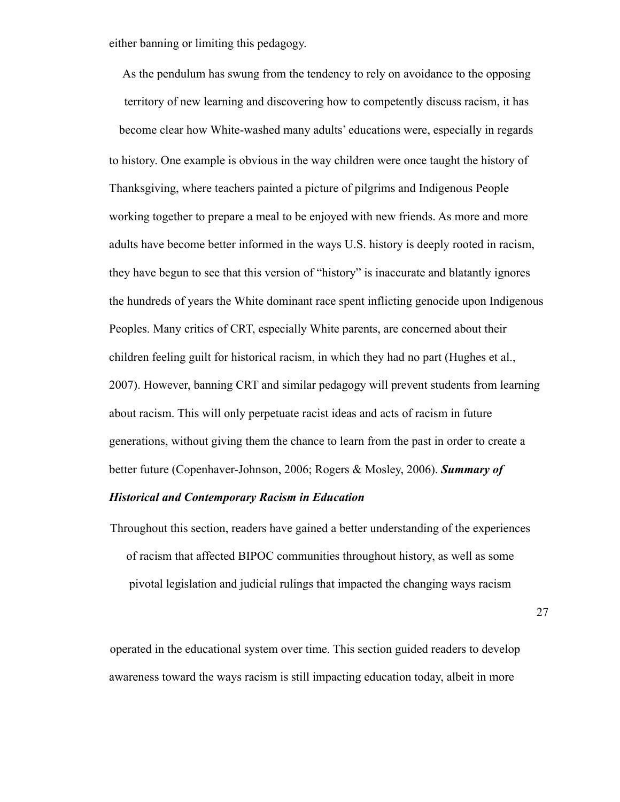either banning or limiting this pedagogy.

As the pendulum has swung from the tendency to rely on avoidance to the opposing territory of new learning and discovering how to competently discuss racism, it has become clear how White-washed many adults' educations were, especially in regards to history. One example is obvious in the way children were once taught the history of Thanksgiving, where teachers painted a picture of pilgrims and Indigenous People working together to prepare a meal to be enjoyed with new friends. As more and more adults have become better informed in the ways U.S. history is deeply rooted in racism, they have begun to see that this version of "history" is inaccurate and blatantly ignores the hundreds of years the White dominant race spent inflicting genocide upon Indigenous Peoples. Many critics of CRT, especially White parents, are concerned about their children feeling guilt for historical racism, in which they had no part (Hughes et al., 2007). However, banning CRT and similar pedagogy will prevent students from learning about racism. This will only perpetuate racist ideas and acts of racism in future generations, without giving them the chance to learn from the past in order to create a better future (Copenhaver-Johnson, 2006; Rogers & Mosley, 2006). *Summary of*

#### *Historical and Contemporary Racism in Education*

Throughout this section, readers have gained a better understanding of the experiences of racism that affected BIPOC communities throughout history, as well as some pivotal legislation and judicial rulings that impacted the changing ways racism

27

operated in the educational system over time. This section guided readers to develop awareness toward the ways racism is still impacting education today, albeit in more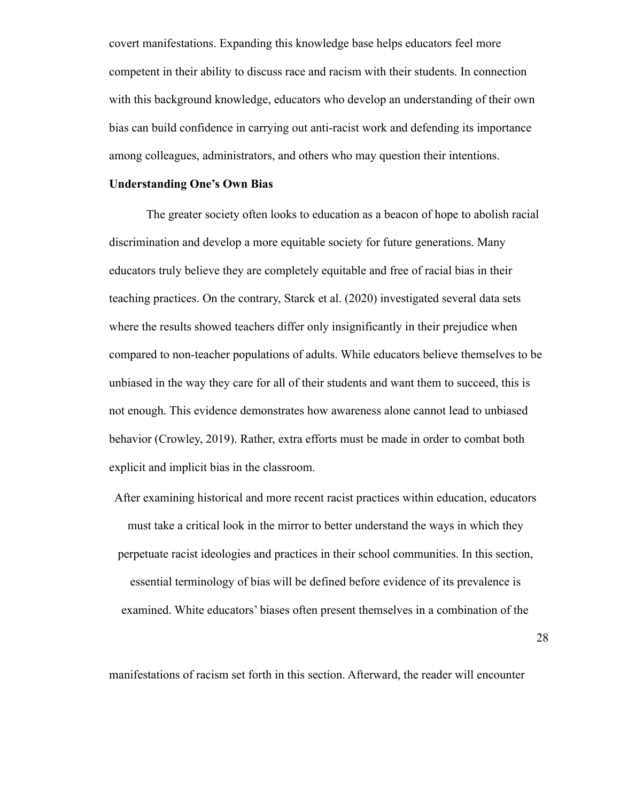covert manifestations. Expanding this knowledge base helps educators feel more competent in their ability to discuss race and racism with their students. In connection with this background knowledge, educators who develop an understanding of their own bias can build confidence in carrying out anti-racist work and defending its importance among colleagues, administrators, and others who may question their intentions.

#### **Understanding One's Own Bias**

The greater society often looks to education as a beacon of hope to abolish racial discrimination and develop a more equitable society for future generations. Many educators truly believe they are completely equitable and free of racial bias in their teaching practices. On the contrary, Starck et al. (2020) investigated several data sets where the results showed teachers differ only insignificantly in their prejudice when compared to non-teacher populations of adults. While educators believe themselves to be unbiased in the way they care for all of their students and want them to succeed, this is not enough. This evidence demonstrates how awareness alone cannot lead to unbiased behavior (Crowley, 2019). Rather, extra efforts must be made in order to combat both explicit and implicit bias in the classroom.

After examining historical and more recent racist practices within education, educators must take a critical look in the mirror to better understand the ways in which they perpetuate racist ideologies and practices in their school communities. In this section, essential terminology of bias will be defined before evidence of its prevalence is examined. White educators' biases often present themselves in a combination of the

28

manifestations of racism set forth in this section. Afterward, the reader will encounter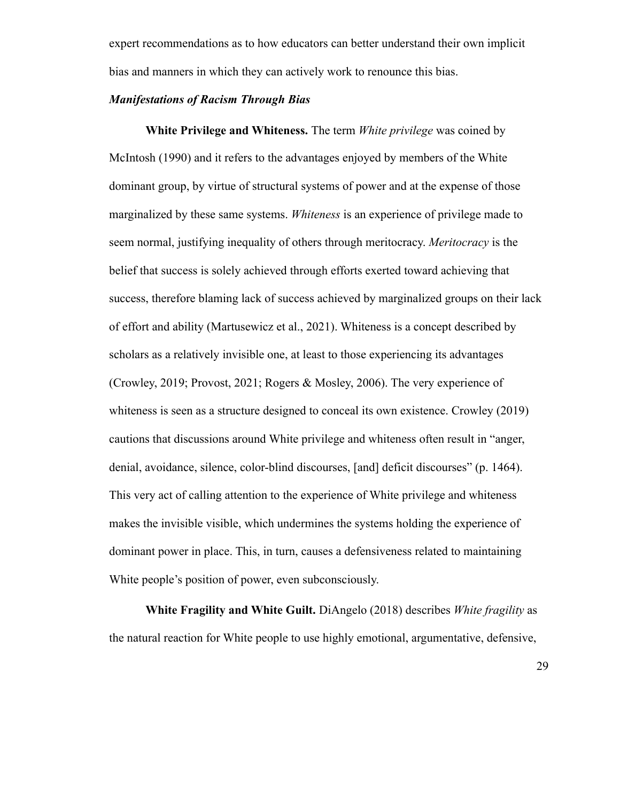expert recommendations as to how educators can better understand their own implicit bias and manners in which they can actively work to renounce this bias.

#### *Manifestations of Racism Through Bias*

**White Privilege and Whiteness.** The term *White privilege* was coined by McIntosh (1990) and it refers to the advantages enjoyed by members of the White dominant group, by virtue of structural systems of power and at the expense of those marginalized by these same systems. *Whiteness* is an experience of privilege made to seem normal, justifying inequality of others through meritocracy. *Meritocracy* is the belief that success is solely achieved through efforts exerted toward achieving that success, therefore blaming lack of success achieved by marginalized groups on their lack of effort and ability (Martusewicz et al., 2021). Whiteness is a concept described by scholars as a relatively invisible one, at least to those experiencing its advantages (Crowley, 2019; Provost, 2021; Rogers & Mosley, 2006). The very experience of whiteness is seen as a structure designed to conceal its own existence. Crowley (2019) cautions that discussions around White privilege and whiteness often result in "anger, denial, avoidance, silence, color-blind discourses, [and] deficit discourses" (p. 1464). This very act of calling attention to the experience of White privilege and whiteness makes the invisible visible, which undermines the systems holding the experience of dominant power in place. This, in turn, causes a defensiveness related to maintaining White people's position of power, even subconsciously.

**White Fragility and White Guilt.** DiAngelo (2018) describes *White fragility* as the natural reaction for White people to use highly emotional, argumentative, defensive,

29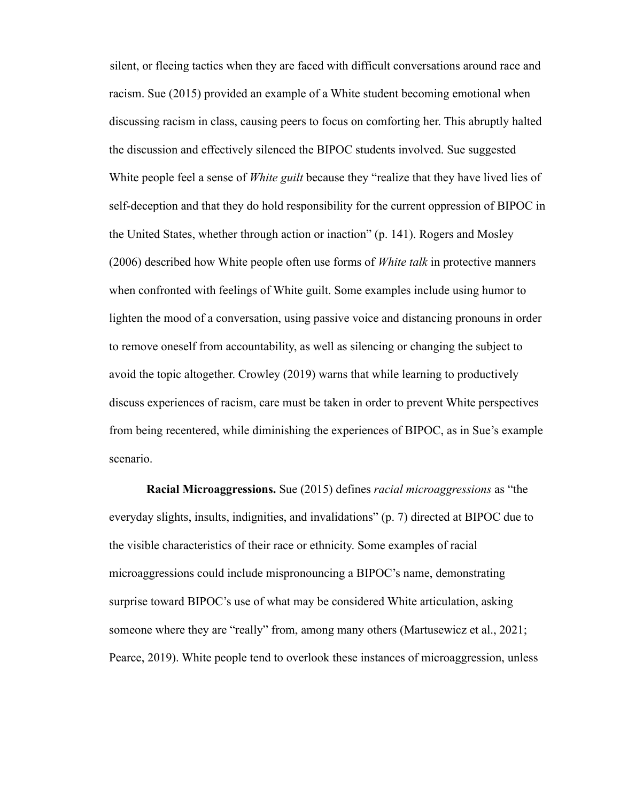silent, or fleeing tactics when they are faced with difficult conversations around race and racism. Sue (2015) provided an example of a White student becoming emotional when discussing racism in class, causing peers to focus on comforting her. This abruptly halted the discussion and effectively silenced the BIPOC students involved. Sue suggested White people feel a sense of *White guilt* because they "realize that they have lived lies of self-deception and that they do hold responsibility for the current oppression of BIPOC in the United States, whether through action or inaction" (p. 141). Rogers and Mosley (2006) described how White people often use forms of *White talk* in protective manners when confronted with feelings of White guilt. Some examples include using humor to lighten the mood of a conversation, using passive voice and distancing pronouns in order to remove oneself from accountability, as well as silencing or changing the subject to avoid the topic altogether. Crowley (2019) warns that while learning to productively discuss experiences of racism, care must be taken in order to prevent White perspectives from being recentered, while diminishing the experiences of BIPOC, as in Sue's example scenario.

**Racial Microaggressions.** Sue (2015) defines *racial microaggressions* as "the everyday slights, insults, indignities, and invalidations" (p. 7) directed at BIPOC due to the visible characteristics of their race or ethnicity. Some examples of racial microaggressions could include mispronouncing a BIPOC's name, demonstrating surprise toward BIPOC's use of what may be considered White articulation, asking someone where they are "really" from, among many others (Martusewicz et al., 2021; Pearce, 2019). White people tend to overlook these instances of microaggression, unless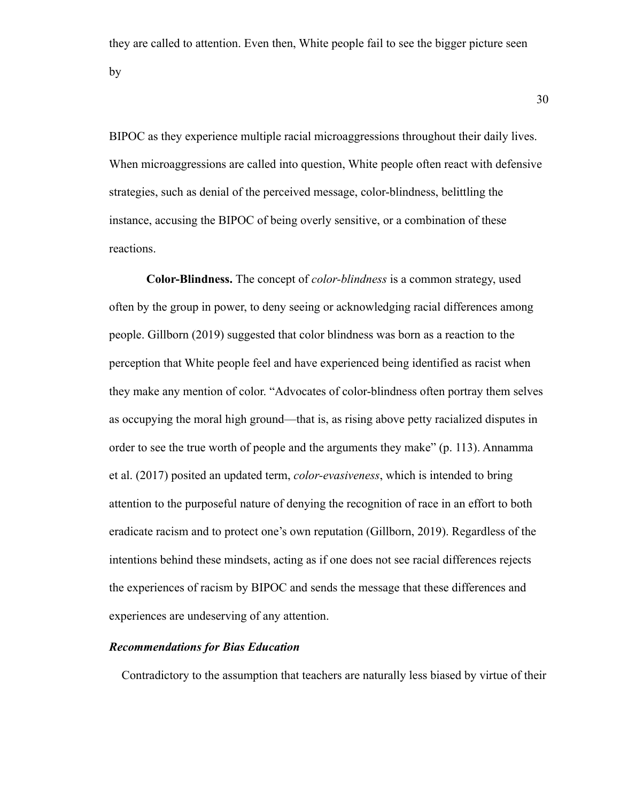they are called to attention. Even then, White people fail to see the bigger picture seen by

BIPOC as they experience multiple racial microaggressions throughout their daily lives. When microaggressions are called into question, White people often react with defensive strategies, such as denial of the perceived message, color-blindness, belittling the instance, accusing the BIPOC of being overly sensitive, or a combination of these reactions.

**Color-Blindness.** The concept of *color-blindness* is a common strategy, used often by the group in power, to deny seeing or acknowledging racial differences among people. Gillborn (2019) suggested that color blindness was born as a reaction to the perception that White people feel and have experienced being identified as racist when they make any mention of color. "Advocates of color-blindness often portray them selves as occupying the moral high ground—that is, as rising above petty racialized disputes in order to see the true worth of people and the arguments they make" (p. 113). Annamma et al. (2017) posited an updated term, *color-evasiveness*, which is intended to bring attention to the purposeful nature of denying the recognition of race in an effort to both eradicate racism and to protect one's own reputation (Gillborn, 2019). Regardless of the intentions behind these mindsets, acting as if one does not see racial differences rejects the experiences of racism by BIPOC and sends the message that these differences and experiences are undeserving of any attention.

#### *Recommendations for Bias Education*

Contradictory to the assumption that teachers are naturally less biased by virtue of their

30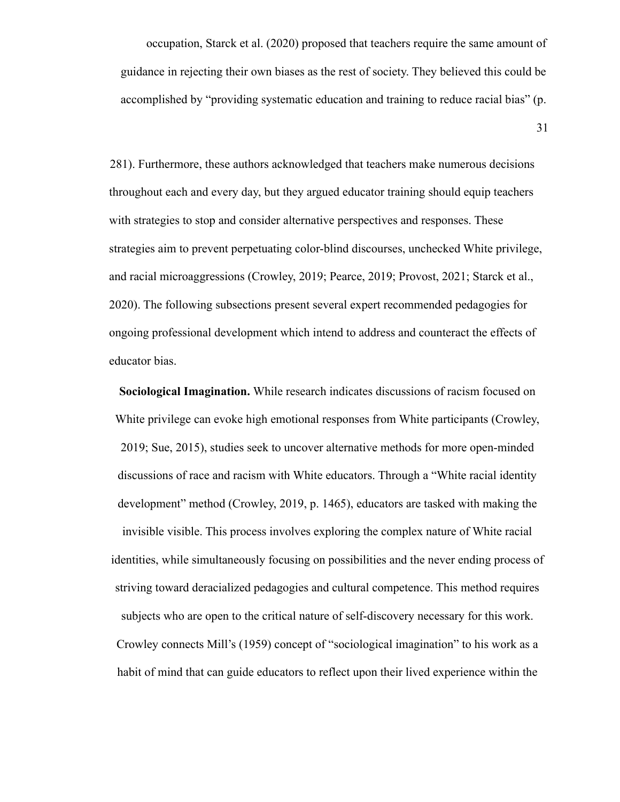occupation, Starck et al. (2020) proposed that teachers require the same amount of guidance in rejecting their own biases as the rest of society. They believed this could be accomplished by "providing systematic education and training to reduce racial bias" (p.

31

281). Furthermore, these authors acknowledged that teachers make numerous decisions throughout each and every day, but they argued educator training should equip teachers with strategies to stop and consider alternative perspectives and responses. These strategies aim to prevent perpetuating color-blind discourses, unchecked White privilege, and racial microaggressions (Crowley, 2019; Pearce, 2019; Provost, 2021; Starck et al., 2020). The following subsections present several expert recommended pedagogies for ongoing professional development which intend to address and counteract the effects of educator bias.

**Sociological Imagination.** While research indicates discussions of racism focused on White privilege can evoke high emotional responses from White participants (Crowley, 2019; Sue, 2015), studies seek to uncover alternative methods for more open-minded discussions of race and racism with White educators. Through a "White racial identity development" method (Crowley, 2019, p. 1465), educators are tasked with making the invisible visible. This process involves exploring the complex nature of White racial identities, while simultaneously focusing on possibilities and the never ending process of striving toward deracialized pedagogies and cultural competence. This method requires subjects who are open to the critical nature of self-discovery necessary for this work. Crowley connects Mill's (1959) concept of "sociological imagination" to his work as a habit of mind that can guide educators to reflect upon their lived experience within the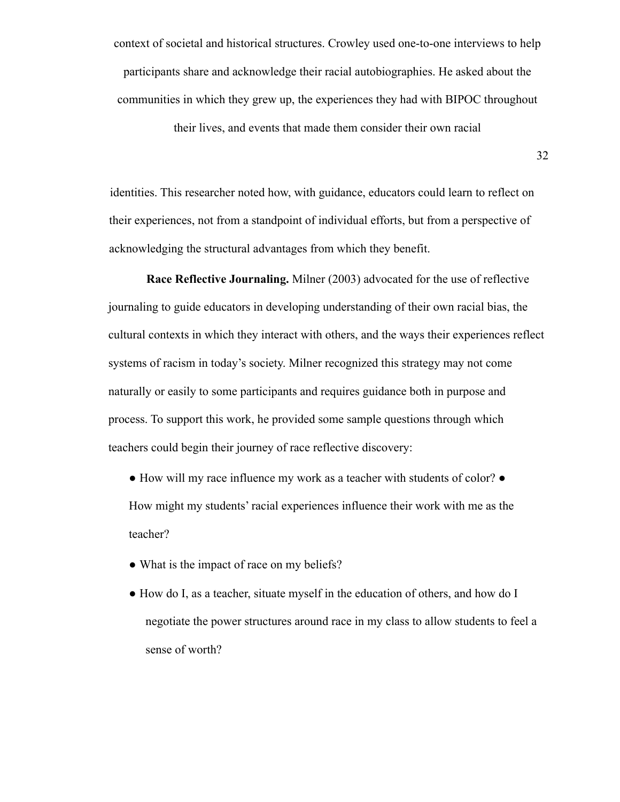context of societal and historical structures. Crowley used one-to-one interviews to help participants share and acknowledge their racial autobiographies. He asked about the communities in which they grew up, the experiences they had with BIPOC throughout their lives, and events that made them consider their own racial

32

identities. This researcher noted how, with guidance, educators could learn to reflect on their experiences, not from a standpoint of individual efforts, but from a perspective of acknowledging the structural advantages from which they benefit.

**Race Reflective Journaling.** Milner (2003) advocated for the use of reflective journaling to guide educators in developing understanding of their own racial bias, the cultural contexts in which they interact with others, and the ways their experiences reflect systems of racism in today's society. Milner recognized this strategy may not come naturally or easily to some participants and requires guidance both in purpose and process. To support this work, he provided some sample questions through which teachers could begin their journey of race reflective discovery:

- How will my race influence my work as a teacher with students of color? How might my students' racial experiences influence their work with me as the teacher?
- What is the impact of race on my beliefs?
- How do I, as a teacher, situate myself in the education of others, and how do I negotiate the power structures around race in my class to allow students to feel a sense of worth?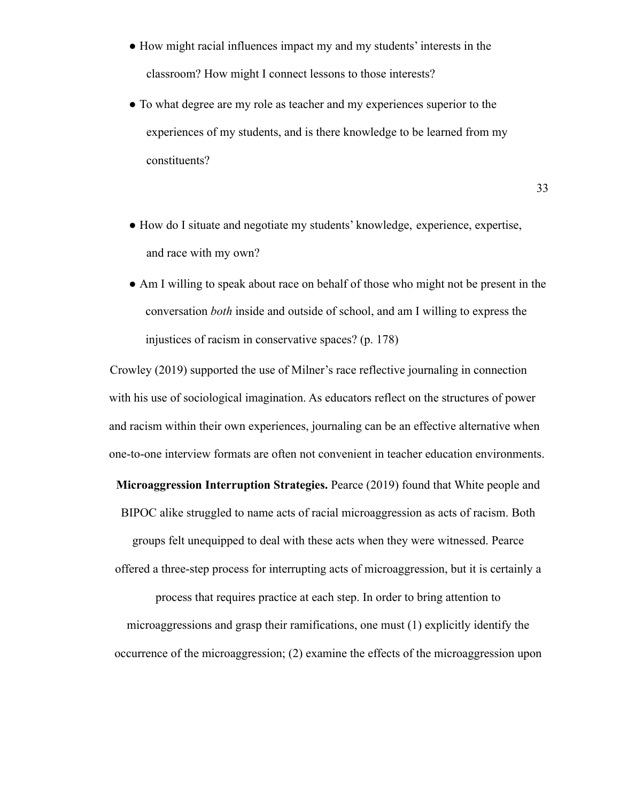- How might racial influences impact my and my students' interests in the classroom? How might I connect lessons to those interests?
- To what degree are my role as teacher and my experiences superior to the experiences of my students, and is there knowledge to be learned from my constituents?

33

- How do I situate and negotiate my students' knowledge, experience, expertise, and race with my own?
- Am I willing to speak about race on behalf of those who might not be present in the conversation *both* inside and outside of school, and am I willing to express the injustices of racism in conservative spaces? (p. 178)

Crowley (2019) supported the use of Milner's race reflective journaling in connection with his use of sociological imagination. As educators reflect on the structures of power and racism within their own experiences, journaling can be an effective alternative when one-to-one interview formats are often not convenient in teacher education environments.

**Microaggression Interruption Strategies.** Pearce (2019) found that White people and BIPOC alike struggled to name acts of racial microaggression as acts of racism. Both groups felt unequipped to deal with these acts when they were witnessed. Pearce offered a three-step process for interrupting acts of microaggression, but it is certainly a process that requires practice at each step. In order to bring attention to microaggressions and grasp their ramifications, one must (1) explicitly identify the occurrence of the microaggression; (2) examine the effects of the microaggression upon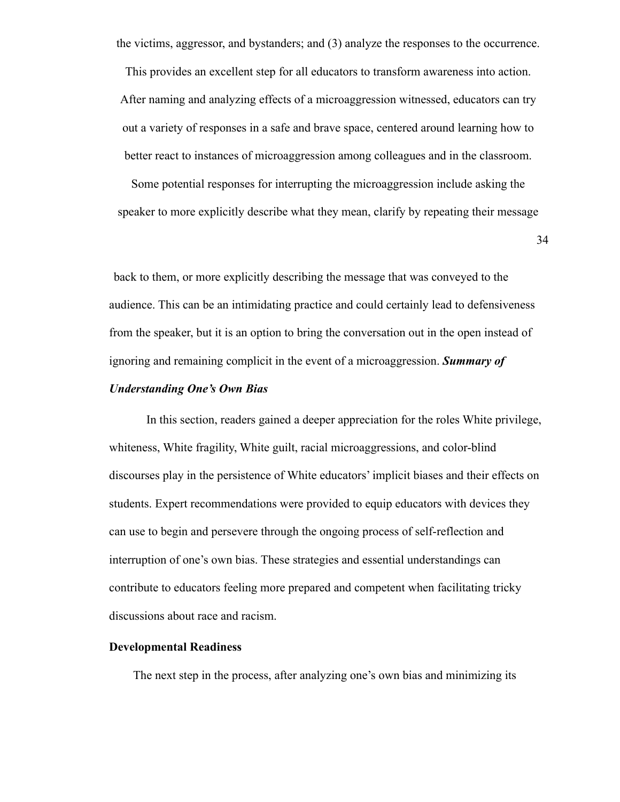the victims, aggressor, and bystanders; and (3) analyze the responses to the occurrence.

This provides an excellent step for all educators to transform awareness into action. After naming and analyzing effects of a microaggression witnessed, educators can try out a variety of responses in a safe and brave space, centered around learning how to better react to instances of microaggression among colleagues and in the classroom.

Some potential responses for interrupting the microaggression include asking the speaker to more explicitly describe what they mean, clarify by repeating their message

34

back to them, or more explicitly describing the message that was conveyed to the audience. This can be an intimidating practice and could certainly lead to defensiveness from the speaker, but it is an option to bring the conversation out in the open instead of ignoring and remaining complicit in the event of a microaggression. *Summary of*

#### *Understanding One's Own Bias*

In this section, readers gained a deeper appreciation for the roles White privilege, whiteness, White fragility, White guilt, racial microaggressions, and color-blind discourses play in the persistence of White educators' implicit biases and their effects on students. Expert recommendations were provided to equip educators with devices they can use to begin and persevere through the ongoing process of self-reflection and interruption of one's own bias. These strategies and essential understandings can contribute to educators feeling more prepared and competent when facilitating tricky discussions about race and racism.

#### **Developmental Readiness**

The next step in the process, after analyzing one's own bias and minimizing its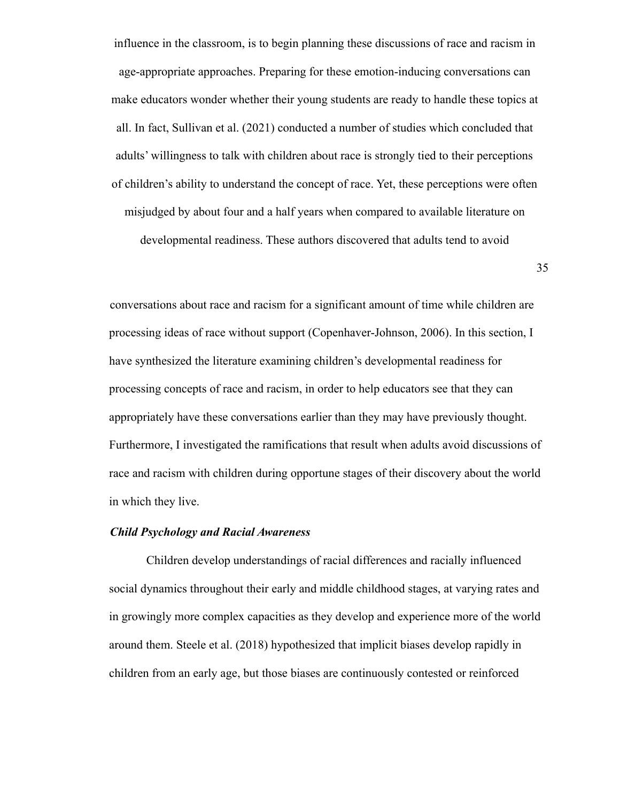influence in the classroom, is to begin planning these discussions of race and racism in age-appropriate approaches. Preparing for these emotion-inducing conversations can make educators wonder whether their young students are ready to handle these topics at all. In fact, Sullivan et al. (2021) conducted a number of studies which concluded that adults' willingness to talk with children about race is strongly tied to their perceptions of children's ability to understand the concept of race. Yet, these perceptions were often misjudged by about four and a half years when compared to available literature on developmental readiness. These authors discovered that adults tend to avoid

35

conversations about race and racism for a significant amount of time while children are processing ideas of race without support (Copenhaver-Johnson, 2006). In this section, I have synthesized the literature examining children's developmental readiness for processing concepts of race and racism, in order to help educators see that they can appropriately have these conversations earlier than they may have previously thought. Furthermore, I investigated the ramifications that result when adults avoid discussions of race and racism with children during opportune stages of their discovery about the world in which they live.

#### *Child Psychology and Racial Awareness*

Children develop understandings of racial differences and racially influenced social dynamics throughout their early and middle childhood stages, at varying rates and in growingly more complex capacities as they develop and experience more of the world around them. Steele et al. (2018) hypothesized that implicit biases develop rapidly in children from an early age, but those biases are continuously contested or reinforced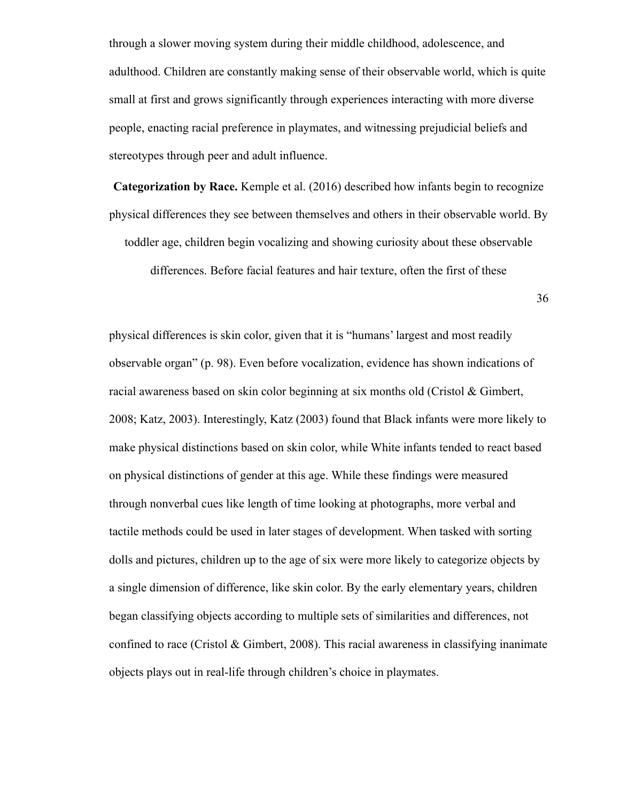through a slower moving system during their middle childhood, adolescence, and adulthood. Children are constantly making sense of their observable world, which is quite small at first and grows significantly through experiences interacting with more diverse people, enacting racial preference in playmates, and witnessing prejudicial beliefs and stereotypes through peer and adult influence.

**Categorization by Race.** Kemple et al. (2016) described how infants begin to recognize physical differences they see between themselves and others in their observable world. By

toddler age, children begin vocalizing and showing curiosity about these observable

differences. Before facial features and hair texture, often the first of these

36

physical differences is skin color, given that it is "humans' largest and most readily observable organ" (p. 98). Even before vocalization, evidence has shown indications of racial awareness based on skin color beginning at six months old (Cristol & Gimbert, 2008; Katz, 2003). Interestingly, Katz (2003) found that Black infants were more likely to make physical distinctions based on skin color, while White infants tended to react based on physical distinctions of gender at this age. While these findings were measured through nonverbal cues like length of time looking at photographs, more verbal and tactile methods could be used in later stages of development. When tasked with sorting dolls and pictures, children up to the age of six were more likely to categorize objects by a single dimension of difference, like skin color. By the early elementary years, children began classifying objects according to multiple sets of similarities and differences, not confined to race (Cristol  $\&$  Gimbert, 2008). This racial awareness in classifying inanimate objects plays out in real-life through children's choice in playmates.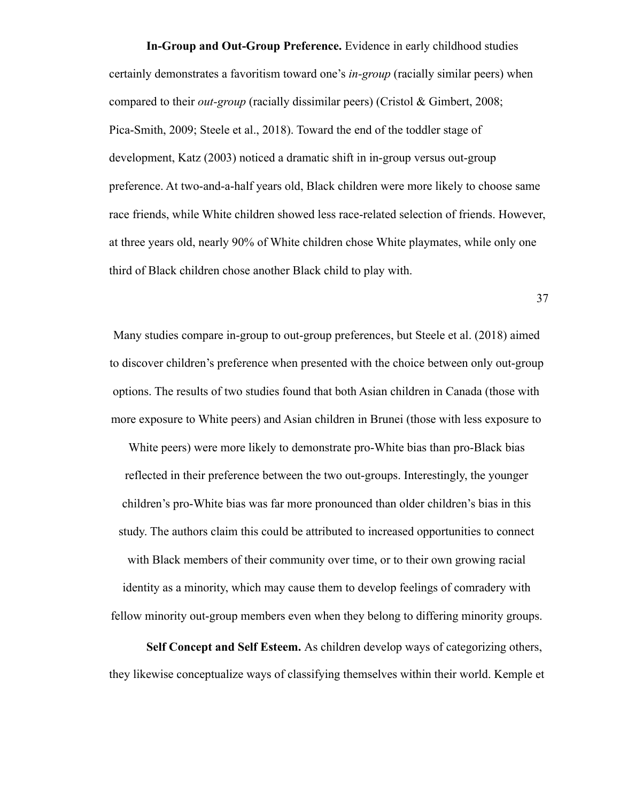**In-Group and Out-Group Preference.** Evidence in early childhood studies certainly demonstrates a favoritism toward one's *in-group* (racially similar peers) when compared to their *out-group* (racially dissimilar peers) (Cristol & Gimbert, 2008; Pica-Smith, 2009; Steele et al., 2018). Toward the end of the toddler stage of development, Katz (2003) noticed a dramatic shift in in-group versus out-group preference. At two-and-a-half years old, Black children were more likely to choose same race friends, while White children showed less race-related selection of friends. However, at three years old, nearly 90% of White children chose White playmates, while only one third of Black children chose another Black child to play with.

37

Many studies compare in-group to out-group preferences, but Steele et al. (2018) aimed to discover children's preference when presented with the choice between only out-group options. The results of two studies found that both Asian children in Canada (those with more exposure to White peers) and Asian children in Brunei (those with less exposure to

White peers) were more likely to demonstrate pro-White bias than pro-Black bias reflected in their preference between the two out-groups. Interestingly, the younger children's pro-White bias was far more pronounced than older children's bias in this study. The authors claim this could be attributed to increased opportunities to connect with Black members of their community over time, or to their own growing racial identity as a minority, which may cause them to develop feelings of comradery with fellow minority out-group members even when they belong to differing minority groups.

**Self Concept and Self Esteem.** As children develop ways of categorizing others, they likewise conceptualize ways of classifying themselves within their world. Kemple et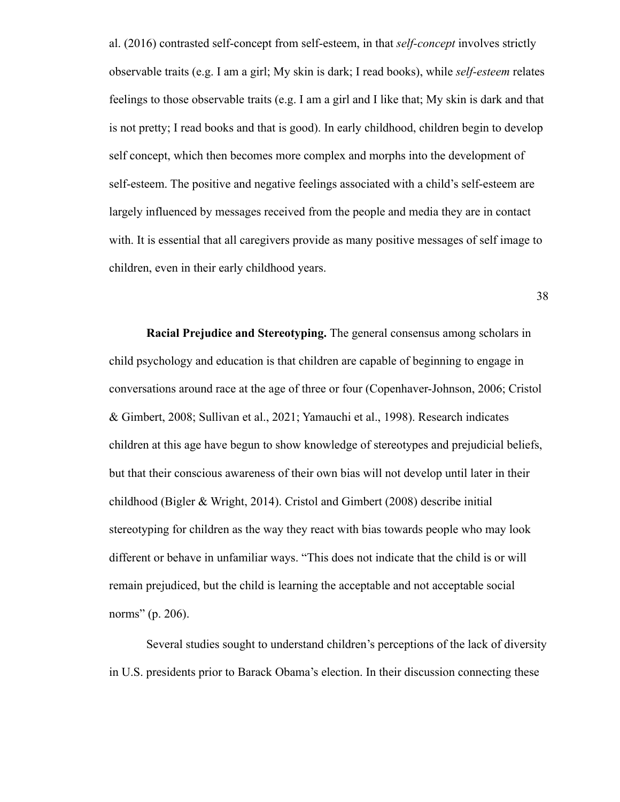al. (2016) contrasted self-concept from self-esteem, in that *self-concept* involves strictly observable traits (e.g. I am a girl; My skin is dark; I read books), while *self-esteem* relates feelings to those observable traits (e.g. I am a girl and I like that; My skin is dark and that is not pretty; I read books and that is good). In early childhood, children begin to develop self concept, which then becomes more complex and morphs into the development of self-esteem. The positive and negative feelings associated with a child's self-esteem are largely influenced by messages received from the people and media they are in contact with. It is essential that all caregivers provide as many positive messages of self image to children, even in their early childhood years.

38

**Racial Prejudice and Stereotyping.** The general consensus among scholars in child psychology and education is that children are capable of beginning to engage in conversations around race at the age of three or four (Copenhaver-Johnson, 2006; Cristol & Gimbert, 2008; Sullivan et al., 2021; Yamauchi et al., 1998). Research indicates children at this age have begun to show knowledge of stereotypes and prejudicial beliefs, but that their conscious awareness of their own bias will not develop until later in their childhood (Bigler & Wright, 2014). Cristol and Gimbert (2008) describe initial stereotyping for children as the way they react with bias towards people who may look different or behave in unfamiliar ways. "This does not indicate that the child is or will remain prejudiced, but the child is learning the acceptable and not acceptable social norms" (p. 206).

Several studies sought to understand children's perceptions of the lack of diversity in U.S. presidents prior to Barack Obama's election. In their discussion connecting these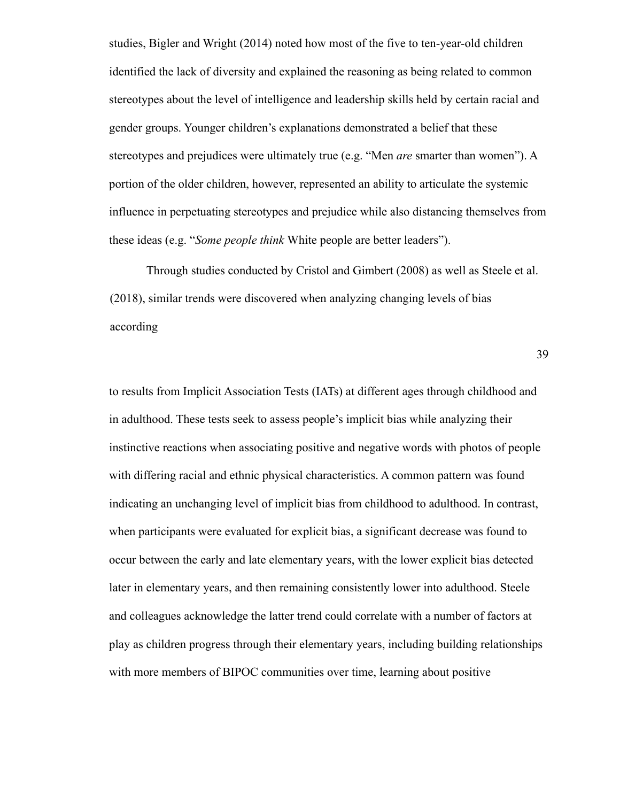studies, Bigler and Wright (2014) noted how most of the five to ten-year-old children identified the lack of diversity and explained the reasoning as being related to common stereotypes about the level of intelligence and leadership skills held by certain racial and gender groups. Younger children's explanations demonstrated a belief that these stereotypes and prejudices were ultimately true (e.g. "Men *are* smarter than women"). A portion of the older children, however, represented an ability to articulate the systemic influence in perpetuating stereotypes and prejudice while also distancing themselves from these ideas (e.g. "*Some people think* White people are better leaders").

Through studies conducted by Cristol and Gimbert (2008) as well as Steele et al. (2018), similar trends were discovered when analyzing changing levels of bias according

39

to results from Implicit Association Tests (IATs) at different ages through childhood and in adulthood. These tests seek to assess people's implicit bias while analyzing their instinctive reactions when associating positive and negative words with photos of people with differing racial and ethnic physical characteristics. A common pattern was found indicating an unchanging level of implicit bias from childhood to adulthood. In contrast, when participants were evaluated for explicit bias, a significant decrease was found to occur between the early and late elementary years, with the lower explicit bias detected later in elementary years, and then remaining consistently lower into adulthood. Steele and colleagues acknowledge the latter trend could correlate with a number of factors at play as children progress through their elementary years, including building relationships with more members of BIPOC communities over time, learning about positive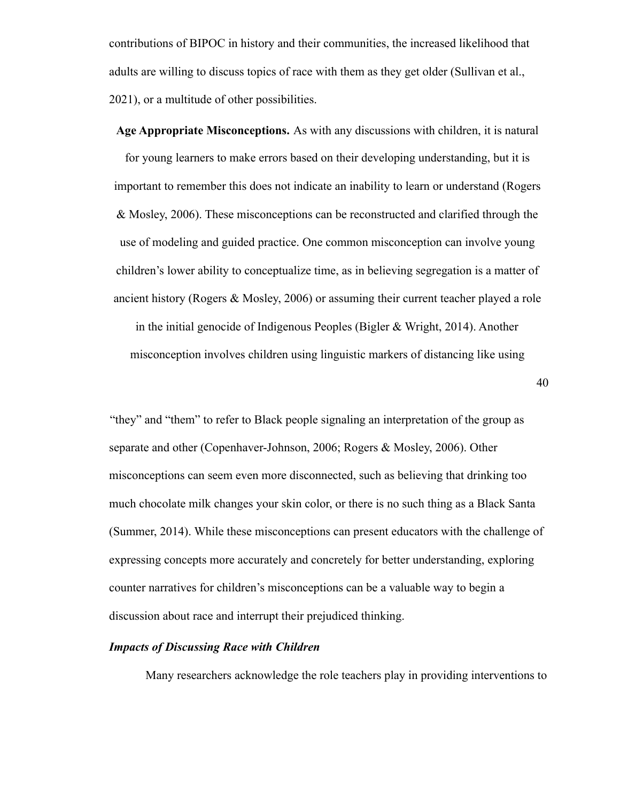contributions of BIPOC in history and their communities, the increased likelihood that adults are willing to discuss topics of race with them as they get older (Sullivan et al., 2021), or a multitude of other possibilities.

**Age Appropriate Misconceptions.** As with any discussions with children, it is natural for young learners to make errors based on their developing understanding, but it is important to remember this does not indicate an inability to learn or understand (Rogers & Mosley, 2006). These misconceptions can be reconstructed and clarified through the use of modeling and guided practice. One common misconception can involve young children's lower ability to conceptualize time, as in believing segregation is a matter of ancient history (Rogers & Mosley, 2006) or assuming their current teacher played a role in the initial genocide of Indigenous Peoples (Bigler & Wright, 2014). Another misconception involves children using linguistic markers of distancing like using

40

"they" and "them" to refer to Black people signaling an interpretation of the group as separate and other (Copenhaver-Johnson, 2006; Rogers & Mosley, 2006). Other misconceptions can seem even more disconnected, such as believing that drinking too much chocolate milk changes your skin color, or there is no such thing as a Black Santa (Summer, 2014). While these misconceptions can present educators with the challenge of expressing concepts more accurately and concretely for better understanding, exploring counter narratives for children's misconceptions can be a valuable way to begin a discussion about race and interrupt their prejudiced thinking.

# *Impacts of Discussing Race with Children*

Many researchers acknowledge the role teachers play in providing interventions to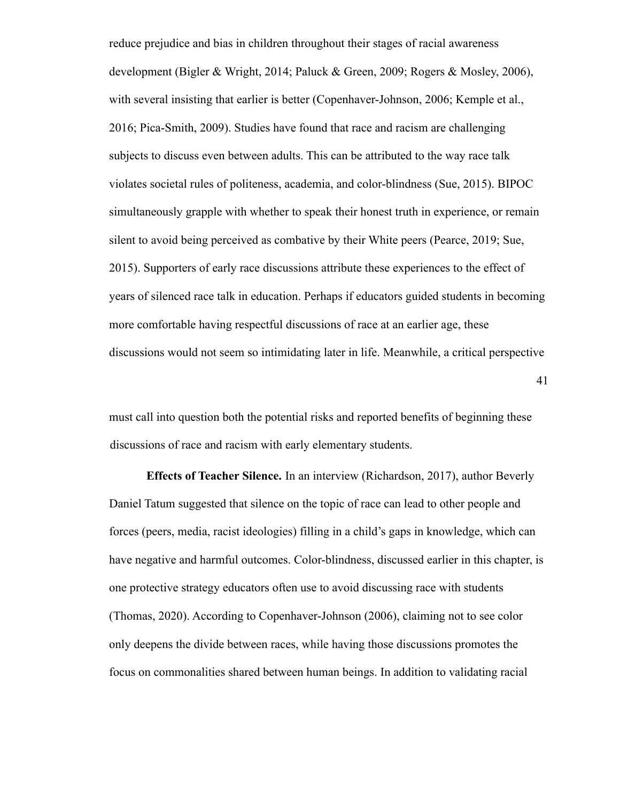reduce prejudice and bias in children throughout their stages of racial awareness development (Bigler & Wright, 2014; Paluck & Green, 2009; Rogers & Mosley, 2006), with several insisting that earlier is better (Copenhaver-Johnson, 2006; Kemple et al., 2016; Pica-Smith, 2009). Studies have found that race and racism are challenging subjects to discuss even between adults. This can be attributed to the way race talk violates societal rules of politeness, academia, and color-blindness (Sue, 2015). BIPOC simultaneously grapple with whether to speak their honest truth in experience, or remain silent to avoid being perceived as combative by their White peers (Pearce, 2019; Sue, 2015). Supporters of early race discussions attribute these experiences to the effect of years of silenced race talk in education. Perhaps if educators guided students in becoming more comfortable having respectful discussions of race at an earlier age, these discussions would not seem so intimidating later in life. Meanwhile, a critical perspective

41

must call into question both the potential risks and reported benefits of beginning these discussions of race and racism with early elementary students.

**Effects of Teacher Silence.** In an interview (Richardson, 2017), author Beverly Daniel Tatum suggested that silence on the topic of race can lead to other people and forces (peers, media, racist ideologies) filling in a child's gaps in knowledge, which can have negative and harmful outcomes. Color-blindness, discussed earlier in this chapter, is one protective strategy educators often use to avoid discussing race with students (Thomas, 2020). According to Copenhaver-Johnson (2006), claiming not to see color only deepens the divide between races, while having those discussions promotes the focus on commonalities shared between human beings. In addition to validating racial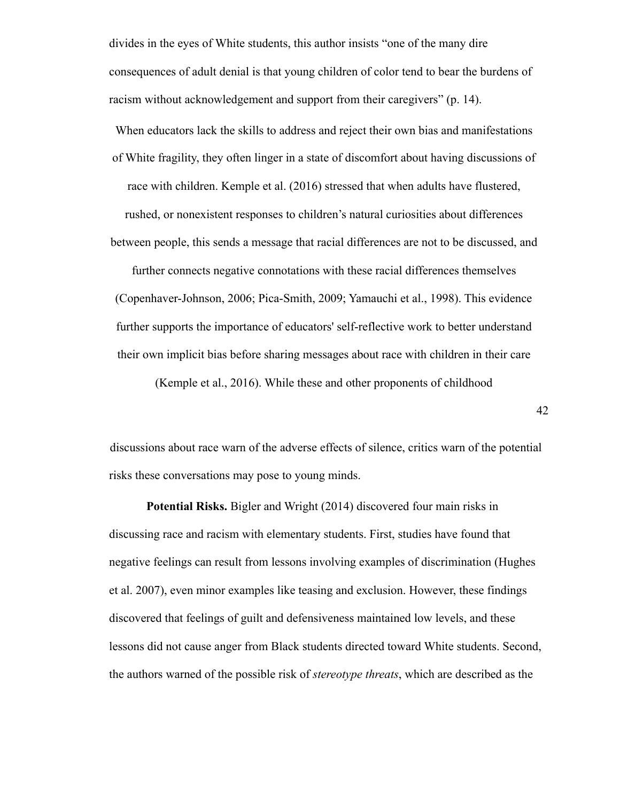divides in the eyes of White students, this author insists "one of the many dire consequences of adult denial is that young children of color tend to bear the burdens of racism without acknowledgement and support from their caregivers" (p. 14).

When educators lack the skills to address and reject their own bias and manifestations of White fragility, they often linger in a state of discomfort about having discussions of race with children. Kemple et al. (2016) stressed that when adults have flustered, rushed, or nonexistent responses to children's natural curiosities about differences between people, this sends a message that racial differences are not to be discussed, and

further connects negative connotations with these racial differences themselves (Copenhaver-Johnson, 2006; Pica-Smith, 2009; Yamauchi et al., 1998). This evidence further supports the importance of educators' self-reflective work to better understand their own implicit bias before sharing messages about race with children in their care

(Kemple et al., 2016). While these and other proponents of childhood

42

discussions about race warn of the adverse effects of silence, critics warn of the potential risks these conversations may pose to young minds.

**Potential Risks.** Bigler and Wright (2014) discovered four main risks in discussing race and racism with elementary students. First, studies have found that negative feelings can result from lessons involving examples of discrimination (Hughes et al. 2007), even minor examples like teasing and exclusion. However, these findings discovered that feelings of guilt and defensiveness maintained low levels, and these lessons did not cause anger from Black students directed toward White students. Second, the authors warned of the possible risk of *stereotype threats*, which are described as the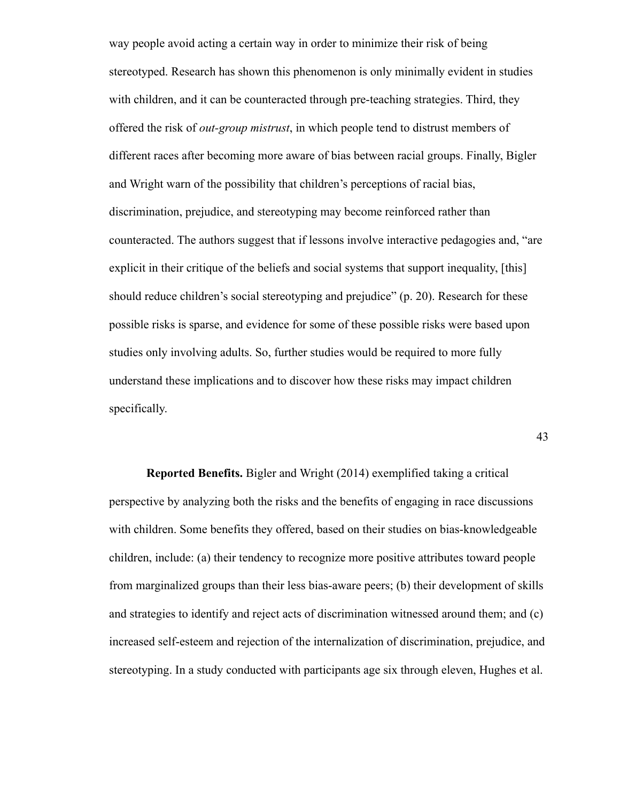way people avoid acting a certain way in order to minimize their risk of being stereotyped. Research has shown this phenomenon is only minimally evident in studies with children, and it can be counteracted through pre-teaching strategies. Third, they offered the risk of *out-group mistrust*, in which people tend to distrust members of different races after becoming more aware of bias between racial groups. Finally, Bigler and Wright warn of the possibility that children's perceptions of racial bias, discrimination, prejudice, and stereotyping may become reinforced rather than counteracted. The authors suggest that if lessons involve interactive pedagogies and, "are explicit in their critique of the beliefs and social systems that support inequality, [this] should reduce children's social stereotyping and prejudice" (p. 20). Research for these possible risks is sparse, and evidence for some of these possible risks were based upon studies only involving adults. So, further studies would be required to more fully understand these implications and to discover how these risks may impact children specifically.

43

**Reported Benefits.** Bigler and Wright (2014) exemplified taking a critical perspective by analyzing both the risks and the benefits of engaging in race discussions with children. Some benefits they offered, based on their studies on bias-knowledgeable children, include: (a) their tendency to recognize more positive attributes toward people from marginalized groups than their less bias-aware peers; (b) their development of skills and strategies to identify and reject acts of discrimination witnessed around them; and (c) increased self-esteem and rejection of the internalization of discrimination, prejudice, and stereotyping. In a study conducted with participants age six through eleven, Hughes et al.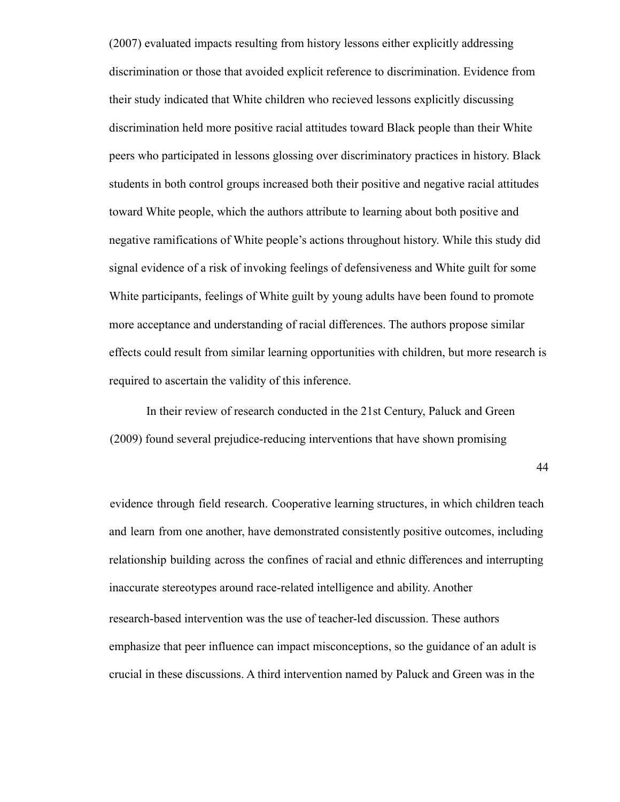(2007) evaluated impacts resulting from history lessons either explicitly addressing discrimination or those that avoided explicit reference to discrimination. Evidence from their study indicated that White children who recieved lessons explicitly discussing discrimination held more positive racial attitudes toward Black people than their White peers who participated in lessons glossing over discriminatory practices in history. Black students in both control groups increased both their positive and negative racial attitudes toward White people, which the authors attribute to learning about both positive and negative ramifications of White people's actions throughout history. While this study did signal evidence of a risk of invoking feelings of defensiveness and White guilt for some White participants, feelings of White guilt by young adults have been found to promote more acceptance and understanding of racial differences. The authors propose similar effects could result from similar learning opportunities with children, but more research is required to ascertain the validity of this inference.

In their review of research conducted in the 21st Century, Paluck and Green (2009) found several prejudice-reducing interventions that have shown promising

44

evidence through field research. Cooperative learning structures, in which children teach and learn from one another, have demonstrated consistently positive outcomes, including relationship building across the confines of racial and ethnic differences and interrupting inaccurate stereotypes around race-related intelligence and ability. Another research-based intervention was the use of teacher-led discussion. These authors emphasize that peer influence can impact misconceptions, so the guidance of an adult is crucial in these discussions. A third intervention named by Paluck and Green was in the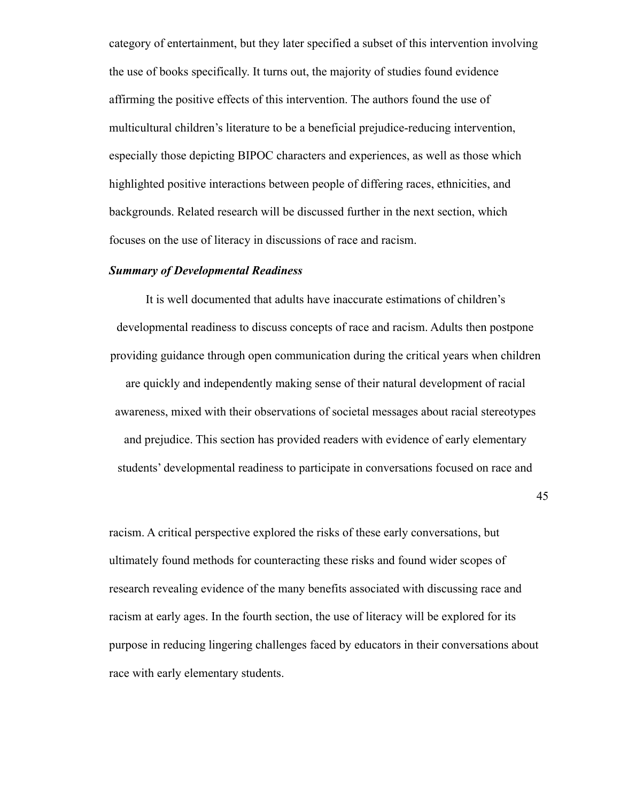category of entertainment, but they later specified a subset of this intervention involving the use of books specifically. It turns out, the majority of studies found evidence affirming the positive effects of this intervention. The authors found the use of multicultural children's literature to be a beneficial prejudice-reducing intervention, especially those depicting BIPOC characters and experiences, as well as those which highlighted positive interactions between people of differing races, ethnicities, and backgrounds. Related research will be discussed further in the next section, which focuses on the use of literacy in discussions of race and racism.

#### *Summary of Developmental Readiness*

It is well documented that adults have inaccurate estimations of children's developmental readiness to discuss concepts of race and racism. Adults then postpone providing guidance through open communication during the critical years when children are quickly and independently making sense of their natural development of racial awareness, mixed with their observations of societal messages about racial stereotypes and prejudice. This section has provided readers with evidence of early elementary students' developmental readiness to participate in conversations focused on race and

45

racism. A critical perspective explored the risks of these early conversations, but ultimately found methods for counteracting these risks and found wider scopes of research revealing evidence of the many benefits associated with discussing race and racism at early ages. In the fourth section, the use of literacy will be explored for its purpose in reducing lingering challenges faced by educators in their conversations about race with early elementary students.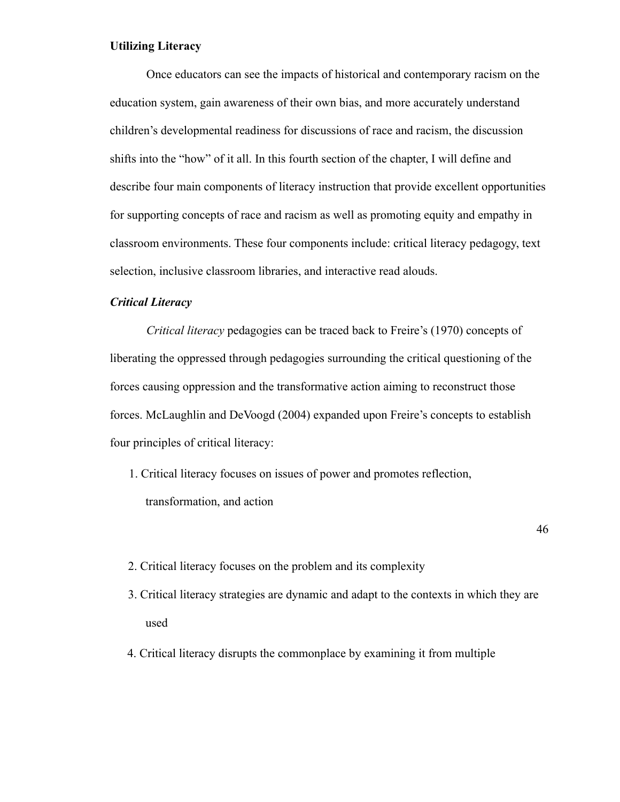# **Utilizing Literacy**

Once educators can see the impacts of historical and contemporary racism on the education system, gain awareness of their own bias, and more accurately understand children's developmental readiness for discussions of race and racism, the discussion shifts into the "how" of it all. In this fourth section of the chapter, I will define and describe four main components of literacy instruction that provide excellent opportunities for supporting concepts of race and racism as well as promoting equity and empathy in classroom environments. These four components include: critical literacy pedagogy, text selection, inclusive classroom libraries, and interactive read alouds.

# *Critical Literacy*

*Critical literacy* pedagogies can be traced back to Freire's (1970) concepts of liberating the oppressed through pedagogies surrounding the critical questioning of the forces causing oppression and the transformative action aiming to reconstruct those forces. McLaughlin and DeVoogd (2004) expanded upon Freire's concepts to establish four principles of critical literacy:

1. Critical literacy focuses on issues of power and promotes reflection, transformation, and action

46

- 2. Critical literacy focuses on the problem and its complexity
- 3. Critical literacy strategies are dynamic and adapt to the contexts in which they are used
- 4. Critical literacy disrupts the commonplace by examining it from multiple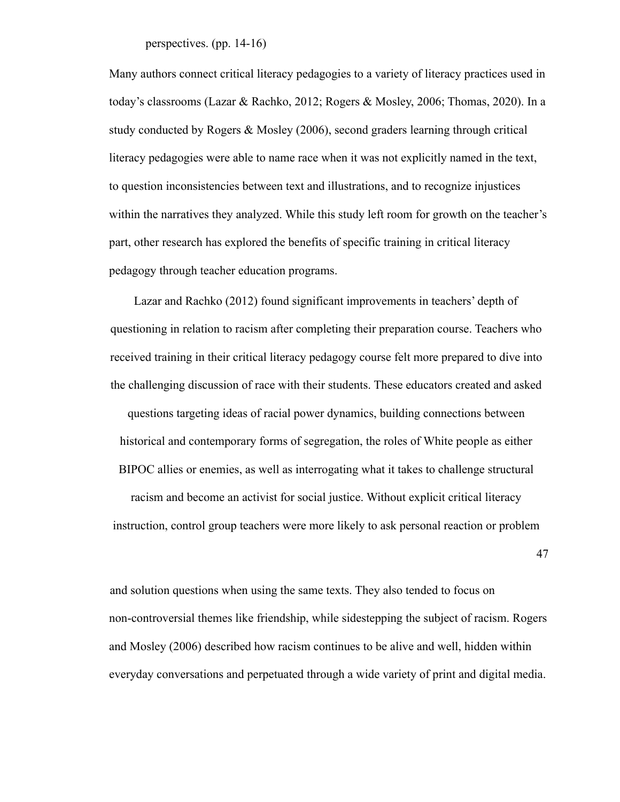perspectives. (pp. 14-16)

Many authors connect critical literacy pedagogies to a variety of literacy practices used in today's classrooms (Lazar & Rachko, 2012; Rogers & Mosley, 2006; Thomas, 2020). In a study conducted by Rogers & Mosley (2006), second graders learning through critical literacy pedagogies were able to name race when it was not explicitly named in the text, to question inconsistencies between text and illustrations, and to recognize injustices within the narratives they analyzed. While this study left room for growth on the teacher's part, other research has explored the benefits of specific training in critical literacy pedagogy through teacher education programs.

Lazar and Rachko (2012) found significant improvements in teachers' depth of questioning in relation to racism after completing their preparation course. Teachers who received training in their critical literacy pedagogy course felt more prepared to dive into the challenging discussion of race with their students. These educators created and asked questions targeting ideas of racial power dynamics, building connections between historical and contemporary forms of segregation, the roles of White people as either BIPOC allies or enemies, as well as interrogating what it takes to challenge structural racism and become an activist for social justice. Without explicit critical literacy instruction, control group teachers were more likely to ask personal reaction or problem

47

and solution questions when using the same texts. They also tended to focus on non-controversial themes like friendship, while sidestepping the subject of racism. Rogers and Mosley (2006) described how racism continues to be alive and well, hidden within everyday conversations and perpetuated through a wide variety of print and digital media.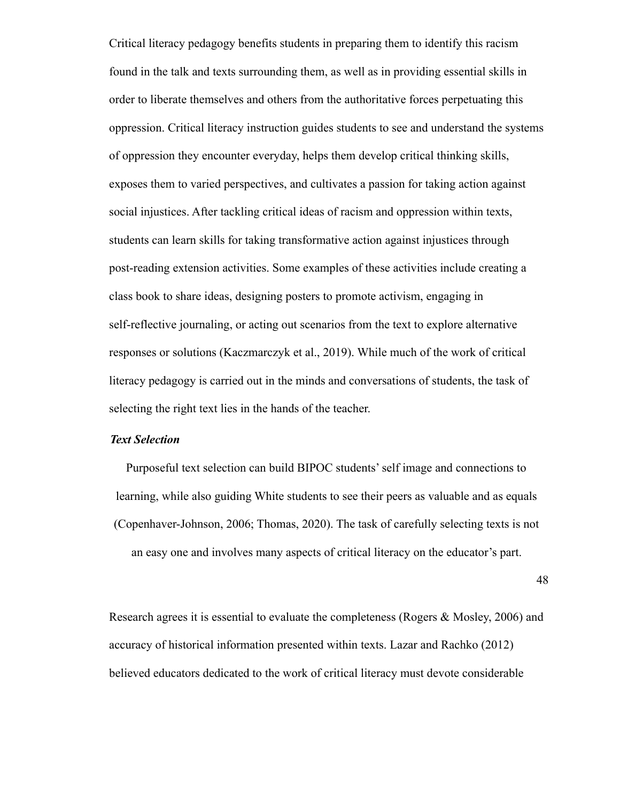Critical literacy pedagogy benefits students in preparing them to identify this racism found in the talk and texts surrounding them, as well as in providing essential skills in order to liberate themselves and others from the authoritative forces perpetuating this oppression. Critical literacy instruction guides students to see and understand the systems of oppression they encounter everyday, helps them develop critical thinking skills, exposes them to varied perspectives, and cultivates a passion for taking action against social injustices. After tackling critical ideas of racism and oppression within texts, students can learn skills for taking transformative action against injustices through post-reading extension activities. Some examples of these activities include creating a class book to share ideas, designing posters to promote activism, engaging in self-reflective journaling, or acting out scenarios from the text to explore alternative responses or solutions (Kaczmarczyk et al., 2019). While much of the work of critical literacy pedagogy is carried out in the minds and conversations of students, the task of selecting the right text lies in the hands of the teacher.

#### *Text Selection*

Purposeful text selection can build BIPOC students' self image and connections to learning, while also guiding White students to see their peers as valuable and as equals (Copenhaver-Johnson, 2006; Thomas, 2020). The task of carefully selecting texts is not an easy one and involves many aspects of critical literacy on the educator's part.

48

Research agrees it is essential to evaluate the completeness (Rogers & Mosley, 2006) and accuracy of historical information presented within texts. Lazar and Rachko (2012) believed educators dedicated to the work of critical literacy must devote considerable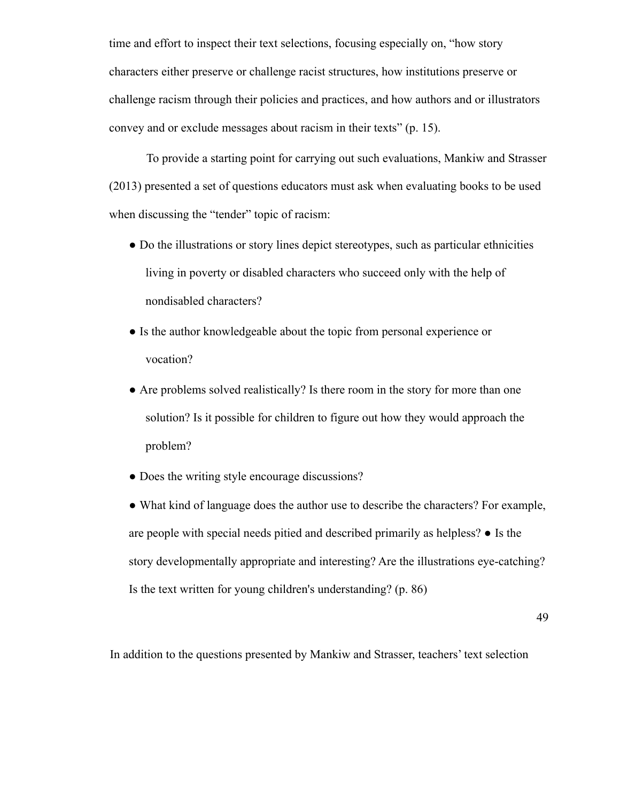time and effort to inspect their text selections, focusing especially on, "how story characters either preserve or challenge racist structures, how institutions preserve or challenge racism through their policies and practices, and how authors and or illustrators convey and or exclude messages about racism in their texts" (p. 15).

To provide a starting point for carrying out such evaluations, Mankiw and Strasser (2013) presented a set of questions educators must ask when evaluating books to be used when discussing the "tender" topic of racism:

- Do the illustrations or story lines depict stereotypes, such as particular ethnicities living in poverty or disabled characters who succeed only with the help of nondisabled characters?
- Is the author knowledgeable about the topic from personal experience or vocation?
- Are problems solved realistically? Is there room in the story for more than one solution? Is it possible for children to figure out how they would approach the problem?
- Does the writing style encourage discussions?
- What kind of language does the author use to describe the characters? For example, are people with special needs pitied and described primarily as helpless? ● Is the story developmentally appropriate and interesting? Are the illustrations eye-catching? Is the text written for young children's understanding? (p. 86)

49

In addition to the questions presented by Mankiw and Strasser, teachers' text selection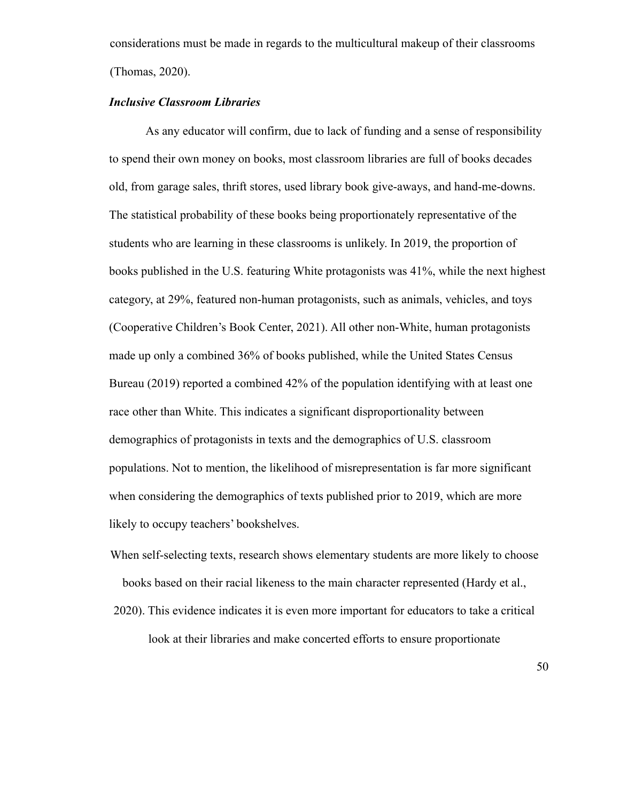considerations must be made in regards to the multicultural makeup of their classrooms (Thomas, 2020).

# *Inclusive Classroom Libraries*

As any educator will confirm, due to lack of funding and a sense of responsibility to spend their own money on books, most classroom libraries are full of books decades old, from garage sales, thrift stores, used library book give-aways, and hand-me-downs. The statistical probability of these books being proportionately representative of the students who are learning in these classrooms is unlikely. In 2019, the proportion of books published in the U.S. featuring White protagonists was 41%, while the next highest category, at 29%, featured non-human protagonists, such as animals, vehicles, and toys (Cooperative Children's Book Center, 2021). All other non-White, human protagonists made up only a combined 36% of books published, while the United States Census Bureau (2019) reported a combined 42% of the population identifying with at least one race other than White. This indicates a significant disproportionality between demographics of protagonists in texts and the demographics of U.S. classroom populations. Not to mention, the likelihood of misrepresentation is far more significant when considering the demographics of texts published prior to 2019, which are more likely to occupy teachers' bookshelves.

- When self-selecting texts, research shows elementary students are more likely to choose books based on their racial likeness to the main character represented (Hardy et al.,
- 2020). This evidence indicates it is even more important for educators to take a critical look at their libraries and make concerted efforts to ensure proportionate

50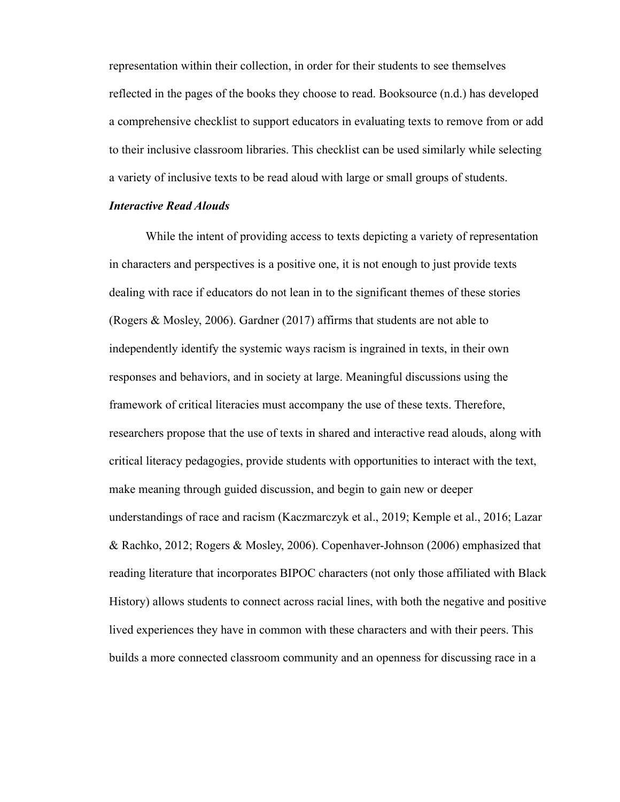representation within their collection, in order for their students to see themselves reflected in the pages of the books they choose to read. Booksource (n.d.) has developed a comprehensive checklist to support educators in evaluating texts to remove from or add to their inclusive classroom libraries. This checklist can be used similarly while selecting a variety of inclusive texts to be read aloud with large or small groups of students.

#### *Interactive Read Alouds*

While the intent of providing access to texts depicting a variety of representation in characters and perspectives is a positive one, it is not enough to just provide texts dealing with race if educators do not lean in to the significant themes of these stories (Rogers & Mosley, 2006). Gardner (2017) affirms that students are not able to independently identify the systemic ways racism is ingrained in texts, in their own responses and behaviors, and in society at large. Meaningful discussions using the framework of critical literacies must accompany the use of these texts. Therefore, researchers propose that the use of texts in shared and interactive read alouds, along with critical literacy pedagogies, provide students with opportunities to interact with the text, make meaning through guided discussion, and begin to gain new or deeper understandings of race and racism (Kaczmarczyk et al., 2019; Kemple et al., 2016; Lazar & Rachko, 2012; Rogers & Mosley, 2006). Copenhaver-Johnson (2006) emphasized that reading literature that incorporates BIPOC characters (not only those affiliated with Black History) allows students to connect across racial lines, with both the negative and positive lived experiences they have in common with these characters and with their peers. This builds a more connected classroom community and an openness for discussing race in a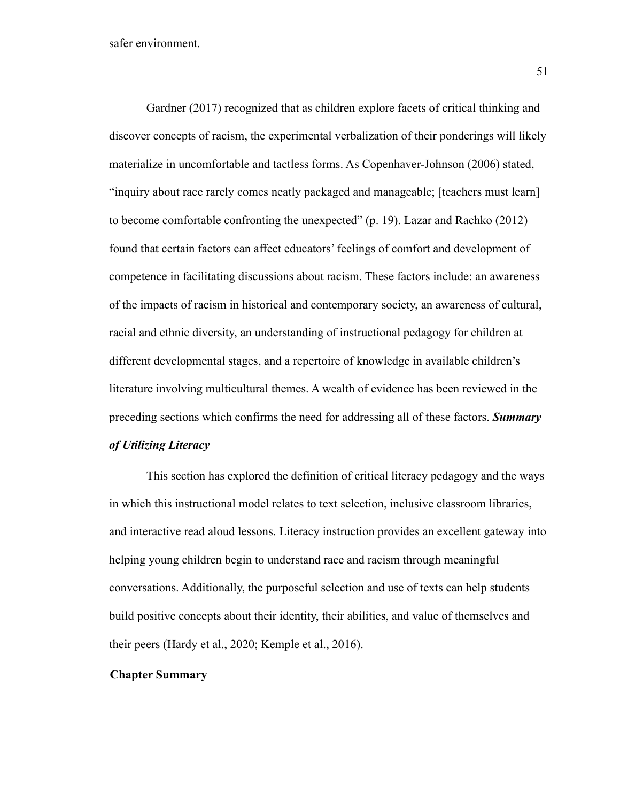Gardner (2017) recognized that as children explore facets of critical thinking and discover concepts of racism, the experimental verbalization of their ponderings will likely materialize in uncomfortable and tactless forms. As Copenhaver-Johnson (2006) stated, "inquiry about race rarely comes neatly packaged and manageable; [teachers must learn] to become comfortable confronting the unexpected" (p. 19). Lazar and Rachko (2012) found that certain factors can affect educators' feelings of comfort and development of competence in facilitating discussions about racism. These factors include: an awareness of the impacts of racism in historical and contemporary society, an awareness of cultural, racial and ethnic diversity, an understanding of instructional pedagogy for children at different developmental stages, and a repertoire of knowledge in available children's literature involving multicultural themes. A wealth of evidence has been reviewed in the preceding sections which confirms the need for addressing all of these factors. *Summary of Utilizing Literacy*

This section has explored the definition of critical literacy pedagogy and the ways in which this instructional model relates to text selection, inclusive classroom libraries, and interactive read aloud lessons. Literacy instruction provides an excellent gateway into helping young children begin to understand race and racism through meaningful conversations. Additionally, the purposeful selection and use of texts can help students build positive concepts about their identity, their abilities, and value of themselves and their peers (Hardy et al., 2020; Kemple et al., 2016).

### **Chapter Summary**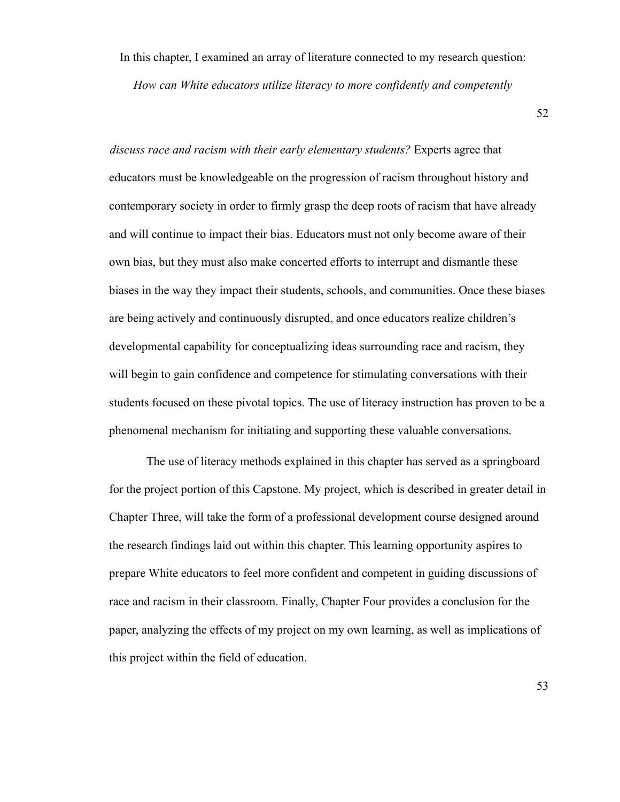In this chapter, I examined an array of literature connected to my research question:

*How can White educators utilize literacy to more confidently and competently*

52

*discuss race and racism with their early elementary students?* Experts agree that educators must be knowledgeable on the progression of racism throughout history and contemporary society in order to firmly grasp the deep roots of racism that have already and will continue to impact their bias. Educators must not only become aware of their own bias, but they must also make concerted efforts to interrupt and dismantle these biases in the way they impact their students, schools, and communities. Once these biases are being actively and continuously disrupted, and once educators realize children's developmental capability for conceptualizing ideas surrounding race and racism, they will begin to gain confidence and competence for stimulating conversations with their students focused on these pivotal topics. The use of literacy instruction has proven to be a phenomenal mechanism for initiating and supporting these valuable conversations.

The use of literacy methods explained in this chapter has served as a springboard for the project portion of this Capstone. My project, which is described in greater detail in Chapter Three, will take the form of a professional development course designed around the research findings laid out within this chapter. This learning opportunity aspires to prepare White educators to feel more confident and competent in guiding discussions of race and racism in their classroom. Finally, Chapter Four provides a conclusion for the paper, analyzing the effects of my project on my own learning, as well as implications of this project within the field of education.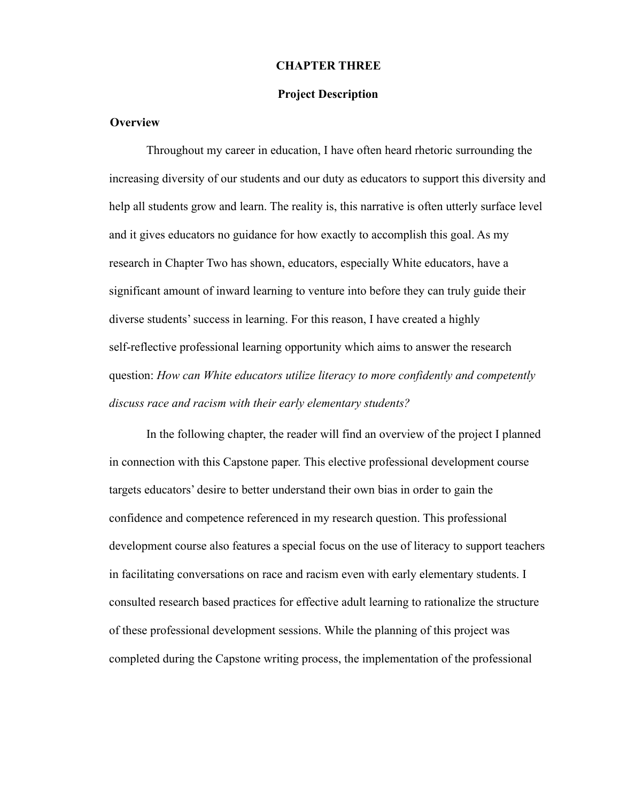#### **CHAPTER THREE**

#### **Project Description**

#### **Overview**

Throughout my career in education, I have often heard rhetoric surrounding the increasing diversity of our students and our duty as educators to support this diversity and help all students grow and learn. The reality is, this narrative is often utterly surface level and it gives educators no guidance for how exactly to accomplish this goal. As my research in Chapter Two has shown, educators, especially White educators, have a significant amount of inward learning to venture into before they can truly guide their diverse students' success in learning. For this reason, I have created a highly self-reflective professional learning opportunity which aims to answer the research question: *How can White educators utilize literacy to more confidently and competently discuss race and racism with their early elementary students?*

In the following chapter, the reader will find an overview of the project I planned in connection with this Capstone paper. This elective professional development course targets educators' desire to better understand their own bias in order to gain the confidence and competence referenced in my research question. This professional development course also features a special focus on the use of literacy to support teachers in facilitating conversations on race and racism even with early elementary students. I consulted research based practices for effective adult learning to rationalize the structure of these professional development sessions. While the planning of this project was completed during the Capstone writing process, the implementation of the professional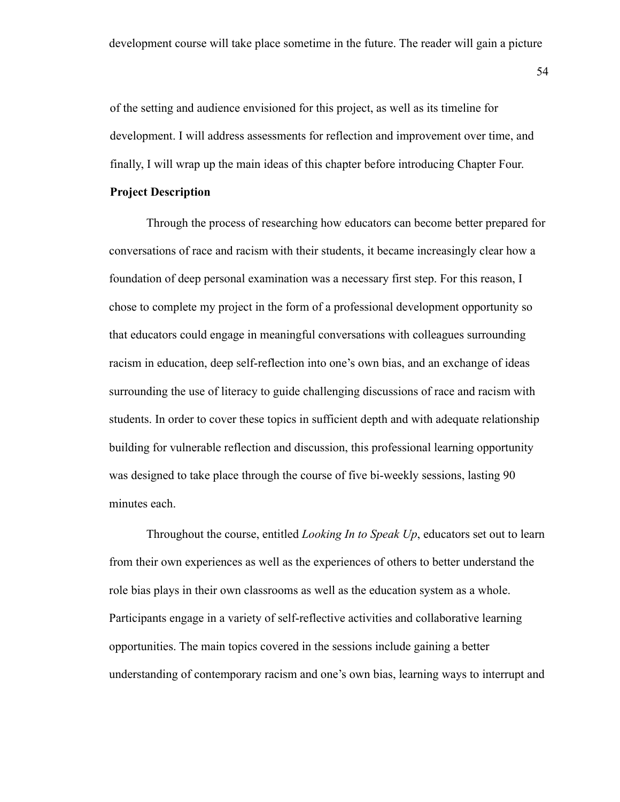of the setting and audience envisioned for this project, as well as its timeline for development. I will address assessments for reflection and improvement over time, and finally, I will wrap up the main ideas of this chapter before introducing Chapter Four.

# **Project Description**

Through the process of researching how educators can become better prepared for conversations of race and racism with their students, it became increasingly clear how a foundation of deep personal examination was a necessary first step. For this reason, I chose to complete my project in the form of a professional development opportunity so that educators could engage in meaningful conversations with colleagues surrounding racism in education, deep self-reflection into one's own bias, and an exchange of ideas surrounding the use of literacy to guide challenging discussions of race and racism with students. In order to cover these topics in sufficient depth and with adequate relationship building for vulnerable reflection and discussion, this professional learning opportunity was designed to take place through the course of five bi-weekly sessions, lasting 90 minutes each.

Throughout the course, entitled *Looking In to Speak Up*, educators set out to learn from their own experiences as well as the experiences of others to better understand the role bias plays in their own classrooms as well as the education system as a whole. Participants engage in a variety of self-reflective activities and collaborative learning opportunities. The main topics covered in the sessions include gaining a better understanding of contemporary racism and one's own bias, learning ways to interrupt and

54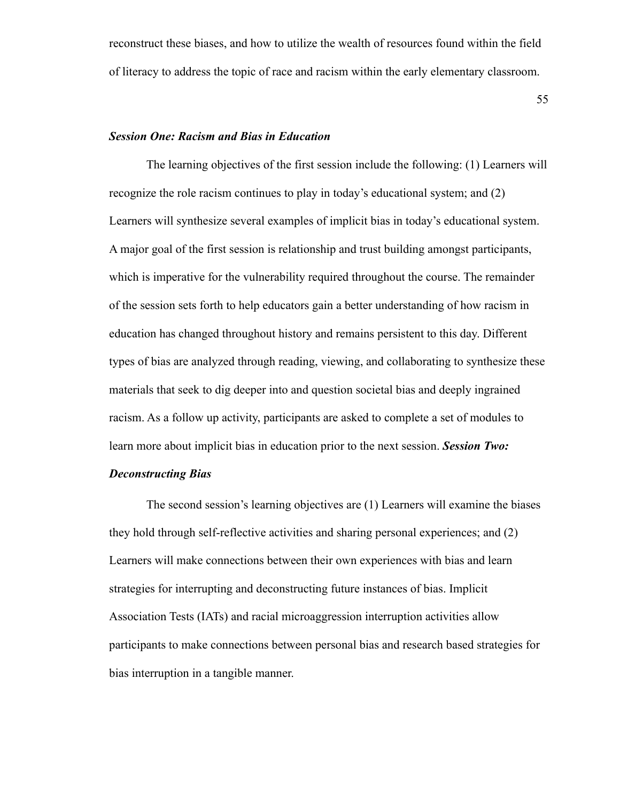reconstruct these biases, and how to utilize the wealth of resources found within the field of literacy to address the topic of race and racism within the early elementary classroom.

55

#### *Session One: Racism and Bias in Education*

The learning objectives of the first session include the following: (1) Learners will recognize the role racism continues to play in today's educational system; and (2) Learners will synthesize several examples of implicit bias in today's educational system. A major goal of the first session is relationship and trust building amongst participants, which is imperative for the vulnerability required throughout the course. The remainder of the session sets forth to help educators gain a better understanding of how racism in education has changed throughout history and remains persistent to this day. Different types of bias are analyzed through reading, viewing, and collaborating to synthesize these materials that seek to dig deeper into and question societal bias and deeply ingrained racism. As a follow up activity, participants are asked to complete a set of modules to learn more about implicit bias in education prior to the next session. *Session Two:*

# *Deconstructing Bias*

The second session's learning objectives are (1) Learners will examine the biases they hold through self-reflective activities and sharing personal experiences; and (2) Learners will make connections between their own experiences with bias and learn strategies for interrupting and deconstructing future instances of bias. Implicit Association Tests (IATs) and racial microaggression interruption activities allow participants to make connections between personal bias and research based strategies for bias interruption in a tangible manner.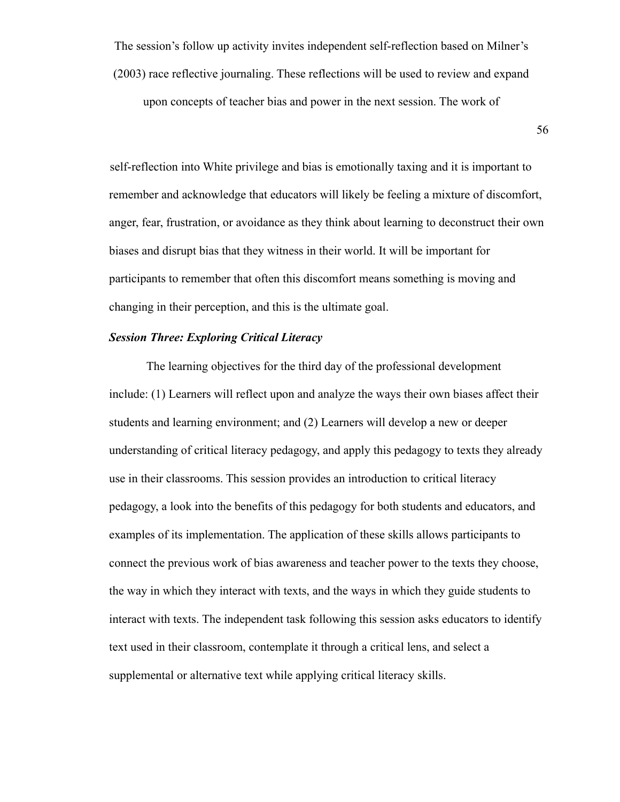The session's follow up activity invites independent self-reflection based on Milner's (2003) race reflective journaling. These reflections will be used to review and expand upon concepts of teacher bias and power in the next session. The work of

56

self-reflection into White privilege and bias is emotionally taxing and it is important to remember and acknowledge that educators will likely be feeling a mixture of discomfort, anger, fear, frustration, or avoidance as they think about learning to deconstruct their own biases and disrupt bias that they witness in their world. It will be important for participants to remember that often this discomfort means something is moving and changing in their perception, and this is the ultimate goal.

#### *Session Three: Exploring Critical Literacy*

The learning objectives for the third day of the professional development include: (1) Learners will reflect upon and analyze the ways their own biases affect their students and learning environment; and (2) Learners will develop a new or deeper understanding of critical literacy pedagogy, and apply this pedagogy to texts they already use in their classrooms. This session provides an introduction to critical literacy pedagogy, a look into the benefits of this pedagogy for both students and educators, and examples of its implementation. The application of these skills allows participants to connect the previous work of bias awareness and teacher power to the texts they choose, the way in which they interact with texts, and the ways in which they guide students to interact with texts. The independent task following this session asks educators to identify text used in their classroom, contemplate it through a critical lens, and select a supplemental or alternative text while applying critical literacy skills.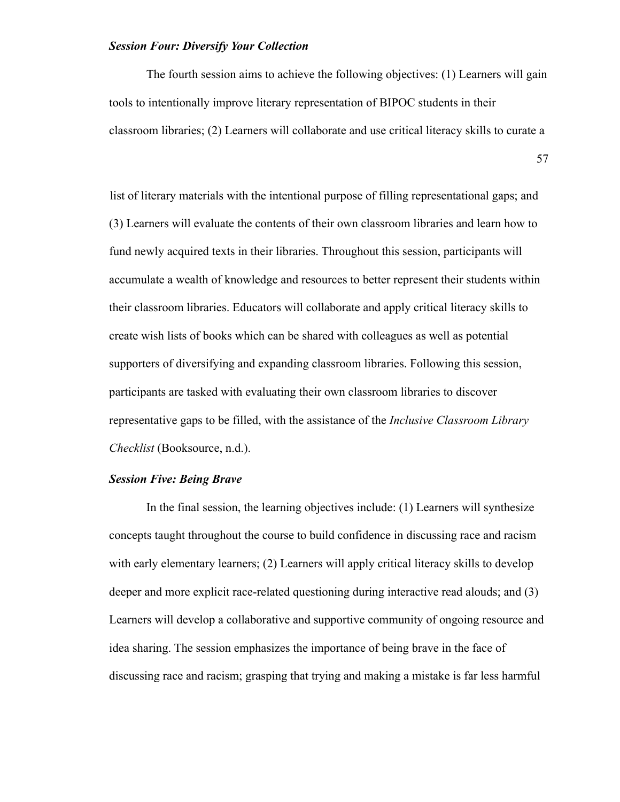# *Session Four: Diversify Your Collection*

The fourth session aims to achieve the following objectives: (1) Learners will gain tools to intentionally improve literary representation of BIPOC students in their classroom libraries; (2) Learners will collaborate and use critical literacy skills to curate a

57

list of literary materials with the intentional purpose of filling representational gaps; and (3) Learners will evaluate the contents of their own classroom libraries and learn how to fund newly acquired texts in their libraries. Throughout this session, participants will accumulate a wealth of knowledge and resources to better represent their students within their classroom libraries. Educators will collaborate and apply critical literacy skills to create wish lists of books which can be shared with colleagues as well as potential supporters of diversifying and expanding classroom libraries. Following this session, participants are tasked with evaluating their own classroom libraries to discover representative gaps to be filled, with the assistance of the *Inclusive Classroom Library Checklist* (Booksource, n.d.).

### *Session Five: Being Brave*

In the final session, the learning objectives include: (1) Learners will synthesize concepts taught throughout the course to build confidence in discussing race and racism with early elementary learners; (2) Learners will apply critical literacy skills to develop deeper and more explicit race-related questioning during interactive read alouds; and (3) Learners will develop a collaborative and supportive community of ongoing resource and idea sharing. The session emphasizes the importance of being brave in the face of discussing race and racism; grasping that trying and making a mistake is far less harmful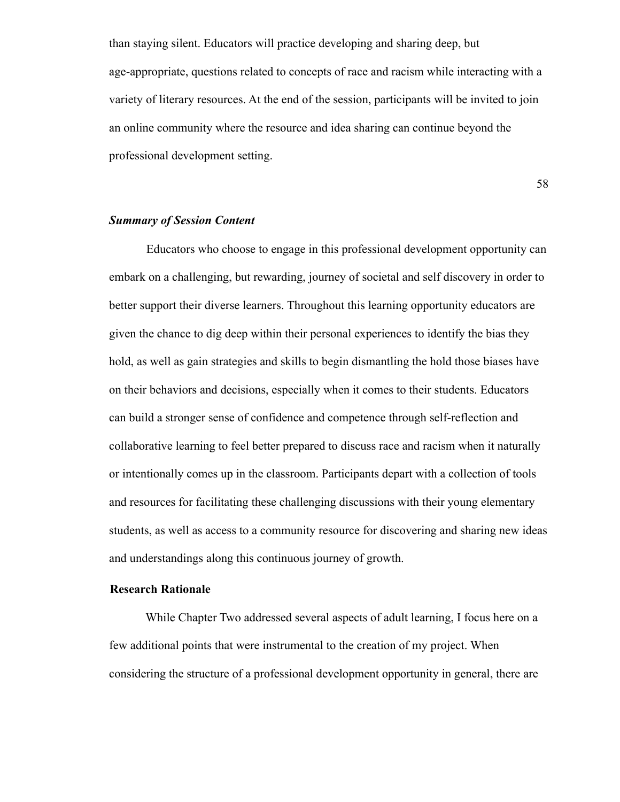than staying silent. Educators will practice developing and sharing deep, but age-appropriate, questions related to concepts of race and racism while interacting with a variety of literary resources. At the end of the session, participants will be invited to join an online community where the resource and idea sharing can continue beyond the professional development setting.

58

#### *Summary of Session Content*

Educators who choose to engage in this professional development opportunity can embark on a challenging, but rewarding, journey of societal and self discovery in order to better support their diverse learners. Throughout this learning opportunity educators are given the chance to dig deep within their personal experiences to identify the bias they hold, as well as gain strategies and skills to begin dismantling the hold those biases have on their behaviors and decisions, especially when it comes to their students. Educators can build a stronger sense of confidence and competence through self-reflection and collaborative learning to feel better prepared to discuss race and racism when it naturally or intentionally comes up in the classroom. Participants depart with a collection of tools and resources for facilitating these challenging discussions with their young elementary students, as well as access to a community resource for discovering and sharing new ideas and understandings along this continuous journey of growth.

#### **Research Rationale**

While Chapter Two addressed several aspects of adult learning, I focus here on a few additional points that were instrumental to the creation of my project. When considering the structure of a professional development opportunity in general, there are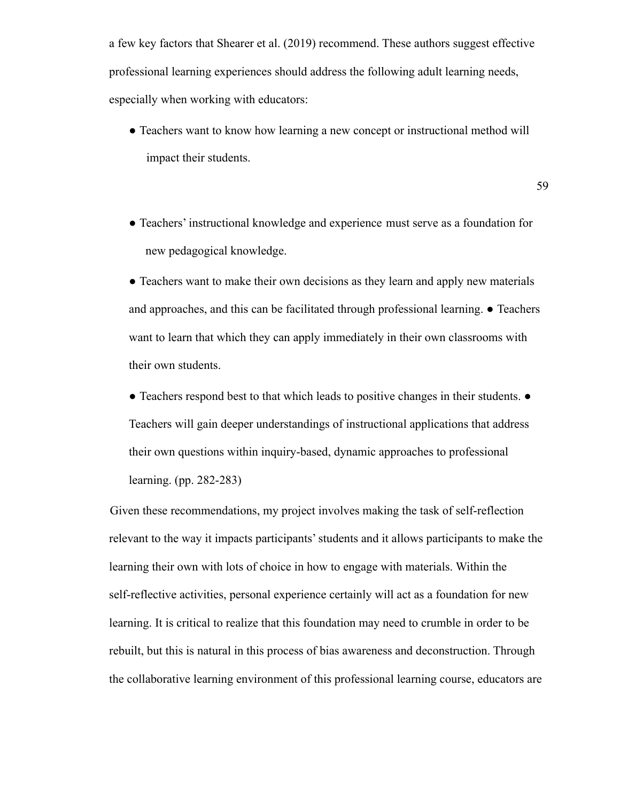a few key factors that Shearer et al. (2019) recommend. These authors suggest effective professional learning experiences should address the following adult learning needs, especially when working with educators:

- Teachers want to know how learning a new concept or instructional method will impact their students.
- Teachers' instructional knowledge and experience must serve as a foundation for new pedagogical knowledge.

• Teachers want to make their own decisions as they learn and apply new materials and approaches, and this can be facilitated through professional learning. ● Teachers want to learn that which they can apply immediately in their own classrooms with their own students.

● Teachers respond best to that which leads to positive changes in their students. ● Teachers will gain deeper understandings of instructional applications that address their own questions within inquiry-based, dynamic approaches to professional learning. (pp. 282-283)

Given these recommendations, my project involves making the task of self-reflection relevant to the way it impacts participants' students and it allows participants to make the learning their own with lots of choice in how to engage with materials. Within the self-reflective activities, personal experience certainly will act as a foundation for new learning. It is critical to realize that this foundation may need to crumble in order to be rebuilt, but this is natural in this process of bias awareness and deconstruction. Through the collaborative learning environment of this professional learning course, educators are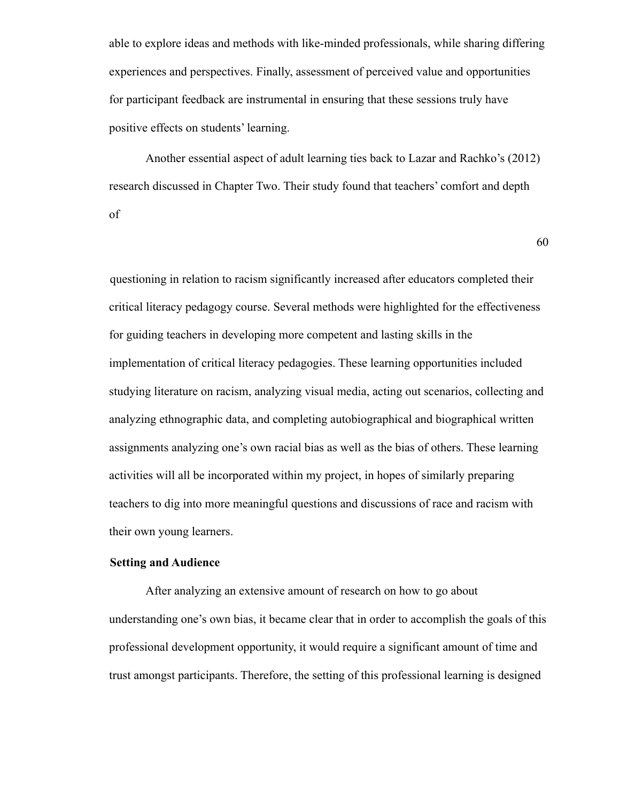able to explore ideas and methods with like-minded professionals, while sharing differing experiences and perspectives. Finally, assessment of perceived value and opportunities for participant feedback are instrumental in ensuring that these sessions truly have positive effects on students' learning.

Another essential aspect of adult learning ties back to Lazar and Rachko's (2012) research discussed in Chapter Two. Their study found that teachers' comfort and depth of

60

questioning in relation to racism significantly increased after educators completed their critical literacy pedagogy course. Several methods were highlighted for the effectiveness for guiding teachers in developing more competent and lasting skills in the implementation of critical literacy pedagogies. These learning opportunities included studying literature on racism, analyzing visual media, acting out scenarios, collecting and analyzing ethnographic data, and completing autobiographical and biographical written assignments analyzing one's own racial bias as well as the bias of others. These learning activities will all be incorporated within my project, in hopes of similarly preparing teachers to dig into more meaningful questions and discussions of race and racism with their own young learners.

### **Setting and Audience**

After analyzing an extensive amount of research on how to go about understanding one's own bias, it became clear that in order to accomplish the goals of this professional development opportunity, it would require a significant amount of time and trust amongst participants. Therefore, the setting of this professional learning is designed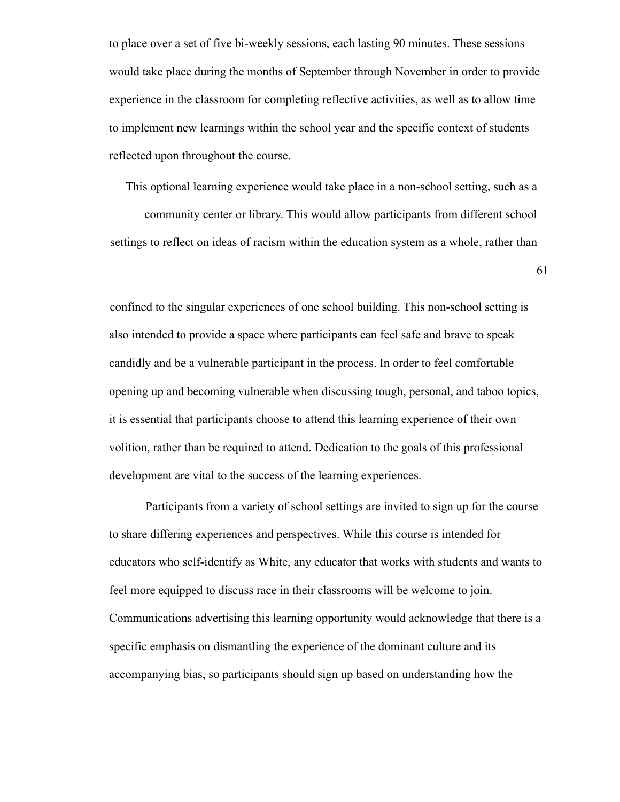to place over a set of five bi-weekly sessions, each lasting 90 minutes. These sessions would take place during the months of September through November in order to provide experience in the classroom for completing reflective activities, as well as to allow time to implement new learnings within the school year and the specific context of students reflected upon throughout the course.

This optional learning experience would take place in a non-school setting, such as a community center or library. This would allow participants from different school settings to reflect on ideas of racism within the education system as a whole, rather than

61

confined to the singular experiences of one school building. This non-school setting is also intended to provide a space where participants can feel safe and brave to speak candidly and be a vulnerable participant in the process. In order to feel comfortable opening up and becoming vulnerable when discussing tough, personal, and taboo topics, it is essential that participants choose to attend this learning experience of their own volition, rather than be required to attend. Dedication to the goals of this professional development are vital to the success of the learning experiences.

Participants from a variety of school settings are invited to sign up for the course to share differing experiences and perspectives. While this course is intended for educators who self-identify as White, any educator that works with students and wants to feel more equipped to discuss race in their classrooms will be welcome to join. Communications advertising this learning opportunity would acknowledge that there is a specific emphasis on dismantling the experience of the dominant culture and its accompanying bias, so participants should sign up based on understanding how the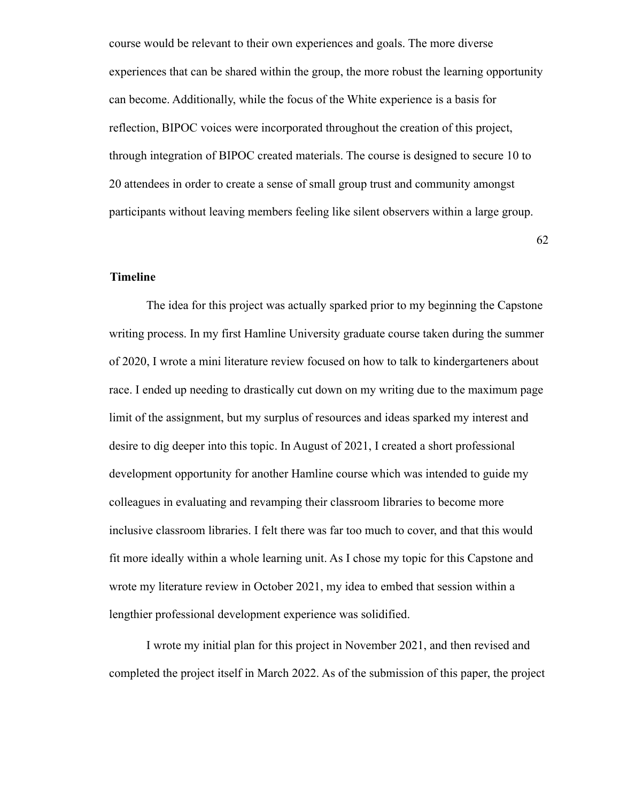course would be relevant to their own experiences and goals. The more diverse experiences that can be shared within the group, the more robust the learning opportunity can become. Additionally, while the focus of the White experience is a basis for reflection, BIPOC voices were incorporated throughout the creation of this project, through integration of BIPOC created materials. The course is designed to secure 10 to 20 attendees in order to create a sense of small group trust and community amongst participants without leaving members feeling like silent observers within a large group.

62

# **Timeline**

The idea for this project was actually sparked prior to my beginning the Capstone writing process. In my first Hamline University graduate course taken during the summer of 2020, I wrote a mini literature review focused on how to talk to kindergarteners about race. I ended up needing to drastically cut down on my writing due to the maximum page limit of the assignment, but my surplus of resources and ideas sparked my interest and desire to dig deeper into this topic. In August of 2021, I created a short professional development opportunity for another Hamline course which was intended to guide my colleagues in evaluating and revamping their classroom libraries to become more inclusive classroom libraries. I felt there was far too much to cover, and that this would fit more ideally within a whole learning unit. As I chose my topic for this Capstone and wrote my literature review in October 2021, my idea to embed that session within a lengthier professional development experience was solidified.

I wrote my initial plan for this project in November 2021, and then revised and completed the project itself in March 2022. As of the submission of this paper, the project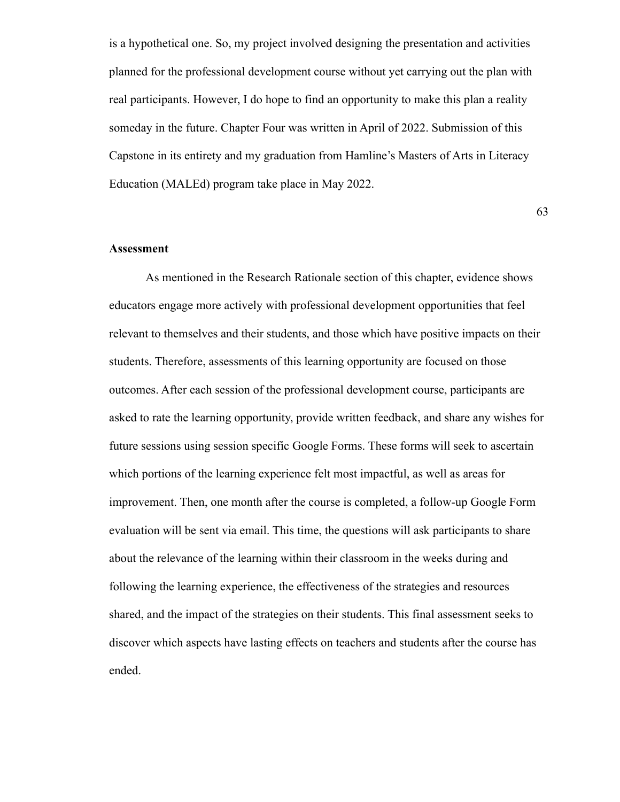is a hypothetical one. So, my project involved designing the presentation and activities planned for the professional development course without yet carrying out the plan with real participants. However, I do hope to find an opportunity to make this plan a reality someday in the future. Chapter Four was written in April of 2022. Submission of this Capstone in its entirety and my graduation from Hamline's Masters of Arts in Literacy Education (MALEd) program take place in May 2022.

63

#### **Assessment**

As mentioned in the Research Rationale section of this chapter, evidence shows educators engage more actively with professional development opportunities that feel relevant to themselves and their students, and those which have positive impacts on their students. Therefore, assessments of this learning opportunity are focused on those outcomes. After each session of the professional development course, participants are asked to rate the learning opportunity, provide written feedback, and share any wishes for future sessions using session specific Google Forms. These forms will seek to ascertain which portions of the learning experience felt most impactful, as well as areas for improvement. Then, one month after the course is completed, a follow-up Google Form evaluation will be sent via email. This time, the questions will ask participants to share about the relevance of the learning within their classroom in the weeks during and following the learning experience, the effectiveness of the strategies and resources shared, and the impact of the strategies on their students. This final assessment seeks to discover which aspects have lasting effects on teachers and students after the course has ended.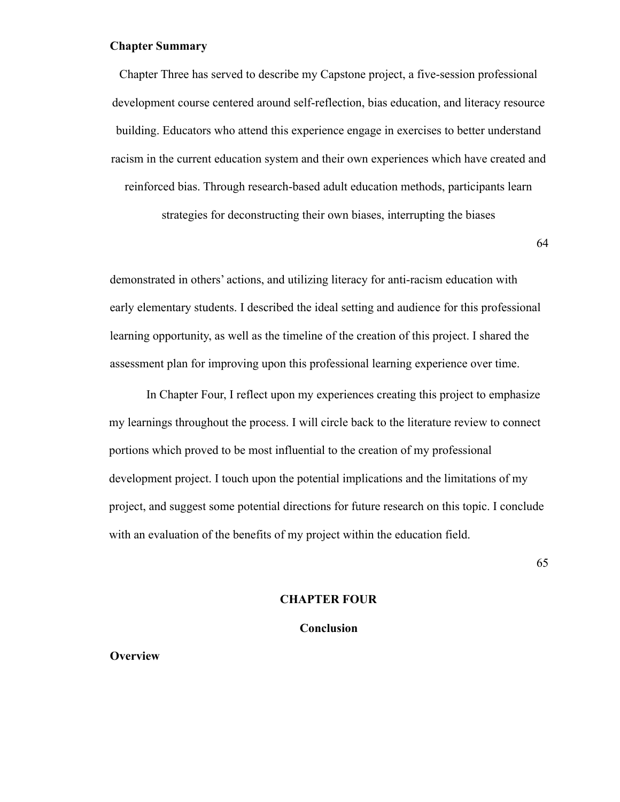### **Chapter Summary**

Chapter Three has served to describe my Capstone project, a five-session professional development course centered around self-reflection, bias education, and literacy resource building. Educators who attend this experience engage in exercises to better understand racism in the current education system and their own experiences which have created and reinforced bias. Through research-based adult education methods, participants learn

strategies for deconstructing their own biases, interrupting the biases

64

demonstrated in others' actions, and utilizing literacy for anti-racism education with early elementary students. I described the ideal setting and audience for this professional learning opportunity, as well as the timeline of the creation of this project. I shared the assessment plan for improving upon this professional learning experience over time.

In Chapter Four, I reflect upon my experiences creating this project to emphasize my learnings throughout the process. I will circle back to the literature review to connect portions which proved to be most influential to the creation of my professional development project. I touch upon the potential implications and the limitations of my project, and suggest some potential directions for future research on this topic. I conclude with an evaluation of the benefits of my project within the education field.

65

#### **CHAPTER FOUR**

#### **Conclusion**

**Overview**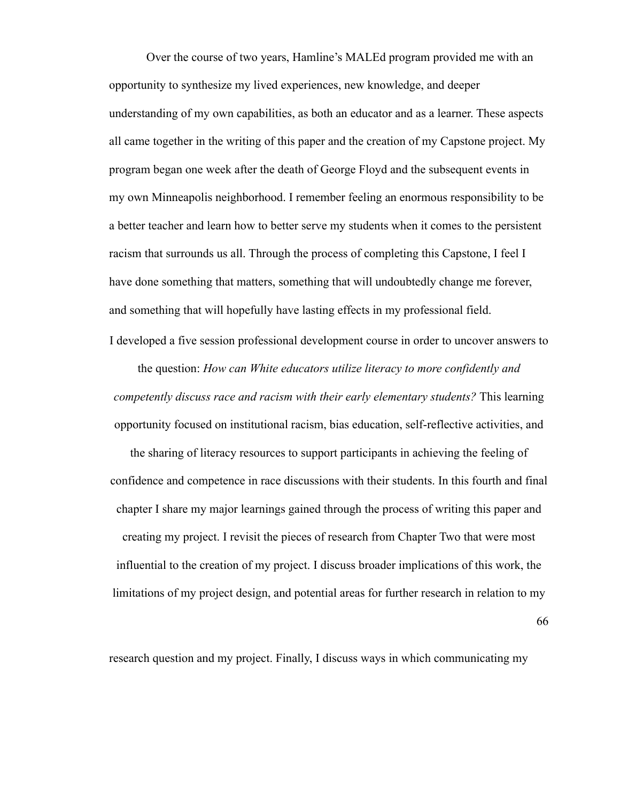Over the course of two years, Hamline's MALEd program provided me with an opportunity to synthesize my lived experiences, new knowledge, and deeper understanding of my own capabilities, as both an educator and as a learner. These aspects all came together in the writing of this paper and the creation of my Capstone project. My program began one week after the death of George Floyd and the subsequent events in my own Minneapolis neighborhood. I remember feeling an enormous responsibility to be a better teacher and learn how to better serve my students when it comes to the persistent racism that surrounds us all. Through the process of completing this Capstone, I feel I have done something that matters, something that will undoubtedly change me forever, and something that will hopefully have lasting effects in my professional field.

I developed a five session professional development course in order to uncover answers to the question: *How can White educators utilize literacy to more confidently and competently discuss race and racism with their early elementary students?* This learning opportunity focused on institutional racism, bias education, self-reflective activities, and

the sharing of literacy resources to support participants in achieving the feeling of confidence and competence in race discussions with their students. In this fourth and final chapter I share my major learnings gained through the process of writing this paper and creating my project. I revisit the pieces of research from Chapter Two that were most influential to the creation of my project. I discuss broader implications of this work, the limitations of my project design, and potential areas for further research in relation to my

66

research question and my project. Finally, I discuss ways in which communicating my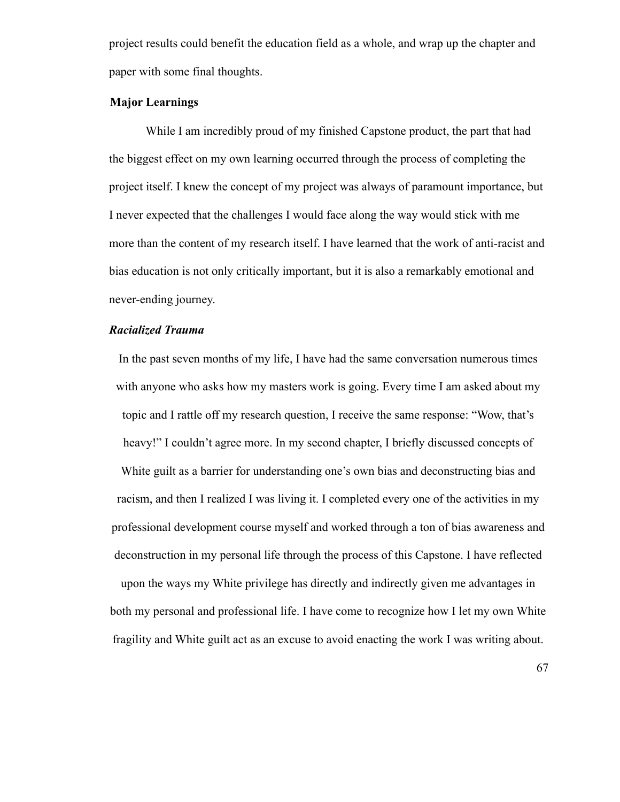project results could benefit the education field as a whole, and wrap up the chapter and paper with some final thoughts.

# **Major Learnings**

While I am incredibly proud of my finished Capstone product, the part that had the biggest effect on my own learning occurred through the process of completing the project itself. I knew the concept of my project was always of paramount importance, but I never expected that the challenges I would face along the way would stick with me more than the content of my research itself. I have learned that the work of anti-racist and bias education is not only critically important, but it is also a remarkably emotional and never-ending journey.

# *Racialized Trauma*

In the past seven months of my life, I have had the same conversation numerous times with anyone who asks how my masters work is going. Every time I am asked about my topic and I rattle off my research question, I receive the same response: "Wow, that's heavy!" I couldn't agree more. In my second chapter, I briefly discussed concepts of White guilt as a barrier for understanding one's own bias and deconstructing bias and racism, and then I realized I was living it. I completed every one of the activities in my professional development course myself and worked through a ton of bias awareness and deconstruction in my personal life through the process of this Capstone. I have reflected upon the ways my White privilege has directly and indirectly given me advantages in both my personal and professional life. I have come to recognize how I let my own White fragility and White guilt act as an excuse to avoid enacting the work I was writing about.

67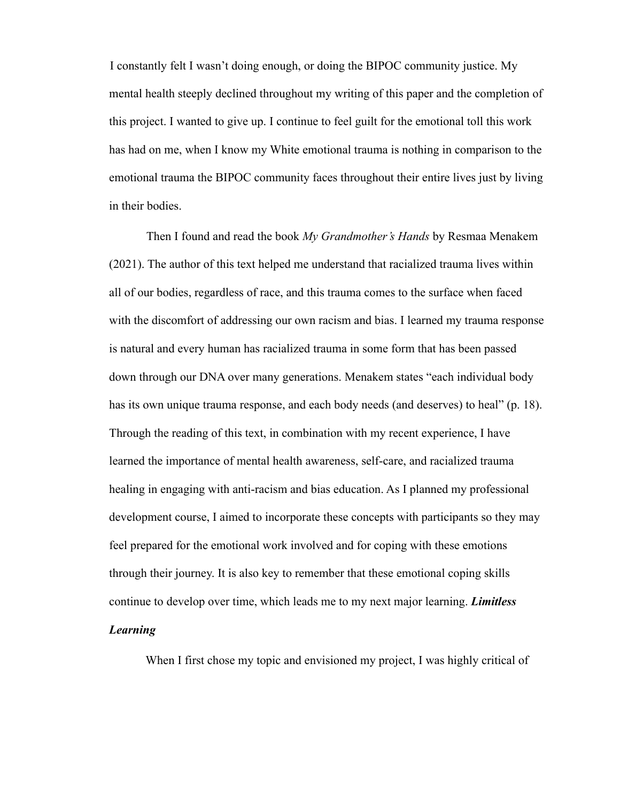I constantly felt I wasn't doing enough, or doing the BIPOC community justice. My mental health steeply declined throughout my writing of this paper and the completion of this project. I wanted to give up. I continue to feel guilt for the emotional toll this work has had on me, when I know my White emotional trauma is nothing in comparison to the emotional trauma the BIPOC community faces throughout their entire lives just by living in their bodies.

Then I found and read the book *My Grandmother's Hands* by Resmaa Menakem (2021). The author of this text helped me understand that racialized trauma lives within all of our bodies, regardless of race, and this trauma comes to the surface when faced with the discomfort of addressing our own racism and bias. I learned my trauma response is natural and every human has racialized trauma in some form that has been passed down through our DNA over many generations. Menakem states "each individual body has its own unique trauma response, and each body needs (and deserves) to heal" (p. 18). Through the reading of this text, in combination with my recent experience, I have learned the importance of mental health awareness, self-care, and racialized trauma healing in engaging with anti-racism and bias education. As I planned my professional development course, I aimed to incorporate these concepts with participants so they may feel prepared for the emotional work involved and for coping with these emotions through their journey. It is also key to remember that these emotional coping skills continue to develop over time, which leads me to my next major learning. *Limitless*

# *Learning*

When I first chose my topic and envisioned my project, I was highly critical of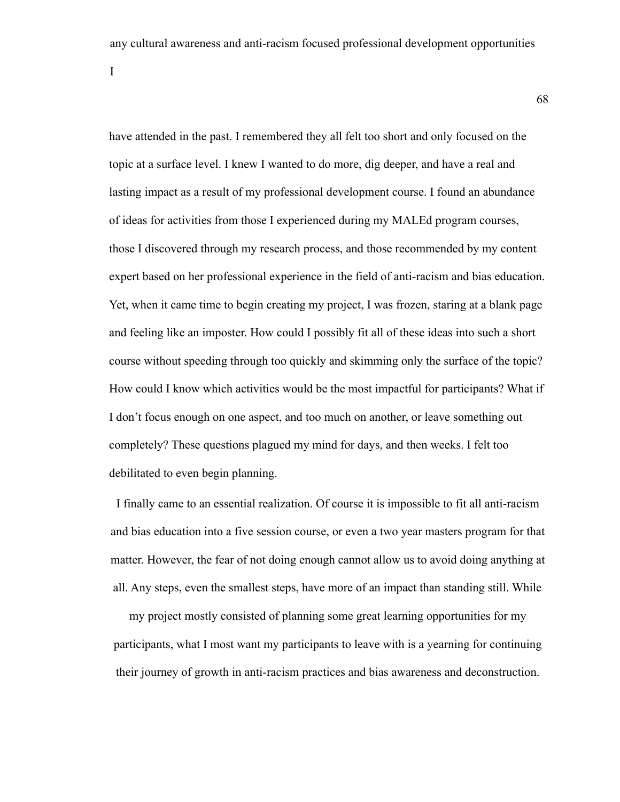any cultural awareness and anti-racism focused professional development opportunities

I

have attended in the past. I remembered they all felt too short and only focused on the topic at a surface level. I knew I wanted to do more, dig deeper, and have a real and lasting impact as a result of my professional development course. I found an abundance of ideas for activities from those I experienced during my MALEd program courses, those I discovered through my research process, and those recommended by my content expert based on her professional experience in the field of anti-racism and bias education. Yet, when it came time to begin creating my project, I was frozen, staring at a blank page and feeling like an imposter. How could I possibly fit all of these ideas into such a short course without speeding through too quickly and skimming only the surface of the topic? How could I know which activities would be the most impactful for participants? What if I don't focus enough on one aspect, and too much on another, or leave something out completely? These questions plagued my mind for days, and then weeks. I felt too debilitated to even begin planning.

I finally came to an essential realization. Of course it is impossible to fit all anti-racism and bias education into a five session course, or even a two year masters program for that matter. However, the fear of not doing enough cannot allow us to avoid doing anything at all. Any steps, even the smallest steps, have more of an impact than standing still. While

my project mostly consisted of planning some great learning opportunities for my participants, what I most want my participants to leave with is a yearning for continuing their journey of growth in anti-racism practices and bias awareness and deconstruction.

68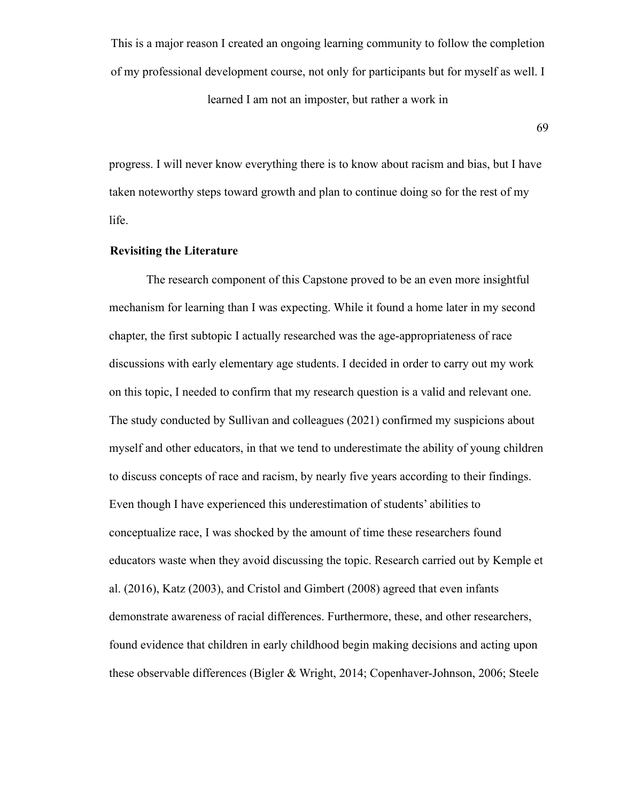This is a major reason I created an ongoing learning community to follow the completion of my professional development course, not only for participants but for myself as well. I learned I am not an imposter, but rather a work in

69

progress. I will never know everything there is to know about racism and bias, but I have taken noteworthy steps toward growth and plan to continue doing so for the rest of my life.

# **Revisiting the Literature**

The research component of this Capstone proved to be an even more insightful mechanism for learning than I was expecting. While it found a home later in my second chapter, the first subtopic I actually researched was the age-appropriateness of race discussions with early elementary age students. I decided in order to carry out my work on this topic, I needed to confirm that my research question is a valid and relevant one. The study conducted by Sullivan and colleagues (2021) confirmed my suspicions about myself and other educators, in that we tend to underestimate the ability of young children to discuss concepts of race and racism, by nearly five years according to their findings. Even though I have experienced this underestimation of students' abilities to conceptualize race, I was shocked by the amount of time these researchers found educators waste when they avoid discussing the topic. Research carried out by Kemple et al. (2016), Katz (2003), and Cristol and Gimbert (2008) agreed that even infants demonstrate awareness of racial differences. Furthermore, these, and other researchers, found evidence that children in early childhood begin making decisions and acting upon these observable differences (Bigler & Wright, 2014; Copenhaver-Johnson, 2006; Steele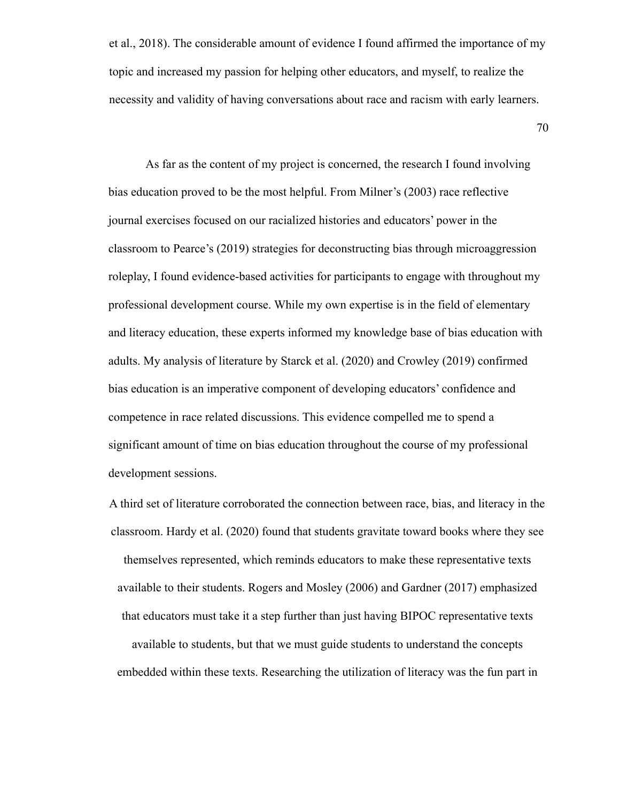et al., 2018). The considerable amount of evidence I found affirmed the importance of my topic and increased my passion for helping other educators, and myself, to realize the necessity and validity of having conversations about race and racism with early learners.

70

As far as the content of my project is concerned, the research I found involving bias education proved to be the most helpful. From Milner's (2003) race reflective journal exercises focused on our racialized histories and educators' power in the classroom to Pearce's (2019) strategies for deconstructing bias through microaggression roleplay, I found evidence-based activities for participants to engage with throughout my professional development course. While my own expertise is in the field of elementary and literacy education, these experts informed my knowledge base of bias education with adults. My analysis of literature by Starck et al. (2020) and Crowley (2019) confirmed bias education is an imperative component of developing educators' confidence and competence in race related discussions. This evidence compelled me to spend a significant amount of time on bias education throughout the course of my professional development sessions.

A third set of literature corroborated the connection between race, bias, and literacy in the classroom. Hardy et al. (2020) found that students gravitate toward books where they see themselves represented, which reminds educators to make these representative texts available to their students. Rogers and Mosley (2006) and Gardner (2017) emphasized that educators must take it a step further than just having BIPOC representative texts available to students, but that we must guide students to understand the concepts embedded within these texts. Researching the utilization of literacy was the fun part in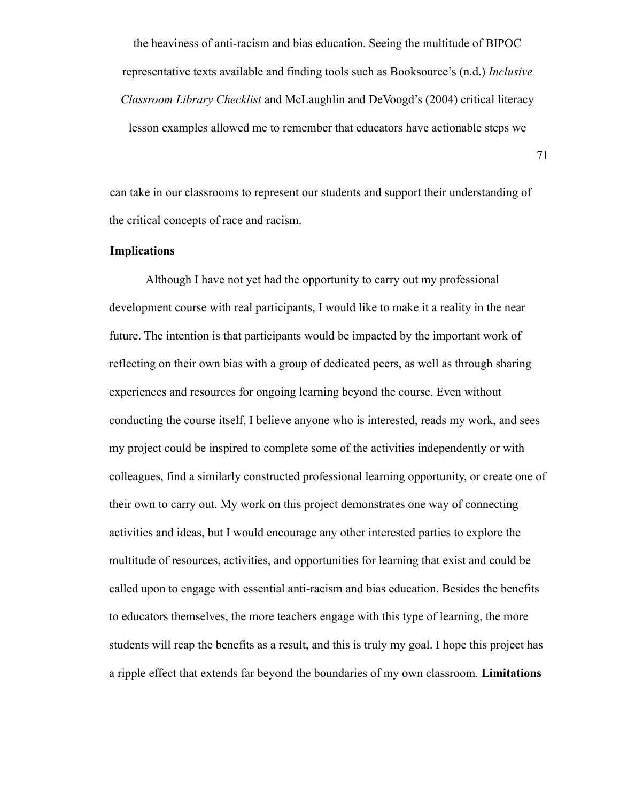the heaviness of anti-racism and bias education. Seeing the multitude of BIPOC representative texts available and finding tools such as Booksource's (n.d.) *Inclusive Classroom Library Checklist* and McLaughlin and DeVoogd's (2004) critical literacy lesson examples allowed me to remember that educators have actionable steps we

can take in our classrooms to represent our students and support their understanding of the critical concepts of race and racism.

### **Implications**

Although I have not yet had the opportunity to carry out my professional development course with real participants, I would like to make it a reality in the near future. The intention is that participants would be impacted by the important work of reflecting on their own bias with a group of dedicated peers, as well as through sharing experiences and resources for ongoing learning beyond the course. Even without conducting the course itself, I believe anyone who is interested, reads my work, and sees my project could be inspired to complete some of the activities independently or with colleagues, find a similarly constructed professional learning opportunity, or create one of their own to carry out. My work on this project demonstrates one way of connecting activities and ideas, but I would encourage any other interested parties to explore the multitude of resources, activities, and opportunities for learning that exist and could be called upon to engage with essential anti-racism and bias education. Besides the benefits to educators themselves, the more teachers engage with this type of learning, the more students will reap the benefits as a result, and this is truly my goal. I hope this project has a ripple effect that extends far beyond the boundaries of my own classroom. **Limitations**

71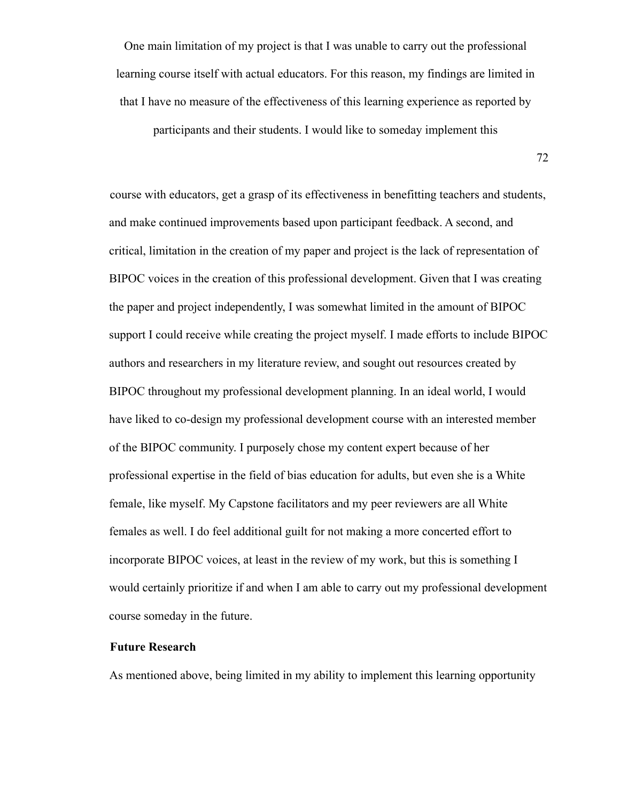One main limitation of my project is that I was unable to carry out the professional learning course itself with actual educators. For this reason, my findings are limited in that I have no measure of the effectiveness of this learning experience as reported by

participants and their students. I would like to someday implement this

72

course with educators, get a grasp of its effectiveness in benefitting teachers and students, and make continued improvements based upon participant feedback. A second, and critical, limitation in the creation of my paper and project is the lack of representation of BIPOC voices in the creation of this professional development. Given that I was creating the paper and project independently, I was somewhat limited in the amount of BIPOC support I could receive while creating the project myself. I made efforts to include BIPOC authors and researchers in my literature review, and sought out resources created by BIPOC throughout my professional development planning. In an ideal world, I would have liked to co-design my professional development course with an interested member of the BIPOC community. I purposely chose my content expert because of her professional expertise in the field of bias education for adults, but even she is a White female, like myself. My Capstone facilitators and my peer reviewers are all White females as well. I do feel additional guilt for not making a more concerted effort to incorporate BIPOC voices, at least in the review of my work, but this is something I would certainly prioritize if and when I am able to carry out my professional development course someday in the future.

## **Future Research**

As mentioned above, being limited in my ability to implement this learning opportunity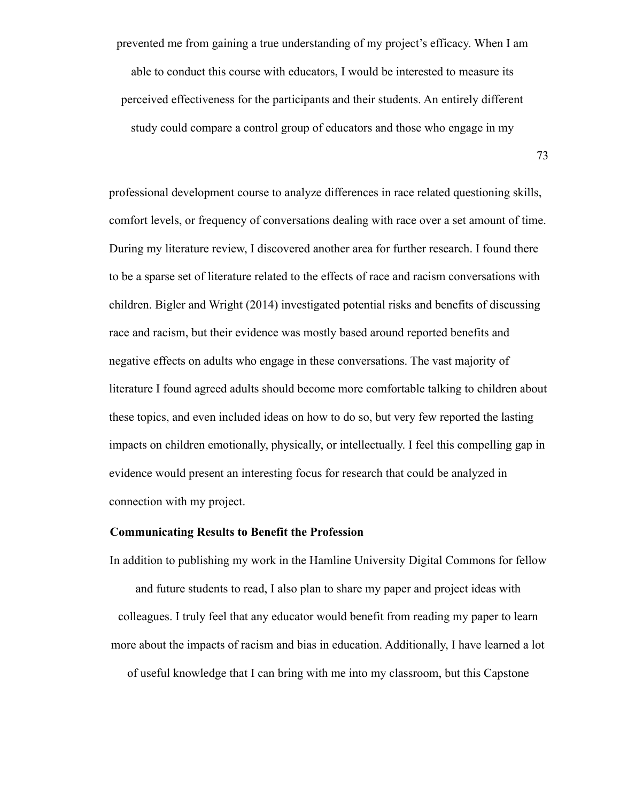prevented me from gaining a true understanding of my project's efficacy. When I am able to conduct this course with educators, I would be interested to measure its perceived effectiveness for the participants and their students. An entirely different study could compare a control group of educators and those who engage in my

professional development course to analyze differences in race related questioning skills, comfort levels, or frequency of conversations dealing with race over a set amount of time. During my literature review, I discovered another area for further research. I found there to be a sparse set of literature related to the effects of race and racism conversations with children. Bigler and Wright (2014) investigated potential risks and benefits of discussing race and racism, but their evidence was mostly based around reported benefits and negative effects on adults who engage in these conversations. The vast majority of literature I found agreed adults should become more comfortable talking to children about these topics, and even included ideas on how to do so, but very few reported the lasting impacts on children emotionally, physically, or intellectually. I feel this compelling gap in evidence would present an interesting focus for research that could be analyzed in connection with my project.

## **Communicating Results to Benefit the Profession**

and future students to read, I also plan to share my paper and project ideas with colleagues. I truly feel that any educator would benefit from reading my paper to learn more about the impacts of racism and bias in education. Additionally, I have learned a lot of useful knowledge that I can bring with me into my classroom, but this Capstone

In addition to publishing my work in the Hamline University Digital Commons for fellow

73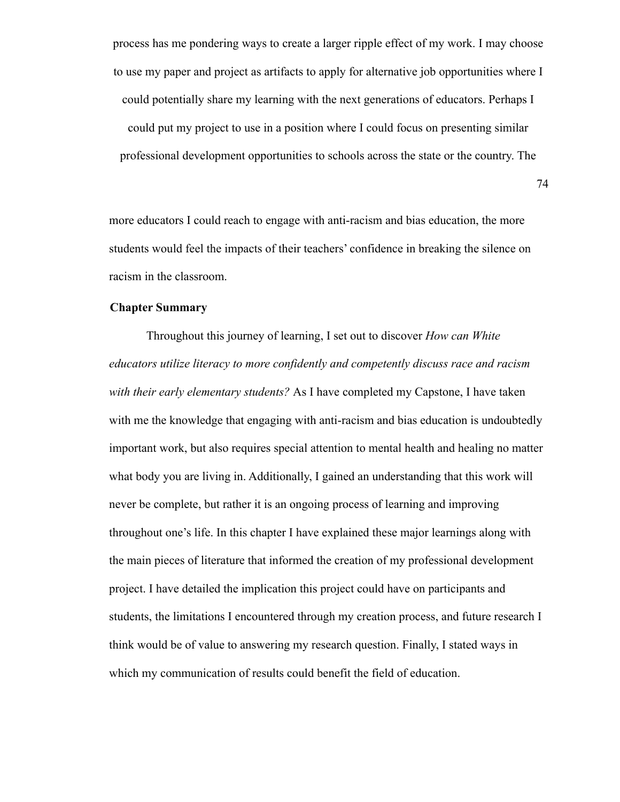process has me pondering ways to create a larger ripple effect of my work. I may choose to use my paper and project as artifacts to apply for alternative job opportunities where I could potentially share my learning with the next generations of educators. Perhaps I could put my project to use in a position where I could focus on presenting similar professional development opportunities to schools across the state or the country. The

74

more educators I could reach to engage with anti-racism and bias education, the more students would feel the impacts of their teachers' confidence in breaking the silence on racism in the classroom.

## **Chapter Summary**

Throughout this journey of learning, I set out to discover *How can White educators utilize literacy to more confidently and competently discuss race and racism with their early elementary students?* As I have completed my Capstone, I have taken with me the knowledge that engaging with anti-racism and bias education is undoubtedly important work, but also requires special attention to mental health and healing no matter what body you are living in. Additionally, I gained an understanding that this work will never be complete, but rather it is an ongoing process of learning and improving throughout one's life. In this chapter I have explained these major learnings along with the main pieces of literature that informed the creation of my professional development project. I have detailed the implication this project could have on participants and students, the limitations I encountered through my creation process, and future research I think would be of value to answering my research question. Finally, I stated ways in which my communication of results could benefit the field of education.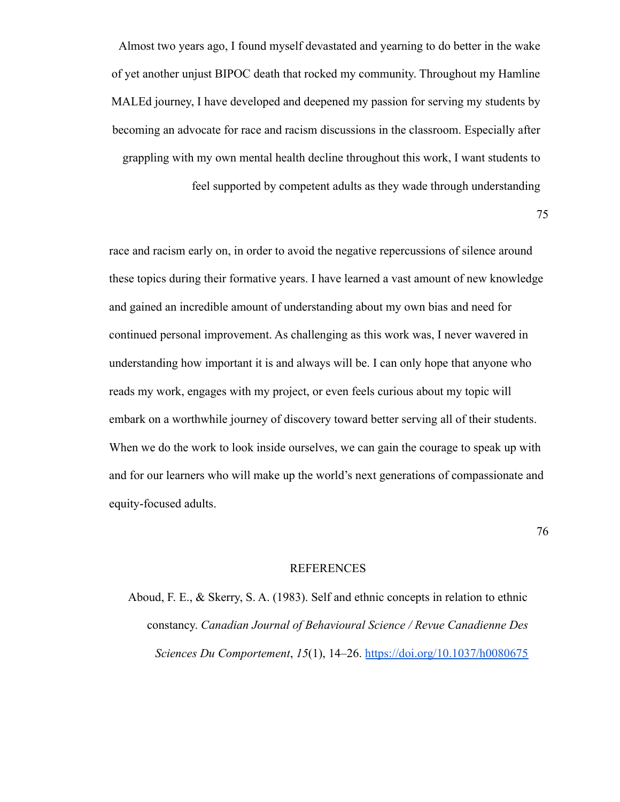Almost two years ago, I found myself devastated and yearning to do better in the wake of yet another unjust BIPOC death that rocked my community. Throughout my Hamline MALEd journey, I have developed and deepened my passion for serving my students by becoming an advocate for race and racism discussions in the classroom. Especially after grappling with my own mental health decline throughout this work, I want students to feel supported by competent adults as they wade through understanding

75

race and racism early on, in order to avoid the negative repercussions of silence around these topics during their formative years. I have learned a vast amount of new knowledge and gained an incredible amount of understanding about my own bias and need for continued personal improvement. As challenging as this work was, I never wavered in understanding how important it is and always will be. I can only hope that anyone who reads my work, engages with my project, or even feels curious about my topic will embark on a worthwhile journey of discovery toward better serving all of their students. When we do the work to look inside ourselves, we can gain the courage to speak up with and for our learners who will make up the world's next generations of compassionate and equity-focused adults.

76

## REFERENCES

Aboud, F. E., & Skerry, S. A. (1983). Self and ethnic concepts in relation to ethnic constancy. *Canadian Journal of Behavioural Science / Revue Canadienne Des Sciences Du Comportement*, *15*(1), 14–26. https://doi.org/10.1037/h0080675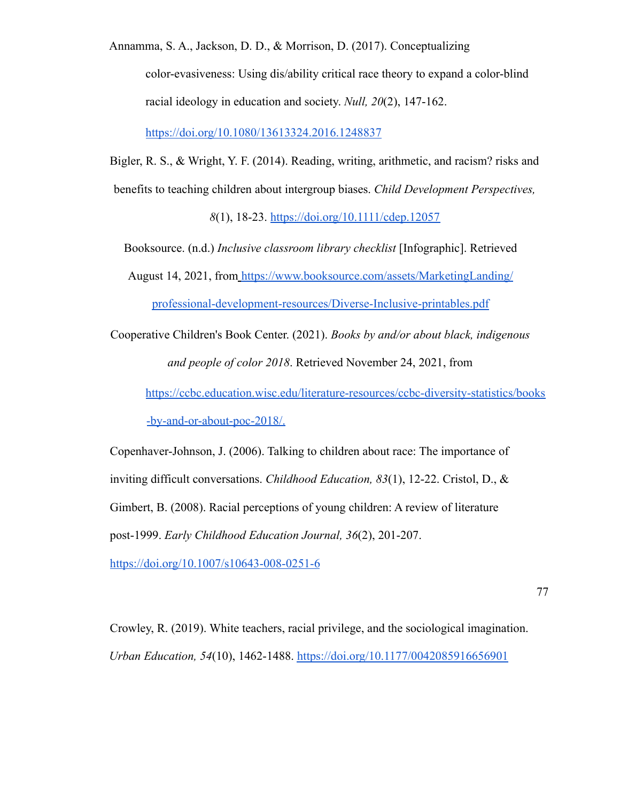Annamma, S. A., Jackson, D. D., & Morrison, D. (2017). Conceptualizing color-evasiveness: Using dis/ability critical race theory to expand a color-blind racial ideology in education and society. *Null, 20*(2), 147-162.

https://doi.org/10.1080/13613324.2016.1248837

Bigler, R. S., & Wright, Y. F. (2014). Reading, writing, arithmetic, and racism? risks and benefits to teaching children about intergroup biases. *Child Development Perspectives,*

*8*(1), 18-23. https://doi.org/10.1111/cdep.12057

Booksource. (n.d.) *Inclusive classroom library checklist* [Infographic]. Retrieved August 14, 2021, from https://www.booksource.com/assets/MarketingLanding/ professional-development-resources/Diverse-Inclusive-printables.pdf

Cooperative Children's Book Center. (2021). *Books by and/or about black, indigenous and people of color 2018*. Retrieved November 24, 2021, from

https://ccbc.education.wisc.edu/literature-resources/ccbc-diversity-statistics/books -by-and-or-about-poc-2018/.

Copenhaver-Johnson, J. (2006). Talking to children about race: The importance of inviting difficult conversations. *Childhood Education, 83*(1), 12-22. Cristol, D., & Gimbert, B. (2008). Racial perceptions of young children: A review of literature post-1999. *Early Childhood Education Journal, 36*(2), 201-207.

https://doi.org/10.1007/s10643-008-0251-6

Crowley, R. (2019). White teachers, racial privilege, and the sociological imagination. *Urban Education, 54*(10), 1462-1488. https://doi.org/10.1177/0042085916656901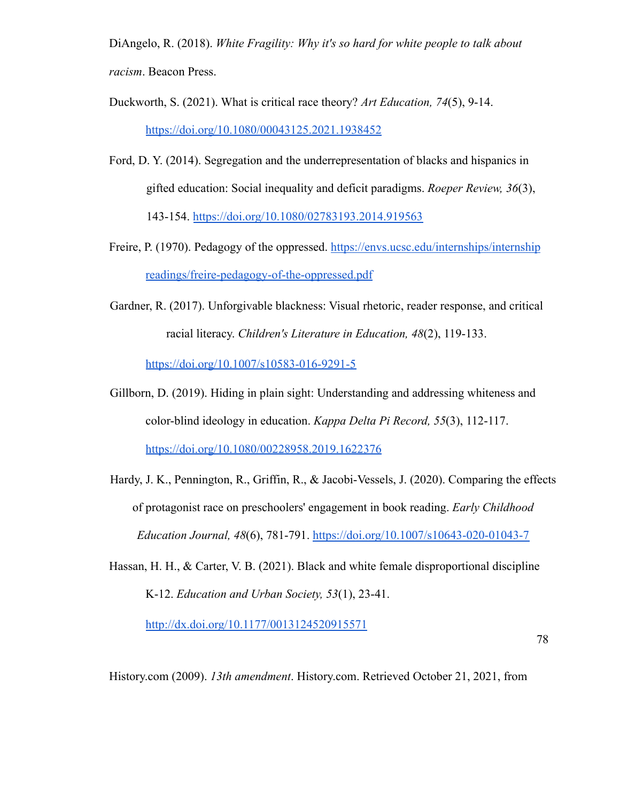DiAngelo, R. (2018). *White Fragility: Why it's so hard for white people to talk about racism*. Beacon Press.

- Duckworth, S. (2021). What is critical race theory? *Art Education, 74*(5), 9-14. https://doi.org/10.1080/00043125.2021.1938452
- Ford, D. Y. (2014). Segregation and the underrepresentation of blacks and hispanics in gifted education: Social inequality and deficit paradigms. *Roeper Review, 36*(3), 143-154. https://doi.org/10.1080/02783193.2014.919563
- Freire, P. (1970). Pedagogy of the oppressed. https://envs.ucsc.edu/internships/internship readings/freire-pedagogy-of-the-oppressed.pdf
- Gardner, R. (2017). Unforgivable blackness: Visual rhetoric, reader response, and critical racial literacy. *Children's Literature in Education, 48*(2), 119-133.

https://doi.org/10.1007/s10583-016-9291-5

- Gillborn, D. (2019). Hiding in plain sight: Understanding and addressing whiteness and color-blind ideology in education. *Kappa Delta Pi Record, 55*(3), 112-117. https://doi.org/10.1080/00228958.2019.1622376
- Hardy, J. K., Pennington, R., Griffin, R., & Jacobi-Vessels, J. (2020). Comparing the effects of protagonist race on preschoolers' engagement in book reading. *Early Childhood Education Journal, 48*(6), 781-791. https://doi.org/10.1007/s10643-020-01043-7
- Hassan, H. H., & Carter, V. B. (2021). Black and white female disproportional discipline K-12. *Education and Urban Society, 53*(1), 23-41.

http://dx.doi.org/10.1177/0013124520915571

78

History.com (2009). *13th amendment*. History.com. Retrieved October 21, 2021, from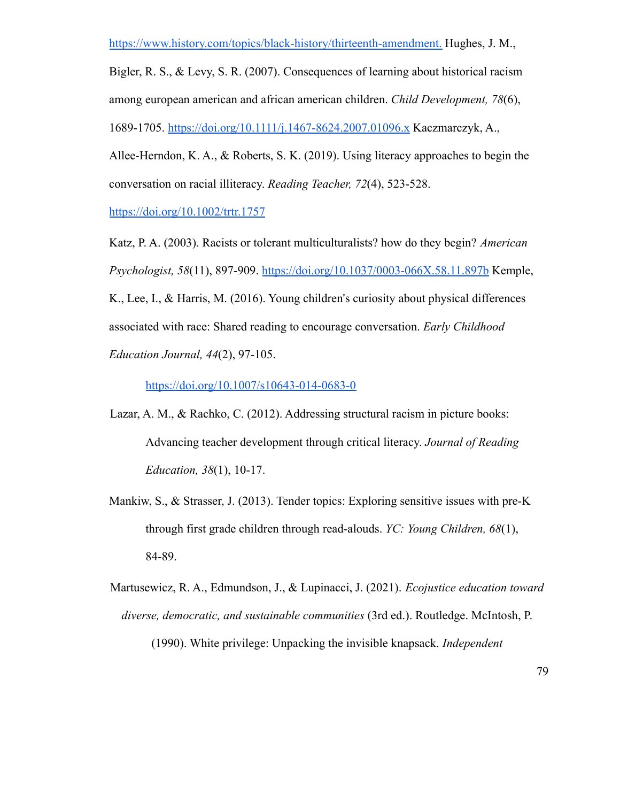https://www.history.com/topics/black-history/thirteenth-amendment. Hughes, J. M.,

Bigler, R. S., & Levy, S. R. (2007). Consequences of learning about historical racism among european american and african american children. *Child Development, 78*(6), 1689-1705. https://doi.org/10.1111/j.1467-8624.2007.01096.x Kaczmarczyk, A.,

Allee-Herndon, K. A., & Roberts, S. K. (2019). Using literacy approaches to begin the conversation on racial illiteracy. *Reading Teacher, 72*(4), 523-528.

https://doi.org/10.1002/trtr.1757

Katz, P. A. (2003). Racists or tolerant multiculturalists? how do they begin? *American Psychologist, 58*(11), 897-909. https://doi.org/10.1037/0003-066X.58.11.897b Kemple, K., Lee, I., & Harris, M. (2016). Young children's curiosity about physical differences associated with race: Shared reading to encourage conversation. *Early Childhood Education Journal, 44*(2), 97-105.

https://doi.org/10.1007/s10643-014-0683-0

- Lazar, A. M., & Rachko, C. (2012). Addressing structural racism in picture books: Advancing teacher development through critical literacy. *Journal of Reading Education, 38*(1), 10-17.
- Mankiw, S., & Strasser, J. (2013). Tender topics: Exploring sensitive issues with pre-K through first grade children through read-alouds. *YC: Young Children, 68*(1), 84-89.
- Martusewicz, R. A., Edmundson, J., & Lupinacci, J. (2021). *Ecojustice education toward diverse, democratic, and sustainable communities* (3rd ed.). Routledge. McIntosh, P.

(1990). White privilege: Unpacking the invisible knapsack. *Independent*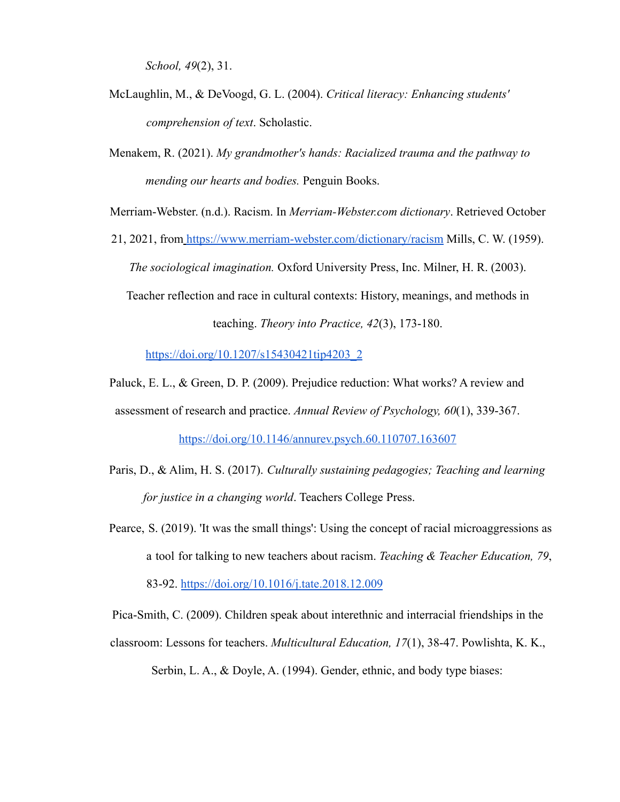*School, 49*(2), 31.

- McLaughlin, M., & DeVoogd, G. L. (2004). *Critical literacy: Enhancing students' comprehension of text*. Scholastic.
- Menakem, R. (2021). *My grandmother's hands: Racialized trauma and the pathway to mending our hearts and bodies.* Penguin Books.

Merriam-Webster. (n.d.). Racism. In *Merriam-Webster.com dictionary*. Retrieved October

21, 2021, from https://www.merriam-webster.com/dictionary/racism Mills, C. W. (1959). *The sociological imagination.* Oxford University Press, Inc. Milner, H. R. (2003). Teacher reflection and race in cultural contexts: History, meanings, and methods in

teaching. *Theory into Practice, 42*(3), 173-180.

https://doi.org/10.1207/s15430421tip4203\_2

Paluck, E. L., & Green, D. P. (2009). Prejudice reduction: What works? A review and

assessment of research and practice. *Annual Review of Psychology, 60*(1), 339-367.

https://doi.org/10.1146/annurev.psych.60.110707.163607

- Paris, D., & Alim, H. S. (2017). *Culturally sustaining pedagogies; Teaching and learning for justice in a changing world*. Teachers College Press.
- Pearce, S. (2019). 'It was the small things': Using the concept of racial microaggressions as a tool for talking to new teachers about racism. *Teaching & Teacher Education, 79*, 83-92. https://doi.org/10.1016/j.tate.2018.12.009

Pica-Smith, C. (2009). Children speak about interethnic and interracial friendships in the

classroom: Lessons for teachers. *Multicultural Education, 17*(1), 38-47. Powlishta, K. K.,

Serbin, L. A., & Doyle, A. (1994). Gender, ethnic, and body type biases: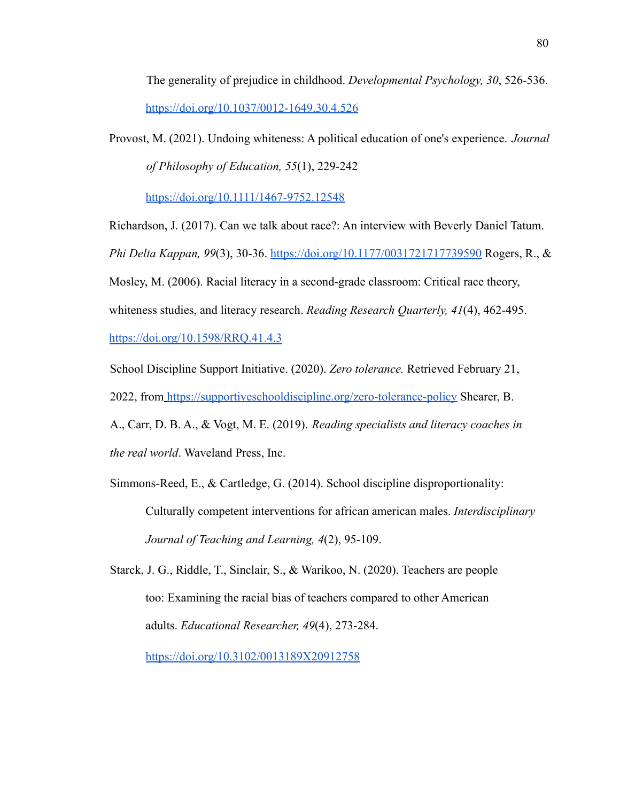The generality of prejudice in childhood. *Developmental Psychology, 30*, 526-536. https://doi.org/10.1037/0012-1649.30.4.526

Provost, M. (2021). Undoing whiteness: A political education of one's experience. *Journal of Philosophy of Education, 55*(1), 229-242

https://doi.org/10.1111/1467-9752.12548

Richardson, J. (2017). Can we talk about race?: An interview with Beverly Daniel Tatum. *Phi Delta Kappan, 99*(3), 30-36. https://doi.org/10.1177/0031721717739590 Rogers, R., & Mosley, M. (2006). Racial literacy in a second-grade classroom: Critical race theory, whiteness studies, and literacy research. *Reading Research Quarterly, 41*(4), 462-495. https://doi.org/10.1598/RRQ.41.4.3

School Discipline Support Initiative. (2020). *Zero tolerance.* Retrieved February 21, 2022, from https://supportiveschooldiscipline.org/zero-tolerance-policy Shearer, B. A., Carr, D. B. A., & Vogt, M. E. (2019). *Reading specialists and literacy coaches in the real world*. Waveland Press, Inc.

- Simmons-Reed, E., & Cartledge, G. (2014). School discipline disproportionality: Culturally competent interventions for african american males. *Interdisciplinary Journal of Teaching and Learning, 4*(2), 95-109.
- Starck, J. G., Riddle, T., Sinclair, S., & Warikoo, N. (2020). Teachers are people too: Examining the racial bias of teachers compared to other American adults. *Educational Researcher, 49*(4), 273-284.

https://doi.org/10.3102/0013189X20912758